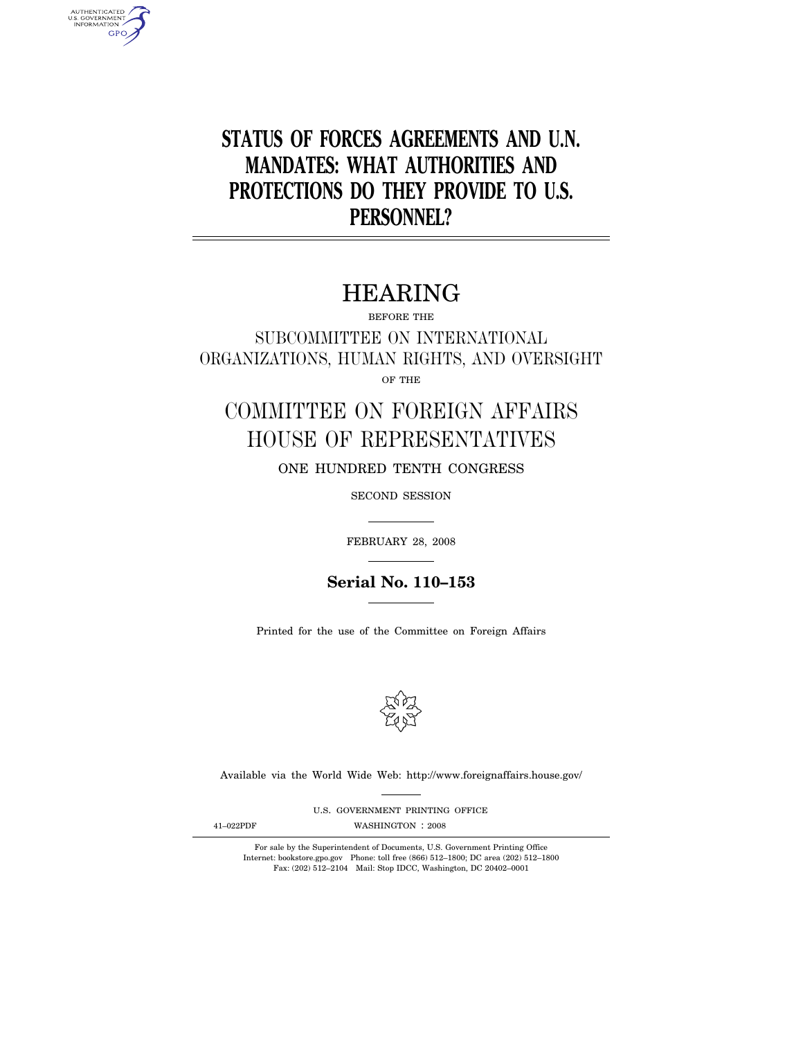# **STATUS OF FORCES AGREEMENTS AND U.N. MANDATES: WHAT AUTHORITIES AND PROTECTIONS DO THEY PROVIDE TO U.S. PERSONNEL?**

# HEARING

BEFORE THE

SUBCOMMITTEE ON INTERNATIONAL ORGANIZATIONS, HUMAN RIGHTS, AND OVERSIGHT OF THE

COMMITTEE ON FOREIGN AFFAIRS HOUSE OF REPRESENTATIVES ONE HUNDRED TENTH CONGRESS

SECOND SESSION

FEBRUARY 28, 2008

**Serial No. 110–153**

Printed for the use of the Committee on Foreign Affairs



Available via the World Wide Web: http://www.foreignaffairs.house.gov/

U.S. GOVERNMENT PRINTING OFFICE

AUTHENTICATED<br>U.S. GOVERNMENT<br>INFORMATION **GPO** 

41-022PDF WASHINGTON : 2008

For sale by the Superintendent of Documents, U.S. Government Printing Office Internet: bookstore.gpo.gov Phone: toll free (866) 512–1800; DC area (202) 512–1800 Fax: (202) 512–2104 Mail: Stop IDCC, Washington, DC 20402–0001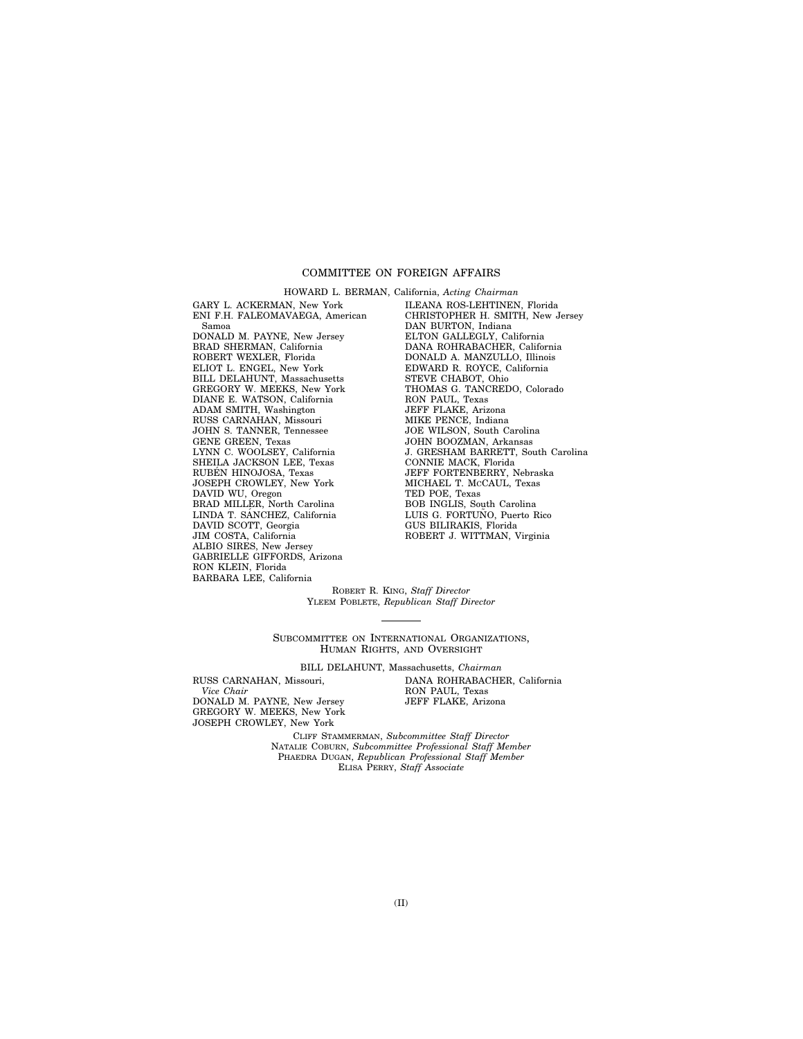#### COMMITTEE ON FOREIGN AFFAIRS

GARY L. ACKERMAN, New York ENI F.H. FALEOMAVAEGA, American Samoa DONALD M. PAYNE, New Jersey BRAD SHERMAN, California ROBERT WEXLER, Florida ELIOT L. ENGEL, New York BILL DELAHUNT, Massachusetts GREGORY W. MEEKS, New York DIANE E. WATSON, California ADAM SMITH, Washington RUSS CARNAHAN, Missouri JOHN S. TANNER, Tennessee GENE GREEN, Texas LYNN C. WOOLSEY, California SHEILA JACKSON LEE, Texas RUBÉN HINOJOSA, Texas JOSEPH CROWLEY, New York DAVID WU, Oregon BRAD MILLER, North Carolina LINDA T. SANCHEZ, California DAVID SCOTT, Georgia JIM COSTA, California ALBIO SIRES, New Jersey GABRIELLE GIFFORDS, Arizona RON KLEIN, Florida BARBARA LEE, California

HOWARD L. BERMAN, California, *Acting Chairman*  ILEANA ROS-LEHTINEN, Florida CHRISTOPHER H. SMITH, New Jersey DAN BURTON, Indiana ELTON GALLEGLY, California DANA ROHRABACHER, California DONALD A. MANZULLO, Illinois EDWARD R. ROYCE, California STEVE CHABOT, Ohio THOMAS G. TANCREDO, Colorado RON PAUL, Texas JEFF FLAKE, Arizona MIKE PENCE, Indiana JOE WILSON, South Carolina JOHN BOOZMAN, Arkansas J. GRESHAM BARRETT, South Carolina CONNIE MACK, Florida JEFF FORTENBERRY, Nebraska MICHAEL T. MCCAUL, Texas TED POE, Texas BOB INGLIS, South Carolina LUIS G. FORTUÑO, Puerto Rico GUS BILIRAKIS, Florida ROBERT J. WITTMAN, Virginia

ROBERT R. KING, *Staff Director*  YLEEM POBLETE, *Republican Staff Director* 

SUBCOMMITTEE ON INTERNATIONAL ORGANIZATIONS, HUMAN RIGHTS, AND OVERSIGHT

BILL DELAHUNT, Massachusetts, *Chairman* 

RUSS CARNAHAN, Missouri, *Vice Chair*  DONALD M. PAYNE, New Jersey GREGORY W. MEEKS, New York JOSEPH CROWLEY, New York

DANA ROHRABACHER, California RON PAUL, Texas JEFF FLAKE, Arizona

CLIFF STAMMERMAN, *Subcommittee Staff Director*  NATALIE COBURN, *Subcommittee Professional Staff Member*  PHAEDRA DUGAN, *Republican Professional Staff Member*  ELISA PERRY, *Staff Associate*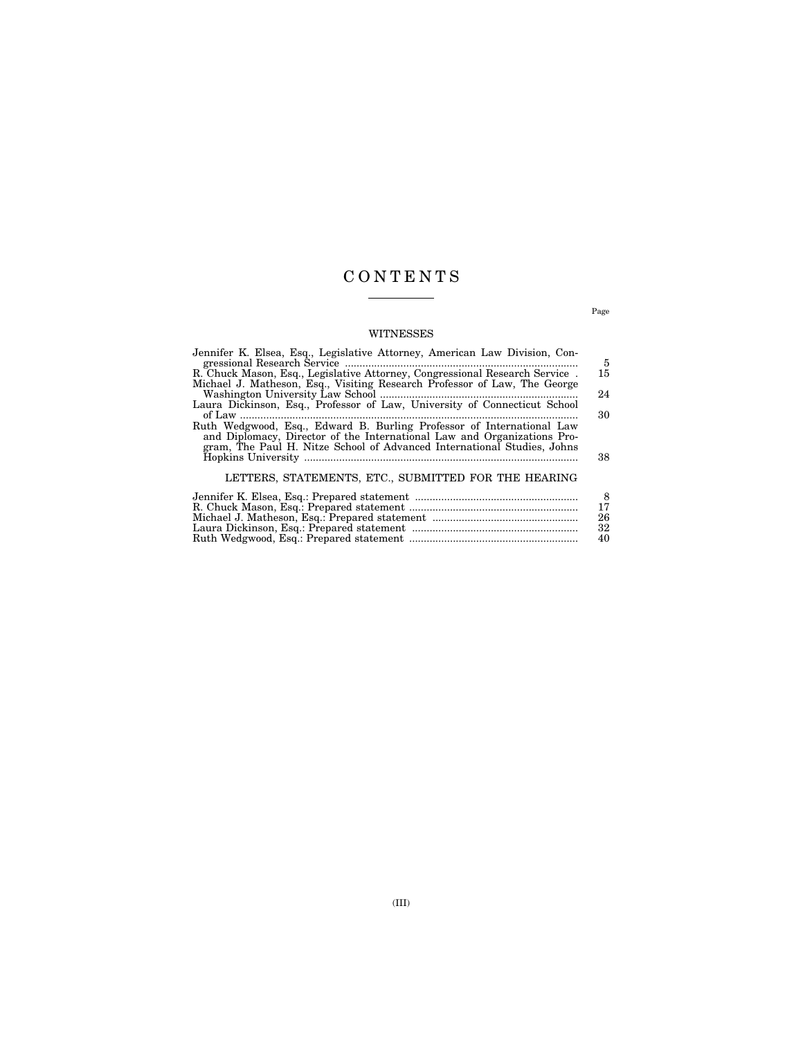## C O N T E N T S  $\begin{tabular}{lcccccc} \multicolumn{2}{c|}{\textbf{1} & \textbf{1} & \textbf{1} & \textbf{1} & \textbf{1} & \textbf{1} & \textbf{1} & \textbf{1} & \textbf{1} & \textbf{1} & \textbf{1} & \textbf{1} & \textbf{1} & \textbf{1} & \textbf{1} & \textbf{1} & \textbf{1} & \textbf{1} & \textbf{1} & \textbf{1} & \textbf{1} & \textbf{1} & \textbf{1} & \textbf{1} & \textbf{1} & \textbf{1} & \textbf{1} & \textbf{1} & \textbf{$

### WITNESSES

| .                                                                                                                                                                                                                           |                |
|-----------------------------------------------------------------------------------------------------------------------------------------------------------------------------------------------------------------------------|----------------|
| Jennifer K. Elsea, Esq., Legislative Attorney, American Law Division, Con-<br>R. Chuck Mason, Esq., Legislative Attorney, Congressional Research Service.                                                                   | 5<br>15        |
| Michael J. Matheson, Esq., Visiting Research Professor of Law, The George                                                                                                                                                   | 24             |
| Laura Dickinson, Esq., Professor of Law, University of Connecticut School                                                                                                                                                   | 30             |
| Ruth Wedgwood, Esq., Edward B. Burling Professor of International Law<br>and Diplomacy, Director of the International Law and Organizations Pro-<br>gram, The Paul H. Nitze School of Advanced International Studies, Johns | 38             |
| LETTERS, STATEMENTS, ETC., SUBMITTED FOR THE HEARING                                                                                                                                                                        |                |
|                                                                                                                                                                                                                             | $\frac{8}{17}$ |
|                                                                                                                                                                                                                             | 26             |
|                                                                                                                                                                                                                             | 32<br>40       |

Page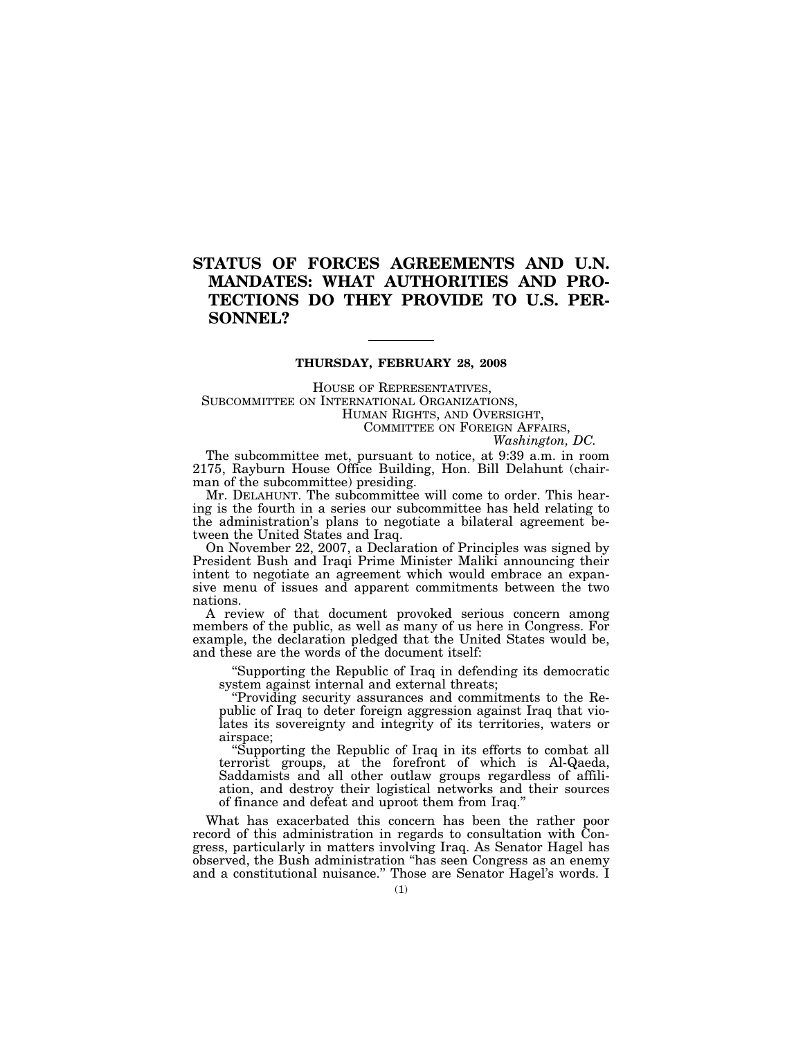## **STATUS OF FORCES AGREEMENTS AND U.N. MANDATES: WHAT AUTHORITIES AND PRO-TECTIONS DO THEY PROVIDE TO U.S. PER-SONNEL?**

#### **THURSDAY, FEBRUARY 28, 2008**

HOUSE OF REPRESENTATIVES, SUBCOMMITTEE ON INTERNATIONAL ORGANIZATIONS, HUMAN RIGHTS, AND OVERSIGHT, COMMITTEE ON FOREIGN AFFAIRS, *Washington, DC.* 

The subcommittee met, pursuant to notice, at 9:39 a.m. in room 2175, Rayburn House Office Building, Hon. Bill Delahunt (chairman of the subcommittee) presiding.

Mr. DELAHUNT. The subcommittee will come to order. This hearing is the fourth in a series our subcommittee has held relating to the administration's plans to negotiate a bilateral agreement between the United States and Iraq.

On November 22, 2007, a Declaration of Principles was signed by President Bush and Iraqi Prime Minister Maliki announcing their intent to negotiate an agreement which would embrace an expansive menu of issues and apparent commitments between the two nations.

A review of that document provoked serious concern among members of the public, as well as many of us here in Congress. For example, the declaration pledged that the United States would be, and these are the words of the document itself:

''Supporting the Republic of Iraq in defending its democratic system against internal and external threats;

''Providing security assurances and commitments to the Republic of Iraq to deter foreign aggression against Iraq that violates its sovereignty and integrity of its territories, waters or airspace;

''Supporting the Republic of Iraq in its efforts to combat all terrorist groups, at the forefront of which is Al-Qaeda, Saddamists and all other outlaw groups regardless of affiliation, and destroy their logistical networks and their sources of finance and defeat and uproot them from Iraq.''

What has exacerbated this concern has been the rather poor record of this administration in regards to consultation with Congress, particularly in matters involving Iraq. As Senator Hagel has observed, the Bush administration ''has seen Congress as an enemy and a constitutional nuisance.'' Those are Senator Hagel's words. I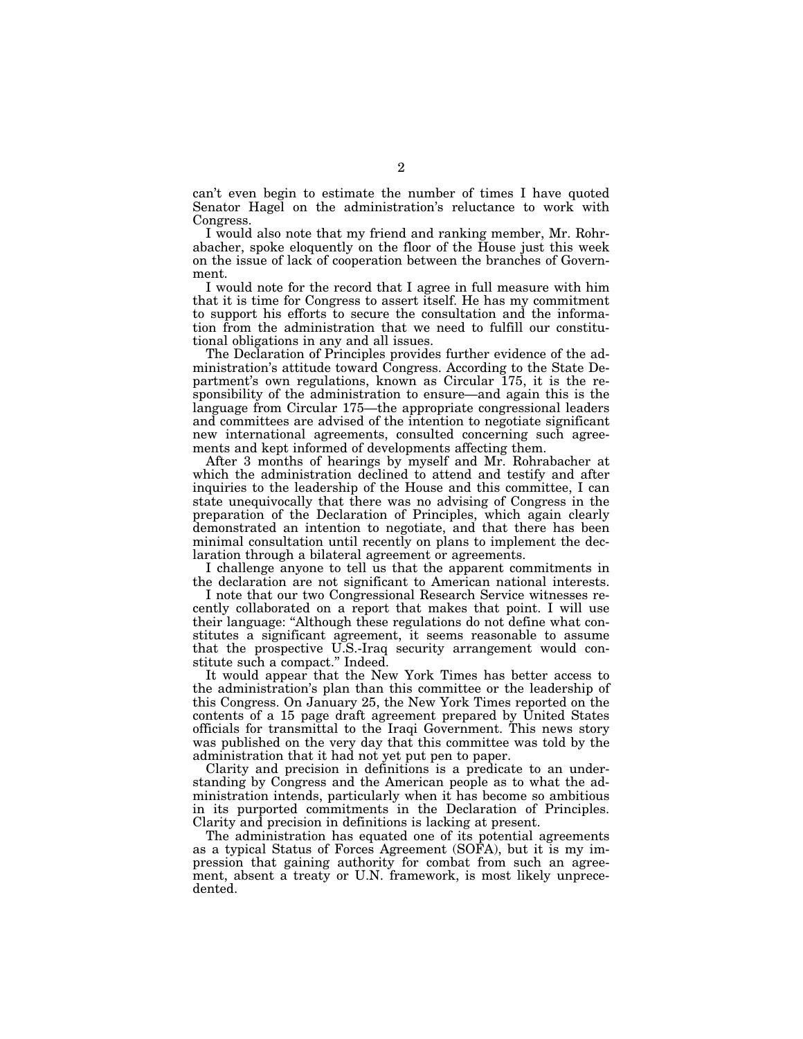can't even begin to estimate the number of times I have quoted Senator Hagel on the administration's reluctance to work with Congress.

I would also note that my friend and ranking member, Mr. Rohrabacher, spoke eloquently on the floor of the House just this week on the issue of lack of cooperation between the branches of Government.

I would note for the record that I agree in full measure with him that it is time for Congress to assert itself. He has my commitment to support his efforts to secure the consultation and the information from the administration that we need to fulfill our constitutional obligations in any and all issues.

The Declaration of Principles provides further evidence of the administration's attitude toward Congress. According to the State Department's own regulations, known as Circular 175, it is the responsibility of the administration to ensure—and again this is the language from Circular 175—the appropriate congressional leaders and committees are advised of the intention to negotiate significant new international agreements, consulted concerning such agreements and kept informed of developments affecting them.

After 3 months of hearings by myself and Mr. Rohrabacher at which the administration declined to attend and testify and after inquiries to the leadership of the House and this committee, I can state unequivocally that there was no advising of Congress in the preparation of the Declaration of Principles, which again clearly demonstrated an intention to negotiate, and that there has been minimal consultation until recently on plans to implement the declaration through a bilateral agreement or agreements.

I challenge anyone to tell us that the apparent commitments in the declaration are not significant to American national interests.

I note that our two Congressional Research Service witnesses recently collaborated on a report that makes that point. I will use their language: ''Although these regulations do not define what constitutes a significant agreement, it seems reasonable to assume that the prospective U.S.-Iraq security arrangement would constitute such a compact.'' Indeed.

It would appear that the New York Times has better access to the administration's plan than this committee or the leadership of this Congress. On January 25, the New York Times reported on the contents of a 15 page draft agreement prepared by United States officials for transmittal to the Iraqi Government. This news story was published on the very day that this committee was told by the administration that it had not yet put pen to paper.

Clarity and precision in definitions is a predicate to an understanding by Congress and the American people as to what the administration intends, particularly when it has become so ambitious in its purported commitments in the Declaration of Principles. Clarity and precision in definitions is lacking at present.

The administration has equated one of its potential agreements as a typical Status of Forces Agreement (SOFA), but it is my impression that gaining authority for combat from such an agreement, absent a treaty or U.N. framework, is most likely unprecedented.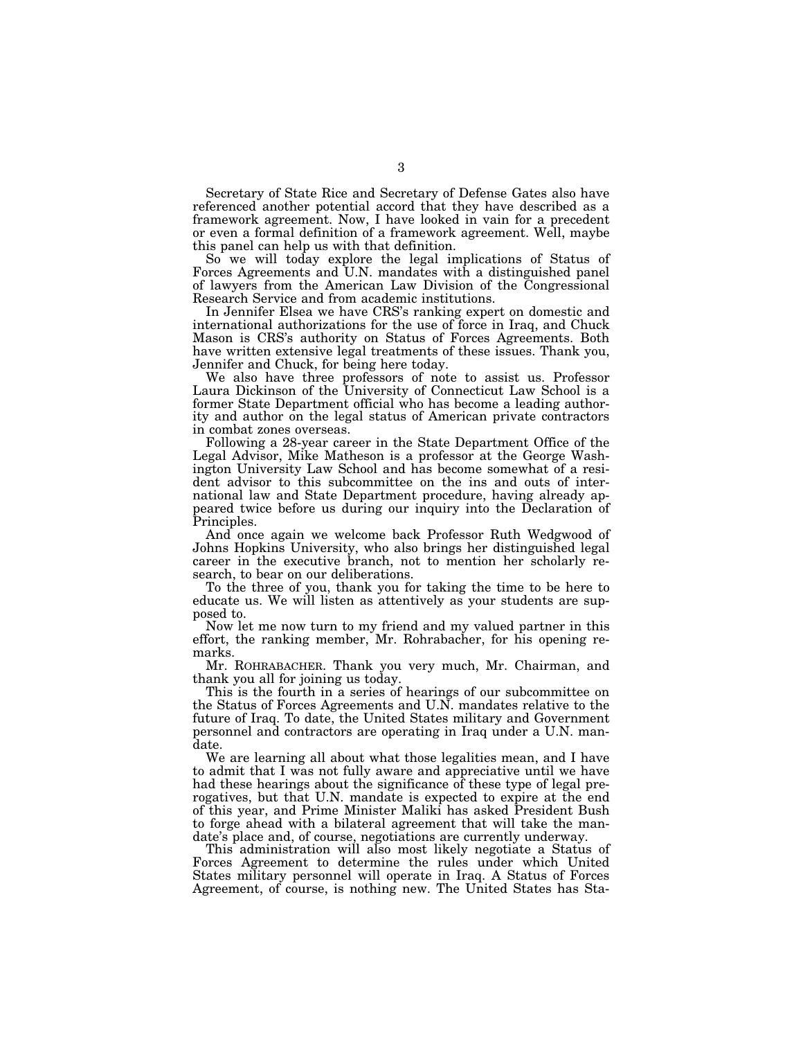Secretary of State Rice and Secretary of Defense Gates also have referenced another potential accord that they have described as a framework agreement. Now, I have looked in vain for a precedent or even a formal definition of a framework agreement. Well, maybe this panel can help us with that definition.

So we will today explore the legal implications of Status of Forces Agreements and U.N. mandates with a distinguished panel of lawyers from the American Law Division of the Congressional Research Service and from academic institutions.

In Jennifer Elsea we have CRS's ranking expert on domestic and international authorizations for the use of force in Iraq, and Chuck Mason is CRS's authority on Status of Forces Agreements. Both have written extensive legal treatments of these issues. Thank you, Jennifer and Chuck, for being here today.

We also have three professors of note to assist us. Professor Laura Dickinson of the University of Connecticut Law School is a former State Department official who has become a leading authority and author on the legal status of American private contractors in combat zones overseas.

Following a 28-year career in the State Department Office of the Legal Advisor, Mike Matheson is a professor at the George Washington University Law School and has become somewhat of a resident advisor to this subcommittee on the ins and outs of international law and State Department procedure, having already appeared twice before us during our inquiry into the Declaration of Principles.

And once again we welcome back Professor Ruth Wedgwood of Johns Hopkins University, who also brings her distinguished legal career in the executive branch, not to mention her scholarly research, to bear on our deliberations.

To the three of you, thank you for taking the time to be here to educate us. We will listen as attentively as your students are supposed to.

Now let me now turn to my friend and my valued partner in this effort, the ranking member, Mr. Rohrabacher, for his opening remarks.

Mr. ROHRABACHER. Thank you very much, Mr. Chairman, and thank you all for joining us today.

This is the fourth in a series of hearings of our subcommittee on the Status of Forces Agreements and U.N. mandates relative to the future of Iraq. To date, the United States military and Government personnel and contractors are operating in Iraq under a U.N. mandate.

We are learning all about what those legalities mean, and I have to admit that I was not fully aware and appreciative until we have had these hearings about the significance of these type of legal prerogatives, but that U.N. mandate is expected to expire at the end of this year, and Prime Minister Maliki has asked President Bush to forge ahead with a bilateral agreement that will take the mandate's place and, of course, negotiations are currently underway.

This administration will also most likely negotiate a Status of Forces Agreement to determine the rules under which United States military personnel will operate in Iraq. A Status of Forces Agreement, of course, is nothing new. The United States has Sta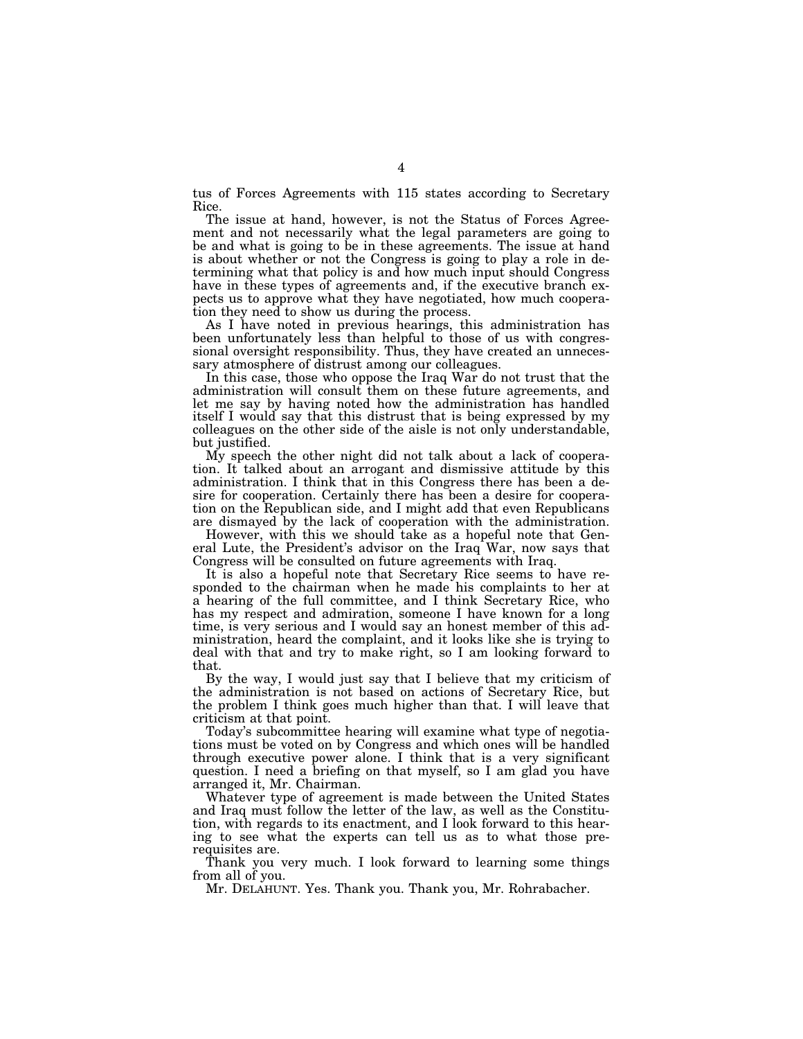tus of Forces Agreements with 115 states according to Secretary Rice.

The issue at hand, however, is not the Status of Forces Agreement and not necessarily what the legal parameters are going to be and what is going to be in these agreements. The issue at hand is about whether or not the Congress is going to play a role in determining what that policy is and how much input should Congress have in these types of agreements and, if the executive branch expects us to approve what they have negotiated, how much cooperation they need to show us during the process.

As I have noted in previous hearings, this administration has been unfortunately less than helpful to those of us with congressional oversight responsibility. Thus, they have created an unnecessary atmosphere of distrust among our colleagues.

In this case, those who oppose the Iraq War do not trust that the administration will consult them on these future agreements, and let me say by having noted how the administration has handled itself I would say that this distrust that is being expressed by my colleagues on the other side of the aisle is not only understandable, but justified.

My speech the other night did not talk about a lack of cooperation. It talked about an arrogant and dismissive attitude by this administration. I think that in this Congress there has been a desire for cooperation. Certainly there has been a desire for cooperation on the Republican side, and I might add that even Republicans are dismayed by the lack of cooperation with the administration.

However, with this we should take as a hopeful note that General Lute, the President's advisor on the Iraq War, now says that Congress will be consulted on future agreements with Iraq.

It is also a hopeful note that Secretary Rice seems to have responded to the chairman when he made his complaints to her at a hearing of the full committee, and I think Secretary Rice, who has my respect and admiration, someone I have known for a long time, is very serious and I would say an honest member of this administration, heard the complaint, and it looks like she is trying to deal with that and try to make right, so I am looking forward to that.

By the way, I would just say that I believe that my criticism of the administration is not based on actions of Secretary Rice, but the problem I think goes much higher than that. I will leave that criticism at that point.

Today's subcommittee hearing will examine what type of negotiations must be voted on by Congress and which ones will be handled through executive power alone. I think that is a very significant question. I need a briefing on that myself, so I am glad you have arranged it, Mr. Chairman.

Whatever type of agreement is made between the United States and Iraq must follow the letter of the law, as well as the Constitution, with regards to its enactment, and I look forward to this hearing to see what the experts can tell us as to what those prerequisites are.

Thank you very much. I look forward to learning some things from all of you.

Mr. DELAHUNT. Yes. Thank you. Thank you, Mr. Rohrabacher.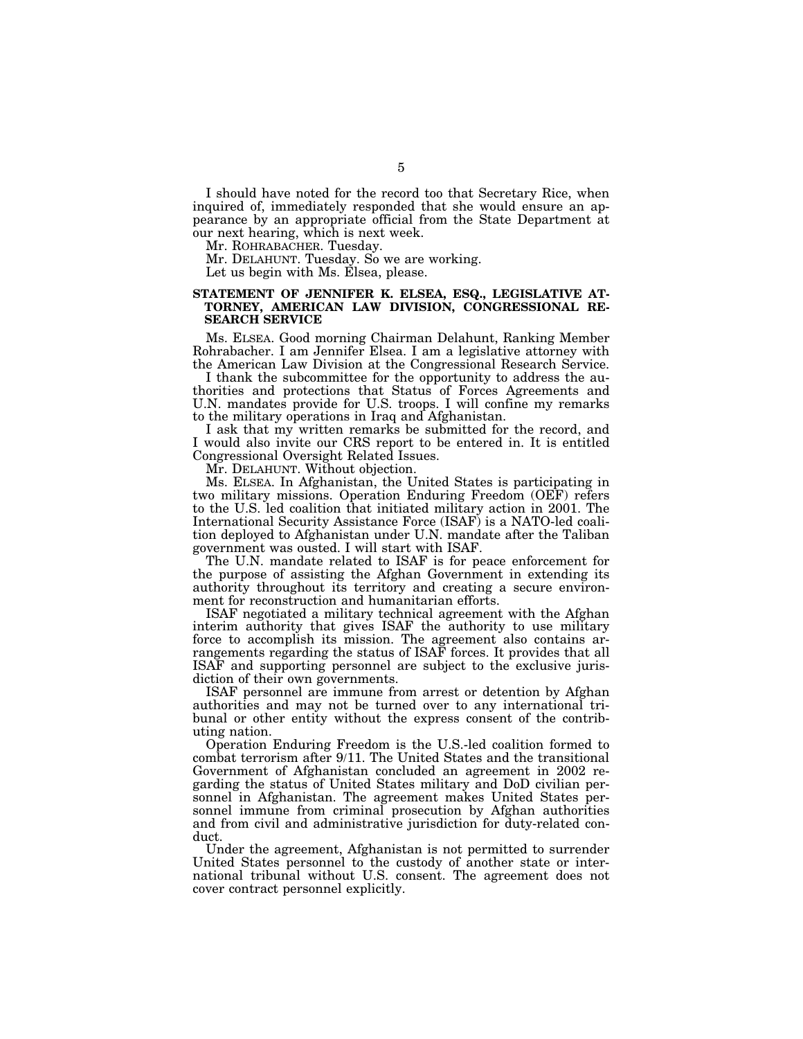I should have noted for the record too that Secretary Rice, when inquired of, immediately responded that she would ensure an appearance by an appropriate official from the State Department at our next hearing, which is next week.

Mr. ROHRABACHER. Tuesday.

Mr. DELAHUNT. Tuesday. So we are working.

Let us begin with Ms. Elsea, please.

#### **STATEMENT OF JENNIFER K. ELSEA, ESQ., LEGISLATIVE AT-TORNEY, AMERICAN LAW DIVISION, CONGRESSIONAL RE-SEARCH SERVICE**

Ms. ELSEA. Good morning Chairman Delahunt, Ranking Member Rohrabacher. I am Jennifer Elsea. I am a legislative attorney with the American Law Division at the Congressional Research Service.

I thank the subcommittee for the opportunity to address the authorities and protections that Status of Forces Agreements and U.N. mandates provide for U.S. troops. I will confine my remarks to the military operations in Iraq and Afghanistan.

I ask that my written remarks be submitted for the record, and I would also invite our CRS report to be entered in. It is entitled Congressional Oversight Related Issues.

Mr. DELAHUNT. Without objection.

Ms. ELSEA. In Afghanistan, the United States is participating in two military missions. Operation Enduring Freedom (OEF) refers to the U.S. led coalition that initiated military action in 2001. The International Security Assistance Force (ISAF) is a NATO-led coalition deployed to Afghanistan under U.N. mandate after the Taliban government was ousted. I will start with ISAF.

The U.N. mandate related to ISAF is for peace enforcement for the purpose of assisting the Afghan Government in extending its authority throughout its territory and creating a secure environment for reconstruction and humanitarian efforts.

ISAF negotiated a military technical agreement with the Afghan interim authority that gives ISAF the authority to use military force to accomplish its mission. The agreement also contains arrangements regarding the status of ISAF forces. It provides that all ISAF and supporting personnel are subject to the exclusive jurisdiction of their own governments.

ISAF personnel are immune from arrest or detention by Afghan authorities and may not be turned over to any international tribunal or other entity without the express consent of the contributing nation.

Operation Enduring Freedom is the U.S.-led coalition formed to combat terrorism after 9/11. The United States and the transitional Government of Afghanistan concluded an agreement in 2002 regarding the status of United States military and DoD civilian personnel in Afghanistan. The agreement makes United States personnel immune from criminal prosecution by Afghan authorities and from civil and administrative jurisdiction for duty-related conduct.

Under the agreement, Afghanistan is not permitted to surrender United States personnel to the custody of another state or international tribunal without U.S. consent. The agreement does not cover contract personnel explicitly.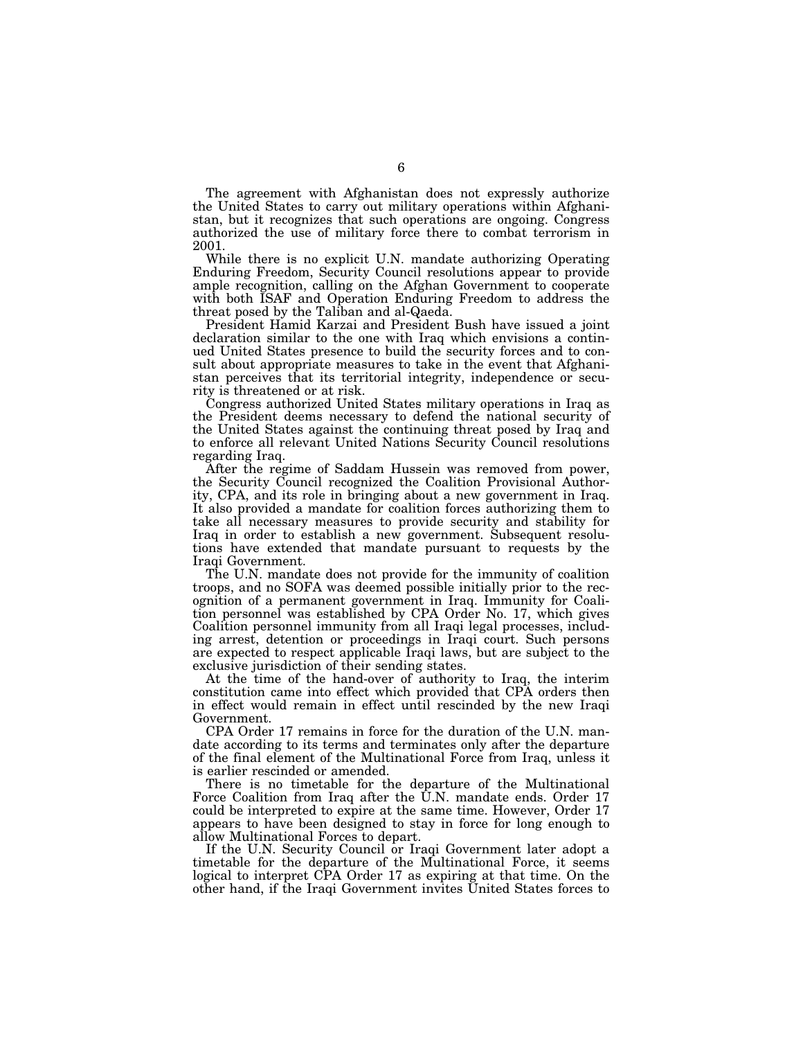The agreement with Afghanistan does not expressly authorize the United States to carry out military operations within Afghanistan, but it recognizes that such operations are ongoing. Congress authorized the use of military force there to combat terrorism in 2001.

While there is no explicit U.N. mandate authorizing Operating Enduring Freedom, Security Council resolutions appear to provide ample recognition, calling on the Afghan Government to cooperate with both ISAF and Operation Enduring Freedom to address the threat posed by the Taliban and al-Qaeda.

President Hamid Karzai and President Bush have issued a joint declaration similar to the one with Iraq which envisions a continued United States presence to build the security forces and to consult about appropriate measures to take in the event that Afghanistan perceives that its territorial integrity, independence or security is threatened or at risk.

Congress authorized United States military operations in Iraq as the President deems necessary to defend the national security of the United States against the continuing threat posed by Iraq and to enforce all relevant United Nations Security Council resolutions regarding Iraq.

After the regime of Saddam Hussein was removed from power, the Security Council recognized the Coalition Provisional Authority, CPA, and its role in bringing about a new government in Iraq. It also provided a mandate for coalition forces authorizing them to take all necessary measures to provide security and stability for Iraq in order to establish a new government. Subsequent resolutions have extended that mandate pursuant to requests by the Iraqi Government.

The U.N. mandate does not provide for the immunity of coalition troops, and no SOFA was deemed possible initially prior to the recognition of a permanent government in Iraq. Immunity for Coalition personnel was established by CPA Order No. 17, which gives Coalition personnel immunity from all Iraqi legal processes, including arrest, detention or proceedings in Iraqi court. Such persons are expected to respect applicable Iraqi laws, but are subject to the exclusive jurisdiction of their sending states.

At the time of the hand-over of authority to Iraq, the interim constitution came into effect which provided that CPA orders then in effect would remain in effect until rescinded by the new Iraqi Government.

CPA Order 17 remains in force for the duration of the U.N. mandate according to its terms and terminates only after the departure of the final element of the Multinational Force from Iraq, unless it is earlier rescinded or amended.

There is no timetable for the departure of the Multinational Force Coalition from Iraq after the U.N. mandate ends. Order 17 could be interpreted to expire at the same time. However, Order 17 appears to have been designed to stay in force for long enough to allow Multinational Forces to depart.

If the U.N. Security Council or Iraqi Government later adopt a timetable for the departure of the Multinational Force, it seems logical to interpret CPA Order 17 as expiring at that time. On the other hand, if the Iraqi Government invites United States forces to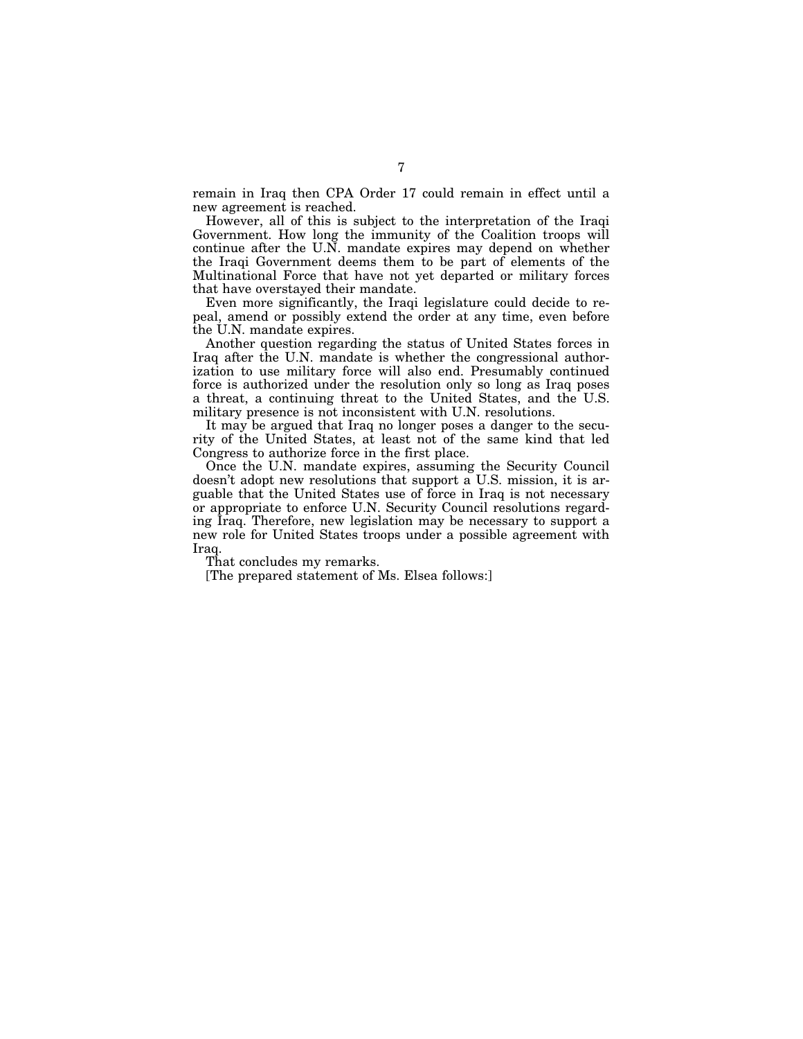remain in Iraq then CPA Order 17 could remain in effect until a new agreement is reached.

However, all of this is subject to the interpretation of the Iraqi Government. How long the immunity of the Coalition troops will continue after the U.N. mandate expires may depend on whether the Iraqi Government deems them to be part of elements of the Multinational Force that have not yet departed or military forces that have overstayed their mandate.

Even more significantly, the Iraqi legislature could decide to repeal, amend or possibly extend the order at any time, even before the U.N. mandate expires.

Another question regarding the status of United States forces in Iraq after the U.N. mandate is whether the congressional authorization to use military force will also end. Presumably continued force is authorized under the resolution only so long as Iraq poses a threat, a continuing threat to the United States, and the U.S. military presence is not inconsistent with U.N. resolutions.

It may be argued that Iraq no longer poses a danger to the security of the United States, at least not of the same kind that led Congress to authorize force in the first place.

Once the U.N. mandate expires, assuming the Security Council doesn't adopt new resolutions that support a U.S. mission, it is arguable that the United States use of force in Iraq is not necessary or appropriate to enforce U.N. Security Council resolutions regarding Iraq. Therefore, new legislation may be necessary to support a new role for United States troops under a possible agreement with Iraq.

That concludes my remarks.

[The prepared statement of Ms. Elsea follows:]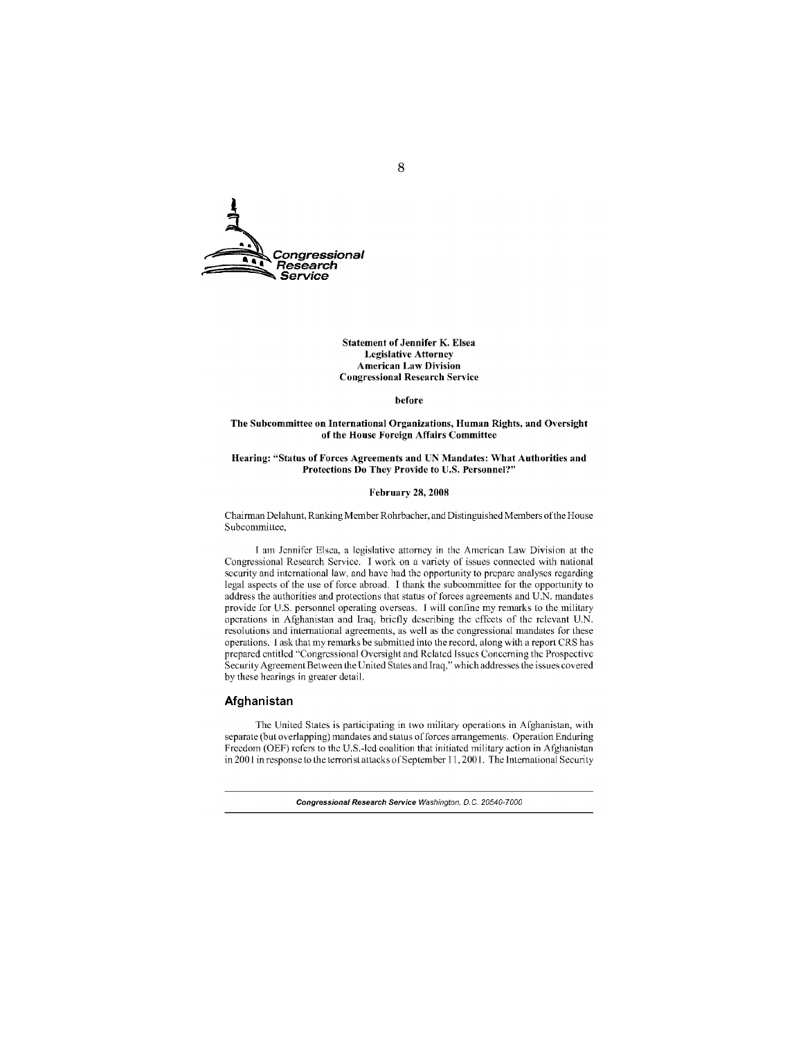

**Statement of Jennifer K. Elsea Legislative Attorney American Law Division Congressional Research Service** 

before

#### The Subcommittee on International Organizations, Human Rights, and Oversight of the House Foreign Affairs Committee

#### Hearing: "Status of Forces Agreements and UN Mandates: What Authorities and Protections Do They Provide to U.S. Personnel?"

#### **February 28, 2008**

Chairman Delahunt, Ranking Member Rohrbacher, and Distinguished Members of the House Subcommittee,

I am Jennifer Elsea, a legislative attorney in the American Law Division at the Congressional Research Service. I work on a variety of issues connected with national security and international law, and have had the opportunity to prepare analyses regarding legal aspects of the use of force abroad. I thank the subcommittee for the opportunity to address the authorities and protections that status of forces agreements and U.N. mandates provide for U.S. personnel operating overseas. I will confine my remarks to the military operations in Afghanistan and Iraq, briefly describing the effects of the relevant U.N. resolutions and international agreements, as well as the congressional mandates for these operations. I ask that my remarks be submitted into the record, along with a report CRS has prepared entitled "Congressional Oversight and Related Issues Concerning the Prospective Security Agreement Between the United States and Iraq," which addresses the issues covered by these hearings in greater detail.

### Afghanistan

The United States is participating in two military operations in Afghanistan, with separate (but overlapping) mandates and status of forces arrangements. Operation Enduring Freedom (OEF) refers to the U.S.-led coalition that initiated military action in Afghanistan in 2001 in response to the terrorist attacks of September 11, 2001. The International Security

Congressional Research Service Washington, D.C. 20540-7000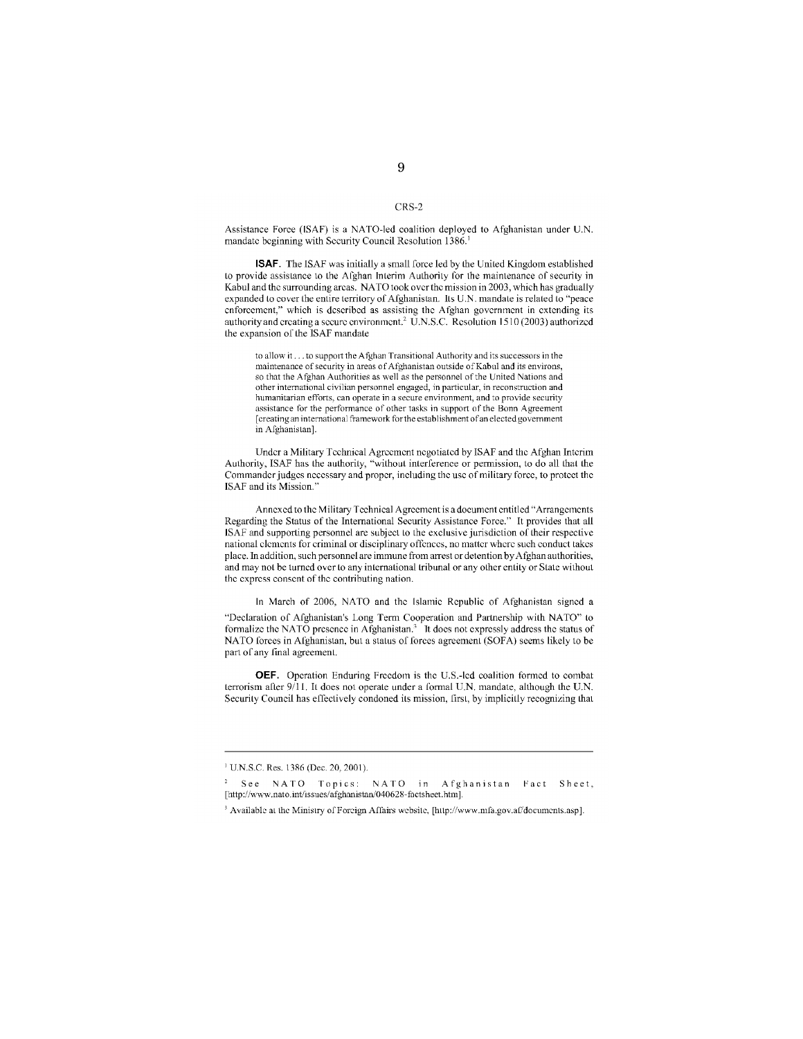Assistance Force (ISAF) is a NATO-led coalition deployed to Afghanistan under U.N. mandate beginning with Security Council Resolution 1386.1

**ISAF.** The ISAF was initially a small force led by the United Kingdom established to provide assistance to the Afghan Interim Authority for the maintenance of security in Kabul and the surrounding areas. NATO took over the mission in 2003, which has gradually expanded to cover the entire territory of Afghanistan. Its U.N. mandate is related to "peace enforcement," which is described as assisting the Afghan government in extending its authority and creating a secure environment.<sup>2</sup> U.N.S.C. Resolution 1510 (2003) authorized the expansion of the ISAF mandate

to allow it... to support the Afghan Transitional Authority and its successors in the maintenance of security in areas of Afghanistan outside of Kabul and its environs, so that the Afghan Authorities as well as the personnel of the United Nations and other international civilian personnel engaged, in particular, in reconstruction and humanitarian efforts, can operate in a secure environment, and to provide security assistance for the performance of other tasks in support of the Bonn Agreement [creating an international framework for the establishment of an elected government in Afghanistan].

Under a Military Technical Agreement negotiated by ISAF and the Afghan Interim Authority, ISAF has the authority, "without interference or permission, to do all that the Commander judges necessary and proper, including the use of military force, to protect the ISAF and its Mission."

Annexed to the Military Technical Agreement is a document entitled "Arrangements" Regarding the Status of the International Security Assistance Force." It provides that all ISAF and supporting personnel are subject to the exclusive jurisdiction of their respective national elements for criminal or disciplinary offences, no matter where such conduct takes place. In addition, such personnel are immune from arrest or detention by Afghan authorities, and may not be turned over to any international tribunal or any other entity or State without the express consent of the contributing nation.

In March of 2006, NATO and the Islamic Republic of Afghanistan signed a "Declaration of Afghanistan's Long Term Cooperation and Partnership with NATO" to formalize the NATO presence in Afghanistan.<sup>3</sup> It does not expressly address the status of NATO forces in Afghanistan, but a status of forces agreement (SOFA) seems likely to be part of any final agreement.

OEF. Operation Enduring Freedom is the U.S.-led coalition formed to combat terrorism after 9/11. It does not operate under a formal U.N. mandate, although the U.N. Security Council has effectively condoned its mission, first, by implicitly recognizing that

<sup>&</sup>lt;sup>1</sup> U.N.S.C. Res. 1386 (Dec. 20, 2001).

<sup>&</sup>lt;sup>2</sup> See NATO Topics: NATO in Afghanistan Fact Sheet, [http://www.nato.int/issues/afghanistan/040628-factsheet.htm].

<sup>&</sup>lt;sup>3</sup> Available at the Ministry of Foreign Affairs website, [http://www.mfa.gov.af/documents.asp].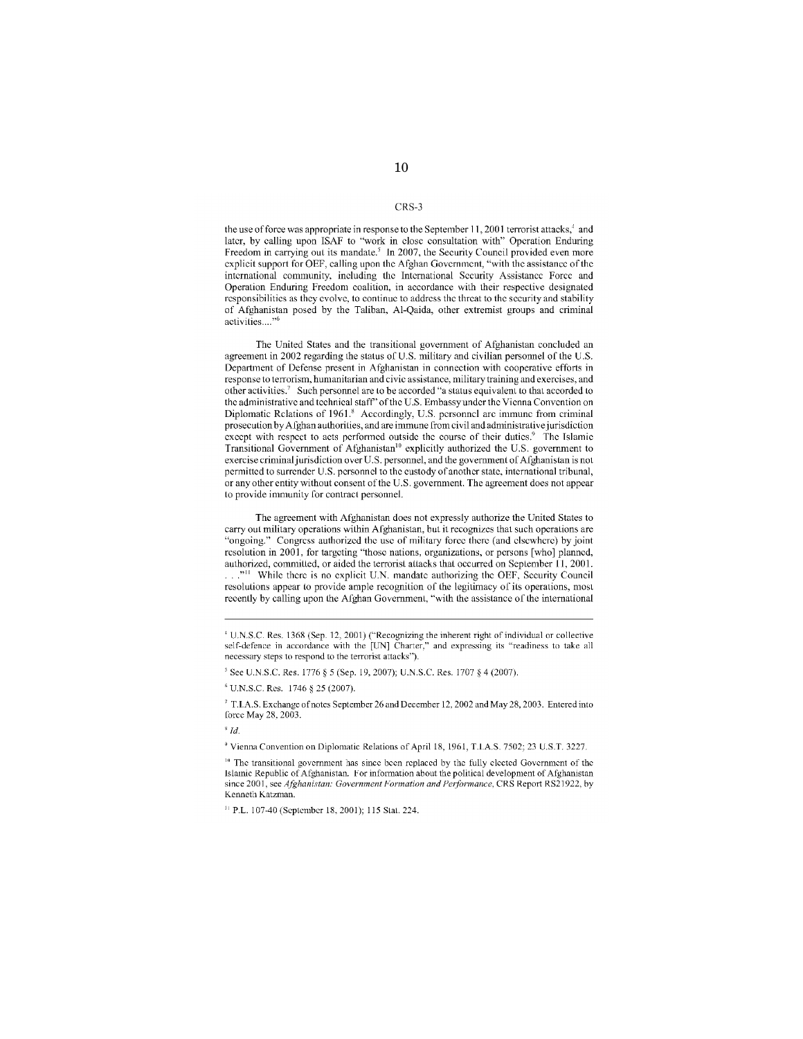the use of force was appropriate in response to the September 11, 2001 terrorist attacks,<sup>4</sup> and later, by calling upon ISAF to "work in close consultation with" Operation Enduring Freedom in carrying out its mandate.<sup>5</sup> In 2007, the Security Council provided even more explicit support for OEF, calling upon the Afghan Government, "with the assistance of the international community, including the International Security Assistance Force and Operation Enduring Freedom coalition, in accordance with their respective designated responsibilities as they evolve, to continue to address the threat to the security and stability of Afghanistan posed by the Taliban, Al-Qaida, other extremist groups and criminal activities..."<sup>6</sup>

The United States and the transitional government of Afghanistan concluded an agreement in 2002 regarding the status of U.S. military and civilian personnel of the U.S. Department of Defense present in Afghanistan in connection with cooperative efforts in response to terrorism, humanitarian and civic assistance, military training and exercises, and other activities.<sup>7</sup> Such personnel are to be accorded "a status equivalent to that accorded to the administrative and technical staff" of the U.S. Embassy under the Vienna Convention on Diplomatic Relations of 1961.<sup>8</sup> Accordingly, U.S. personnel are immune from criminal prosecution by Afghan authorities, and are immune from civil and administrative jurisdiction except with respect to acts performed outside the course of their duties.<sup>9</sup> The Islamic Transitional Government of Afghanistan<sup>10</sup> explicitly authorized the U.S. government to exercise criminal jurisdiction over U.S. personnel, and the government of Afghanistan is not permitted to surrender U.S. personnel to the eustody of another state, international tribunal, or any other entity without consent of the U.S. government. The agreement does not appear to provide immunity for contract personnel.

The agreement with Afghanistan does not expressly authorize the United States to carry out military operations within Afghanistan, but it recognizes that such operations are "ongoing." Congress authorized the use of military force there (and elsewhere) by joint resolution in 2001, for targeting "those nations, organizations, or persons [who] planned, authorized, committed, or aided the terrorist attacks that occurred on September 11, 2001. <sup>11</sup> While there is no explicit U.N. mandate authorizing the OEF, Security Council . . . . 1 resolutions appear to provide ample recognition of the legitimacy of its operations, most recently by calling upon the Afghan Government, "with the assistance of the international

 $^{\circ}$  Id.

<sup>9</sup> Vienna Convention on Diplomatic Relations of April 18, 1961, T.I.A.S. 7502; 23 U.S.T. 3227.

<sup>&</sup>lt;sup>4</sup> U.N.S.C. Res. 1368 (Sep. 12, 2001) ("Recognizing the inherent right of individual or collective self-defence in accordance with the [UN] Charter," and expressing its "readiness to take all necessary steps to respond to the terrorist attacks").

<sup>&</sup>lt;sup>5</sup> See U.N.S.C. Res. 1776 § 5 (Sep. 19, 2007); U.N.S.C. Res. 1707 § 4 (2007).

<sup>&</sup>lt;sup>6</sup> U.N.S.C. Res. 1746 § 25 (2007).

 $^7$  T.I.A.S. Exchange of notes September 26 and December 12, 2002 and May 28, 2003. Entered into force May 28, 2003.

<sup>&</sup>lt;sup>10</sup> The transitional government has since been replaced by the fully elected Government of the Islamic Republic of Afghanistan. For information about the political development of Afghanistan since 2001, see Afghanistan: Government Formation and Performance, CRS Report RS21922, by Kenneth Katzman.

<sup>&</sup>lt;sup>11</sup> P.L. 107-40 (September 18, 2001); 115 Stat. 224.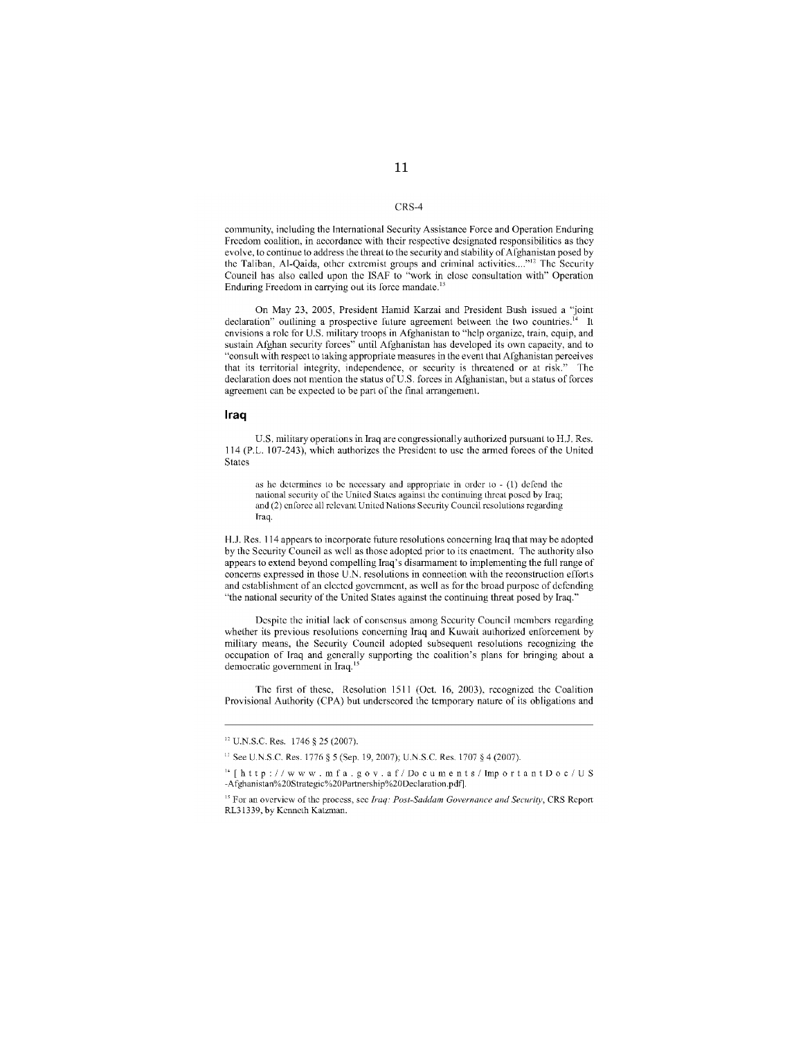community, including the International Security Assistance Force and Operation Enduring Freedom coalition, in accordance with their respective designated responsibilities as they evolve, to continue to address the threat to the security and stability of Afghanistan posed by the Taliban, Al-Qaida, other extremist groups and criminal activities...."<sup>12</sup> The Security Council has also called upon the ISAF to "work in close consultation with" Operation Enduring Freedom in carrying out its force mandate.<sup>13</sup>

On May 23, 2005, President Hamid Karzai and President Bush issued a "joint declaration" outlining a prospective future agreement between the two countries.<sup>14</sup> It envisions a role for U.S. military troops in Afghanistan to "help organize, train, equip, and sustain Afghan security forces" until Afghanistan has developed its own capacity, and to "consult with respect to taking appropriate measures in the event that Afghanistan perceives that its territorial integrity, independence, or security is threatened or at risk." The declaration does not mention the status of U.S. forces in Afghanistan, but a status of forces agreement can be expected to be part of the final arrangement.

#### Iraq

U.S. military operations in Iraq are congressionally authorized pursuant to H.J. Res. 114 (P.L. 107-243), which authorizes the President to use the armed forces of the United States

as he determines to be necessary and appropriate in order to - (1) defend the national security of the United States against the continuing threat posed by Iraq; and (2) enforce all relevant United Nations Security Council resolutions regarding Iraq.

H.J. Res. 114 appears to incorporate future resolutions concerning Iraq that may be adopted by the Security Council as well as those adopted prior to its enactment. The authority also appears to extend beyond compelling Iraq's disarmament to implementing the full range of concerns expressed in those U.N. resolutions in connection with the reconstruction efforts and establishment of an elected government, as well as for the broad purpose of defending "the national security of the United States against the continuing threat posed by Iraq."

Despite the initial lack of consensus among Security Council members regarding whether its previous resolutions concerning Iraq and Kuwait authorized enforcement by military means, the Security Council adopted subsequent resolutions recognizing the occupation of Iraq and generally supporting the coalition's plans for bringing about a democratic government in Iraq.<sup>15</sup>

The first of these, Resolution 1511 (Oct. 16, 2003), recognized the Coalition Provisional Authority (CPA) but underscored the temporary nature of its obligations and

<sup>&</sup>lt;sup>12</sup> U.N.S.C. Res. 1746 § 25 (2007).

<sup>&</sup>lt;sup>13</sup> See U.N.S.C. Res. 1776 § 5 (Sep. 19, 2007); U.N.S.C. Res. 1707 § 4 (2007).

 $14$  [  $h$  t t p : //www.mfa.gov.af/Documents/Important Doc/US -Afghanistan%20Strategic%20Partnership%20Declaration.pdf].

<sup>&</sup>lt;sup>15</sup> For an overview of the process, see Iraq: Post-Saddam Governance and Security, CRS Report RL31339, by Kenneth Katzman.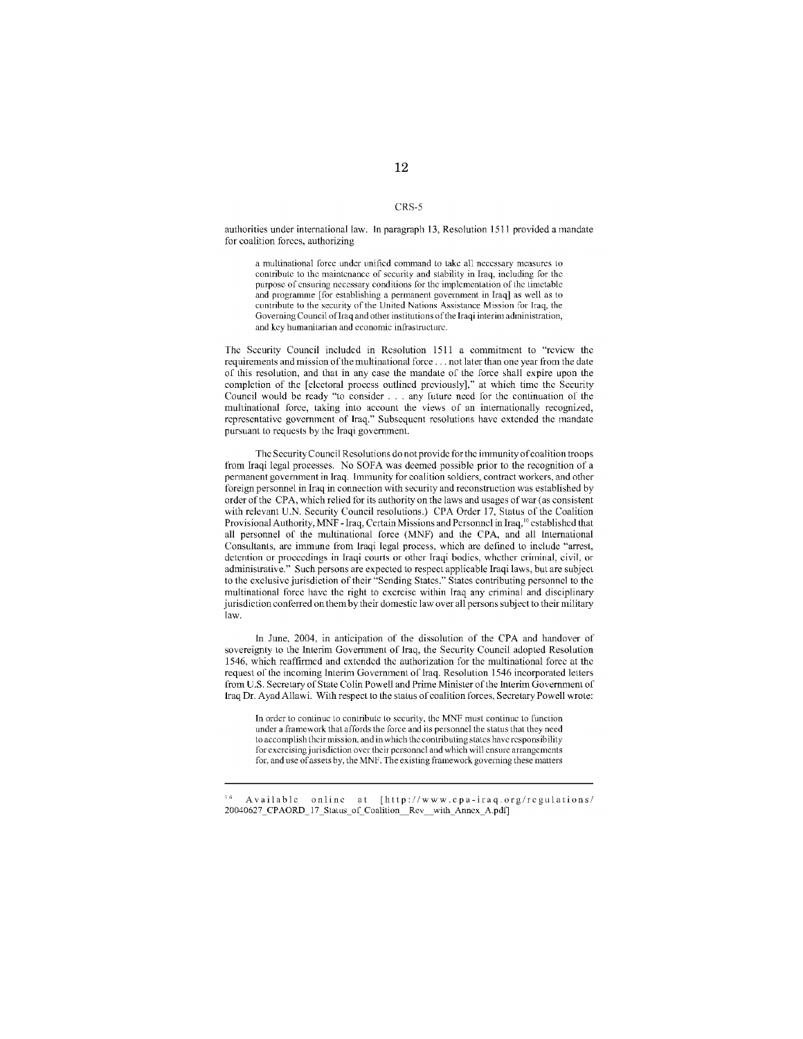authorities under international law. In paragraph 13, Resolution 1511 provided a mandate for coalition forces, authorizing

a multinational force under unified command to take all necessary measures to contribute to the maintenance of security and stability in Iraq, including for the purpose of ensuring necessary conditions for the implementation of the timetable and programme [for establishing a permanent government in Iraq] as well as to contribute to the security of the United Nations Assistance Mission for Iraq, the Governing Council of Iraq and other institutions of the Iraqi interim administration, and key humanitarian and economic infrastructure.

The Security Council included in Resolution 1511 a commitment to "review the requirements and mission of the multinational force ... not later than one year from the date of this resolution, and that in any case the mandate of the force shall expire upon the completion of the [electoral process outlined previously]," at which time the Security Council would be ready "to consider . . . any future need for the continuation of the multinational force, taking into account the views of an internationally recognized, representative government of Iraq." Subsequent resolutions have extended the mandate pursuant to requests by the Iraqi government.

The Security Council Resolutions do not provide for the immunity of coalition troops from Iraqi legal processes. No SOFA was deemed possible prior to the recognition of a permanent government in Iraq. Immunity for coalition soldiers, contract workers, and other foreign personnel in Iraq in connection with security and reconstruction was established by order of the CPA, which relied for its authority on the laws and usages of war (as consistent with relevant U.N. Security Council resolutions.) CPA Order 17, Status of the Coalition Provisional Authority, MNF - Iraq, Certain Missions and Personnel in Iraq,<sup>16</sup> established that all personnel of the multinational force (MNF) and the CPA, and all International Consultants, are immune from Iraqi legal process, which are defined to include "arrest, detention or proceedings in Iraqi courts or other Iraqi bodies, whether eriminal, civil, or administrative." Such persons are expected to respect applicable Iraqi laws, but are subject to the exclusive jurisdiction of their "Sending States." States contributing personnel to the multinational force have the right to exercise within Iraq any criminal and disciplinary jurisdiction conferred on them by their domestic law over all persons subject to their military law

In June, 2004, in anticipation of the dissolution of the CPA and handover of sovereignty to the Interim Government of Iraq, the Security Council adopted Resolution 1546, which reaffirmed and extended the authorization for the multinational force at the request of the incoming Interim Government of Iraq. Resolution 1546 incorporated letters from U.S. Secretary of State Colin Powell and Prime Minister of the Interim Government of Iraq Dr. Ayad Allawi. With respect to the status of coalition forces, Secretary Powell wrote:

In order to continue to contribute to security, the MNF must continue to function under a framework that affords the force and its personnel the status that they need to accomplish their mission, and in which the contributing states have responsibility for exercising jurisdiction over their personnel and which will ensure arrangements for, and use of assets by, the MNF. The existing framework governing these matters

Available online at [http://www.cpa-iraq.org/regulations/ 20040627\_CPAORD\_17\_Status\_of\_Coalition\_Rev\_with\_Annex\_A.pdf]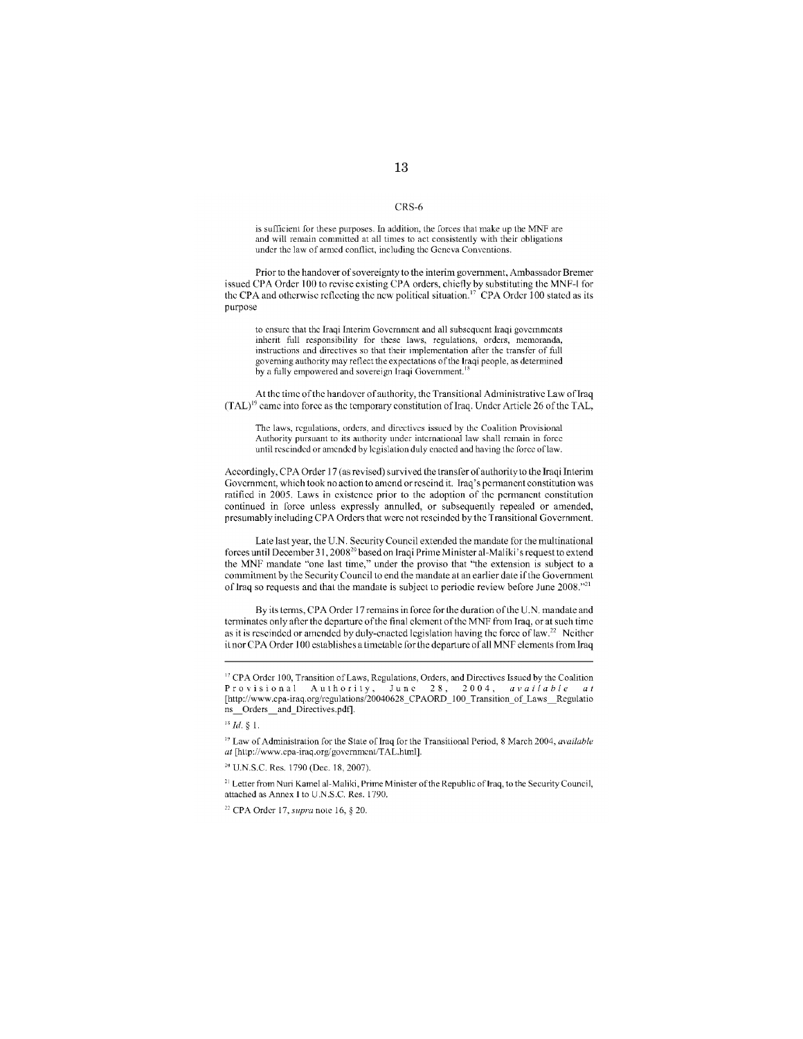is sufficient for these purposes. In addition, the forces that make up the MNF are and will remain committed at all times to act consistently with their obligations under the law of armed conflict, including the Geneva Conventions.

Prior to the handover of sovereignty to the interim government, Ambassador Bremer issued CPA Order 100 to revise existing CPA orders, chiefly by substituting the MNF-I for the CPA and otherwise reflecting the new political situation.<sup>17</sup> CPA Order 100 stated as its purpose

to ensure that the Iraqi Interim Government and all subsequent Iraqi governments inherit full responsibility for these laws, regulations, orders, memoranda, instructions and directives so that their implementation after the transfer of full governing authority may reflect the expectations of the Iraqi people, as determined by a fully empowered and sovereign Iraqi Government.<sup>11</sup>

At the time of the handover of authority, the Transitional Administrative Law of Iraq (TAL)<sup>19</sup> came into force as the temporary constitution of Iraq. Under Article 26 of the TAL,

The laws, regulations, orders, and directives issued by the Coalition Provisional Authority pursuant to its authority under international law shall remain in force until rescinded or amended by legislation duly enacted and having the force of law.

Accordingly, CPA Order 17 (as revised) survived the transfer of authority to the Iraqi Interim Government, which took no action to amend or reseind it. Iraq's permanent constitution was ratified in 2005. Laws in existence prior to the adoption of the permanent constitution continued in force unless expressly annulled, or subsequently repealed or amended, presumably including CPA Orders that were not rescinded by the Transitional Government.

Late last year, the U.N. Security Council extended the mandate for the multinational forces until December 31, 2008<sup>20</sup> based on Iraqi Prime Minister al-Maliki's request to extend the MNF mandate "one last time," under the proviso that "the extension is subject to a commitment by the Security Council to end the mandate at an earlier date if the Government of Iraq so requests and that the mandate is subject to periodic review before June 2008."<sup>21</sup>

By its terms, CPA Order 17 remains in force for the duration of the U.N. mandate and terminates only after the departure of the final element of the MNF from Iraq, or at such time as it is rescinded or amended by duly-enacted legislation having the force of law.<sup>22</sup> Neither it nor CPA Order 100 establishes a timetable for the departure of all MNF elements from Iraq

<sup>19</sup> Law of Administration for the State of Iraq for the Transitional Period, 8 March 2004, available at [http://www.cpa-iraq.org/government/TAL.html].

<sup>20</sup> U.N.S.C. Res. 1790 (Dec. 18, 2007).

<sup>21</sup> Letter from Nuri Kamel al-Maliki, Prime Minister of the Republic of Iraq, to the Security Council, attached as Annex I to U.N.S.C. Res. 1790.

<sup>22</sup> CPA Order 17, supra note 16, § 20.

### 13

<sup>&</sup>lt;sup>17</sup> CPA Order 100, Transition of Laws, Regulations, Orders, and Directives Issued by the Coalition  $P r o v i s i o n a 1$  Authority, June 28, 2004, available at [http://www.cpa-iraq.org/rcgulations/20040628\_CPAORD\_100\_Transition\_of\_Laws\_\_Regulation ns\_Orders\_and\_Directives.pdf].

 $18$  *Id.* § 1.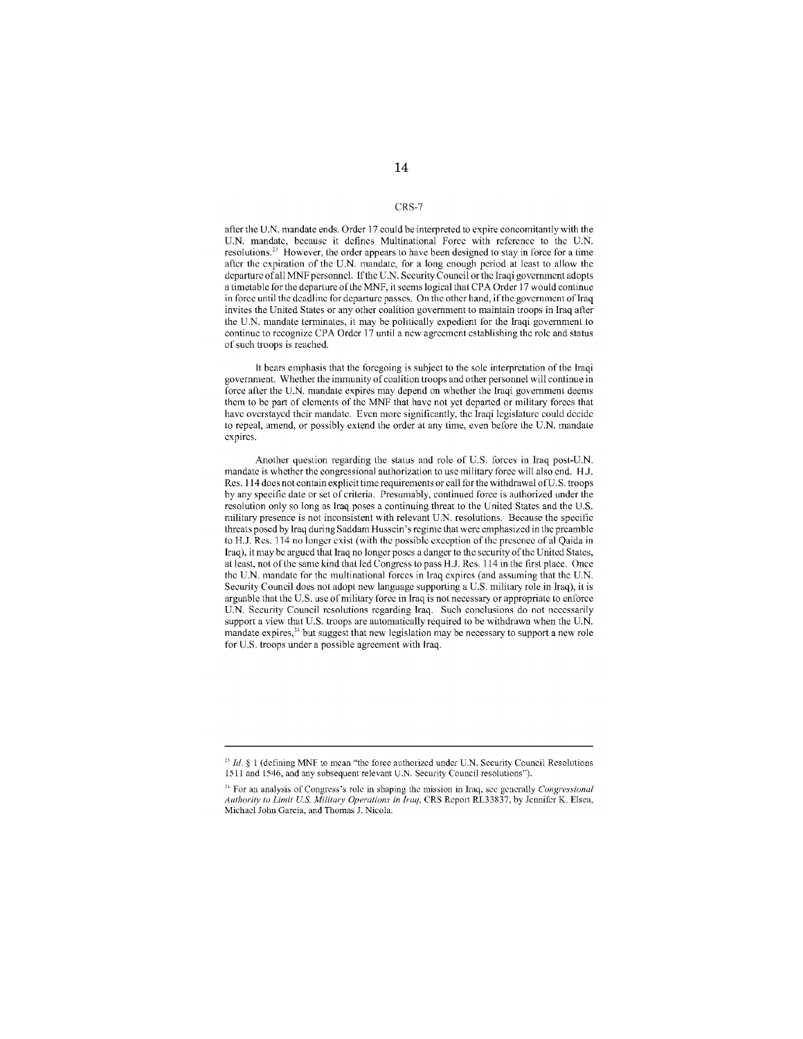after the U.N. mandate ends. Order 17 could be interpreted to expire concomitantly with the U.N. mandate, because it defines Multinational Force with reference to the U.N. resolutions.<sup>23</sup> However, the order appears to have been designed to stay in force for a time after the expiration of the U.N. mandate, for a long enough period at least to allow the departure of all MNF personnel. If the U.N. Security Council or the Iraqi government adopts a timetable for the departure of the MNF, it seems logical that CPA Order 17 would continue in force until the deadline for departure passes. On the other hand, if the government of Iraq invites the United States or any other coalition government to maintain troops in Iraq after the U.N. mandate terminates, it may be politically expedient for the Iraqi government to continue to recognize CPA Order 17 until a new agreement establishing the role and status of such troops is reached.

It bears emphasis that the foregoing is subject to the sole interpretation of the Iraqi government. Whether the immunity of coalition troops and other personnel will continue in force after the U.N. mandate expires may depend on whether the Iraqi government deems them to be part of elements of the MNF that have not yet departed or military forces that have overstayed their mandate. Even more significantly, the Iraqi legislature could decide to repeal, amend, or possibly extend the order at any time, even before the U.N. mandate expires.

Another question regarding the status and role of U.S. forces in Iraq post-U.N. mandate is whether the congressional authorization to use military force will also end. H.J. Res. 114 does not contain explicit time requirements or call for the withdrawal of U.S. troops by any specific date or set of criteria. Presumably, continued force is authorized under the resolution only so long as Iraq poses a continuing threat to the United States and the U.S. military presence is not inconsistent with relevant U.N. resolutions. Because the specific threats posed by Iraq during Saddam Hussein's regime that were emphasized in the preamble to H.J. Res. 114 no longer exist (with the possible exception of the presence of al Qaida in Iraq), it may be argued that Iraq no longer poses a danger to the security of the United States, at least, not of the same kind that led Congress to pass H.J. Res. 114 in the first place. Once the U.N. mandate for the multinational forces in Iraq expires (and assuming that the U.N. Security Council does not adopt new language supporting a U.S. military role in Iraq), it is arguable that the U.S. use of military force in Iraq is not necessary or appropriate to enforce U.N. Security Council resolutions regarding Iraq. Such conclusions do not necessarily support a view that U.S. troops are automatically required to be withdrawn when the U.N. mandate expires,<sup>24</sup> but suggest that new legislation may be necessary to support a new role for U.S. troops under a possible agreement with Iraq.

 $^{23}$  *Id.* § 1 (defining MNF to mean "the force authorized under U.N. Security Council Resolutions 1511 and 1546, and any subsequent relevant U.N. Security Council resolutions").

<sup>&</sup>lt;sup>24</sup> For an analysis of Congress's role in shaping the mission in Iraq, see generally Congressional Authority to Limit U.S. Military Operations in Iraq, CRS Report RL33837, by Jennifer K. Elsea, Michael John Garcia, and Thomas J. Nicola.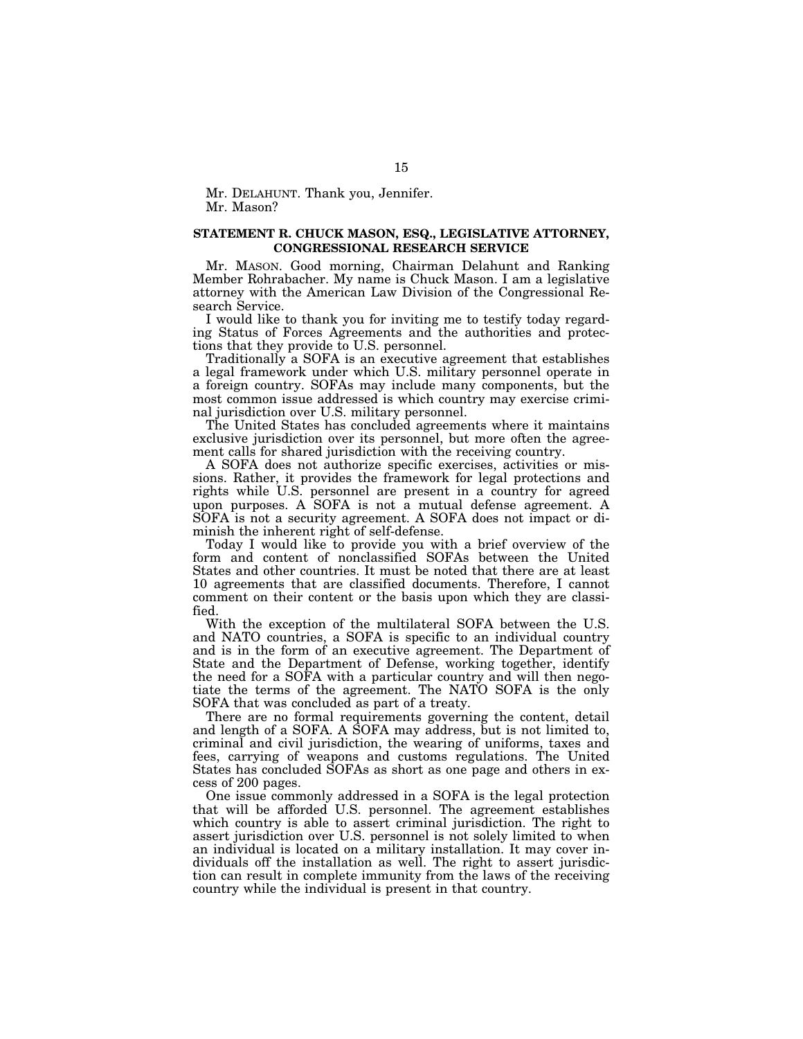Mr. DELAHUNT. Thank you, Jennifer. Mr. Mason?

### **STATEMENT R. CHUCK MASON, ESQ., LEGISLATIVE ATTORNEY, CONGRESSIONAL RESEARCH SERVICE**

Mr. MASON. Good morning, Chairman Delahunt and Ranking Member Rohrabacher. My name is Chuck Mason. I am a legislative attorney with the American Law Division of the Congressional Research Service.

I would like to thank you for inviting me to testify today regarding Status of Forces Agreements and the authorities and protections that they provide to U.S. personnel.

Traditionally a SOFA is an executive agreement that establishes a legal framework under which U.S. military personnel operate in a foreign country. SOFAs may include many components, but the most common issue addressed is which country may exercise criminal jurisdiction over U.S. military personnel.

The United States has concluded agreements where it maintains exclusive jurisdiction over its personnel, but more often the agreement calls for shared jurisdiction with the receiving country.

A SOFA does not authorize specific exercises, activities or missions. Rather, it provides the framework for legal protections and rights while U.S. personnel are present in a country for agreed upon purposes. A SOFA is not a mutual defense agreement. A SOFA is not a security agreement. A SOFA does not impact or diminish the inherent right of self-defense.

Today I would like to provide you with a brief overview of the form and content of nonclassified SOFAs between the United States and other countries. It must be noted that there are at least 10 agreements that are classified documents. Therefore, I cannot comment on their content or the basis upon which they are classified.

With the exception of the multilateral SOFA between the U.S. and NATO countries, a SOFA is specific to an individual country and is in the form of an executive agreement. The Department of State and the Department of Defense, working together, identify the need for a SOFA with a particular country and will then negotiate the terms of the agreement. The NATO SOFA is the only SOFA that was concluded as part of a treaty.

There are no formal requirements governing the content, detail and length of a SOFA. A SOFA may address, but is not limited to, criminal and civil jurisdiction, the wearing of uniforms, taxes and fees, carrying of weapons and customs regulations. The United States has concluded SOFAs as short as one page and others in excess of 200 pages.

One issue commonly addressed in a SOFA is the legal protection that will be afforded U.S. personnel. The agreement establishes which country is able to assert criminal jurisdiction. The right to assert jurisdiction over U.S. personnel is not solely limited to when an individual is located on a military installation. It may cover individuals off the installation as well. The right to assert jurisdiction can result in complete immunity from the laws of the receiving country while the individual is present in that country.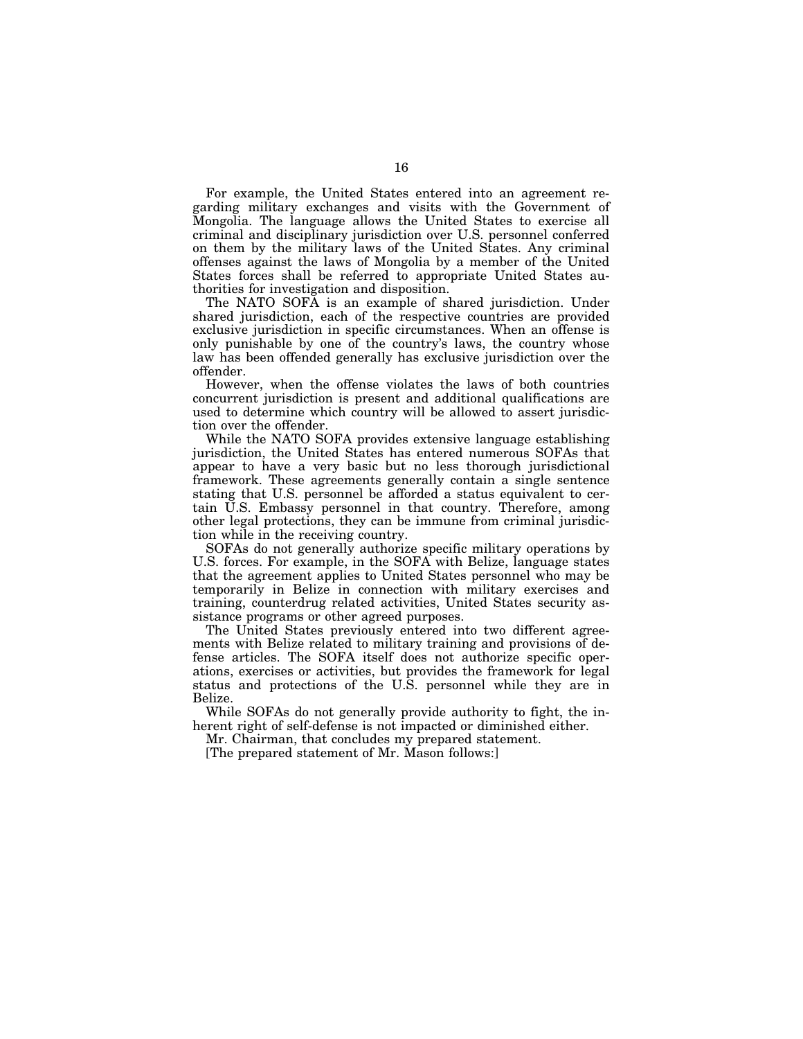For example, the United States entered into an agreement regarding military exchanges and visits with the Government of Mongolia. The language allows the United States to exercise all criminal and disciplinary jurisdiction over U.S. personnel conferred on them by the military laws of the United States. Any criminal offenses against the laws of Mongolia by a member of the United States forces shall be referred to appropriate United States authorities for investigation and disposition.

The NATO SOFA is an example of shared jurisdiction. Under shared jurisdiction, each of the respective countries are provided exclusive jurisdiction in specific circumstances. When an offense is only punishable by one of the country's laws, the country whose law has been offended generally has exclusive jurisdiction over the offender.

However, when the offense violates the laws of both countries concurrent jurisdiction is present and additional qualifications are used to determine which country will be allowed to assert jurisdiction over the offender.

While the NATO SOFA provides extensive language establishing jurisdiction, the United States has entered numerous SOFAs that appear to have a very basic but no less thorough jurisdictional framework. These agreements generally contain a single sentence stating that U.S. personnel be afforded a status equivalent to certain U.S. Embassy personnel in that country. Therefore, among other legal protections, they can be immune from criminal jurisdiction while in the receiving country.

SOFAs do not generally authorize specific military operations by U.S. forces. For example, in the SOFA with Belize, language states that the agreement applies to United States personnel who may be temporarily in Belize in connection with military exercises and training, counterdrug related activities, United States security assistance programs or other agreed purposes.

The United States previously entered into two different agreements with Belize related to military training and provisions of defense articles. The SOFA itself does not authorize specific operations, exercises or activities, but provides the framework for legal status and protections of the U.S. personnel while they are in Belize.

While SOFAs do not generally provide authority to fight, the inherent right of self-defense is not impacted or diminished either.

Mr. Chairman, that concludes my prepared statement.

[The prepared statement of Mr. Mason follows:]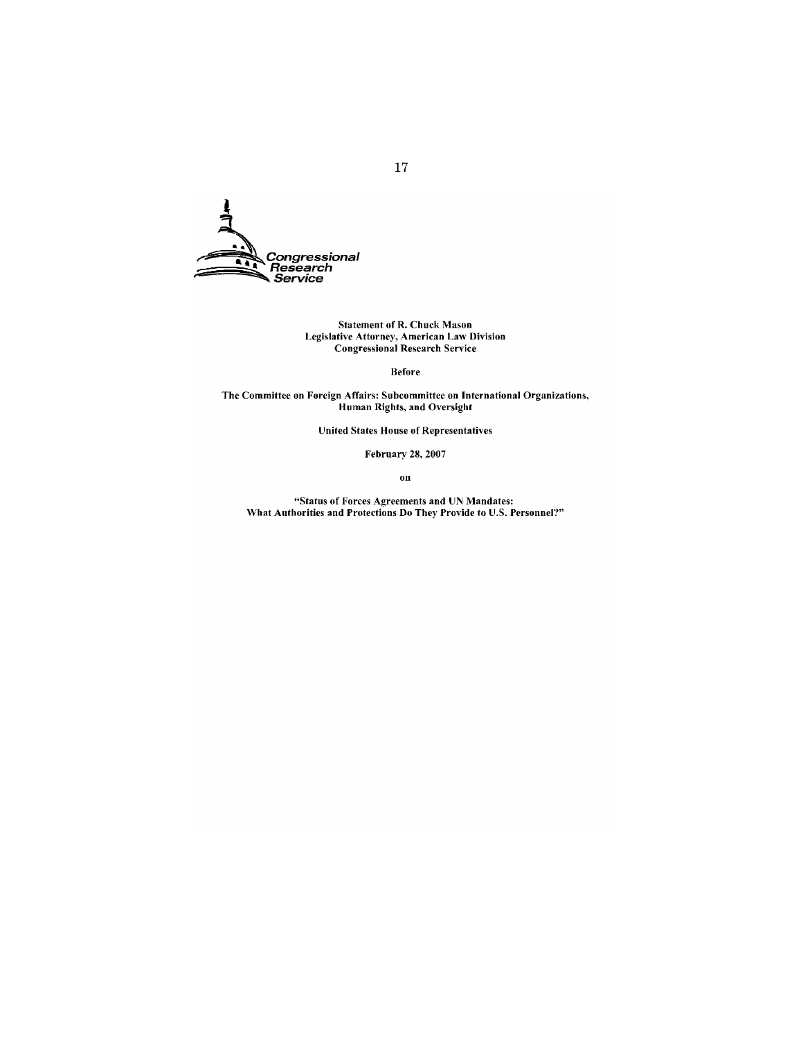

**Statement of R. Chuck Mason** Legislative Attorney, American Law Division **Congressional Research Service** 

**Before** 

The Committee on Foreign Affairs: Subcommittee on International Organizations, Human Rights, and Oversight

**United States House of Representatives** 

**February 28, 2007** 

 $\mathbf{on}$ 

"Status of Forces Agreements and UN Mandates:<br>What Authorities and Protections Do They Provide to U.S. Personnel?"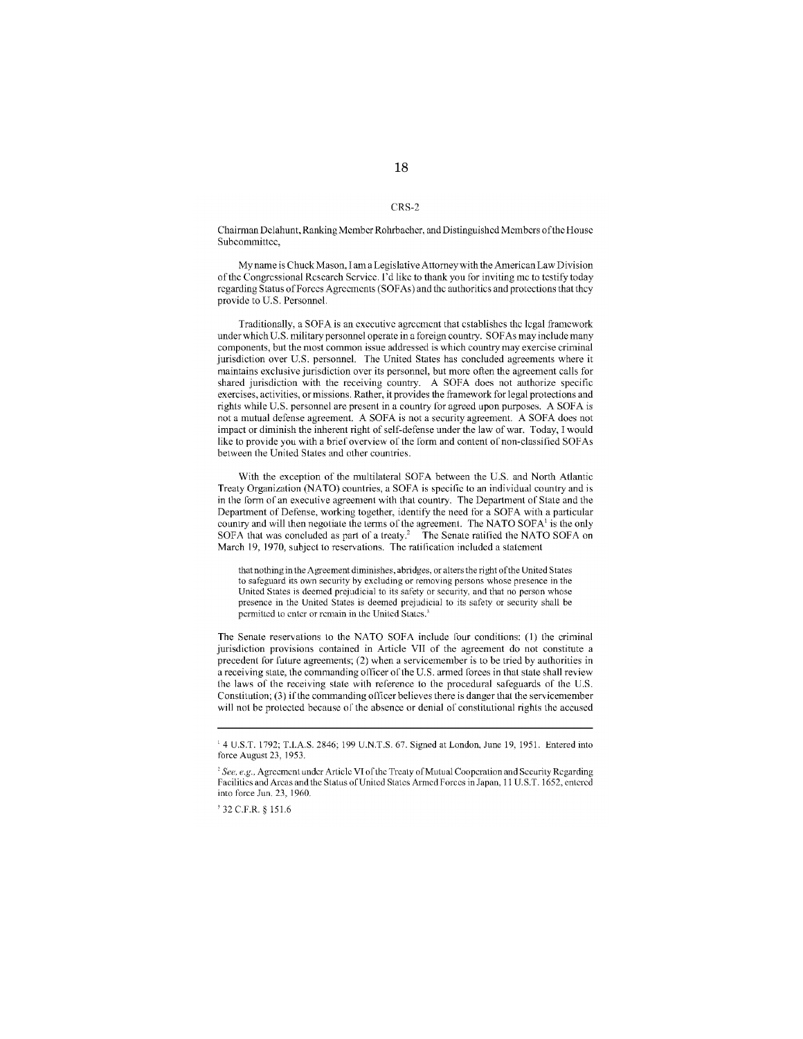Chairman Delahunt, Ranking Member Rohrbacher, and Distinguished Members of the House Subcommittee.

My name is Chuck Mason, I am a Legislative Attorney with the American Law Division of the Congressional Research Service. I'd like to thank you for inviting me to testify today regarding Status of Forces Agreements (SOFAs) and the authorities and protections that they provide to U.S. Personnel.

Traditionally, a SOFA is an executive agreement that establishes the legal framework under which U.S. military personnel operate in a foreign country. SOFAs may include many components, but the most common issue addressed is which country may exercise criminal jurisdiction over U.S. personnel. The United States has concluded agreements where it maintains exclusive jurisdiction over its personnel, but more often the agreement calls for shared jurisdiction with the receiving country. A SOFA does not authorize specific exercises, activities, or missions. Rather, it provides the framework for legal protections and rights while U.S. personnel are present in a country for agreed upon purposes. A SOFA is not a mutual defense agreement. A SOFA is not a security agreement. A SOFA does not impact or diminish the inherent right of self-defense under the law of war. Today, I would like to provide you with a brief overview of the form and content of non-classified SOFAs between the United States and other countries.

With the exception of the multilateral SOFA between the U.S. and North Atlantic Treaty Organization (NATO) countries, a SOFA is specific to an individual country and is in the form of an executive agreement with that country. The Department of State and the Department of Defense, working together, identify the need for a SOFA with a particular country and will then negotiate the terms of the agreement. The NATO SOFA<sup>1</sup> is the only SOFA that was concluded as part of a treaty.<sup>2</sup> The Senate ratified the NATO SOFA on March 19, 1970, subject to reservations. The ratification included a statement

that nothing in the Agreement diminishes, abridges, or alters the right of the United States to safeguard its own security by excluding or removing persons whose presence in the United States is deemed prejudicial to its safety or security, and that no person whose presence in the United States is deemed prejudicial to its safety or security shall be permitted to enter or remain in the United States.<sup>3</sup>

The Senate reservations to the NATO SOFA include four conditions: (1) the criminal jurisdiction provisions contained in Article VII of the agreement do not constitute a precedent for future agreements; (2) when a servicemember is to be tried by authorities in a receiving state, the commanding officer of the U.S. armed forces in that state shall review the laws of the receiving state with reference to the procedural safeguards of the U.S. Constitution; (3) if the commanding officer believes there is danger that the servicemember will not be protected because of the absence or denial of constitutional rights the accused

<sup>2</sup> See, e.g., Agreement under Article VI of the Treaty of Mutual Cooperation and Security Regarding Facilities and Areas and the Status of United States Armed Forces in Japan, 11 U.S.T. 1652, entered into force Jun. 23, 1960.

<sup>3</sup> 32 C.F.R. § 151.6

<sup>&</sup>lt;sup>1</sup> 4 U.S.T. 1792; T.I.A.S. 2846; 199 U.N.T.S. 67. Signed at London, June 19, 1951. Entered into force August 23, 1953.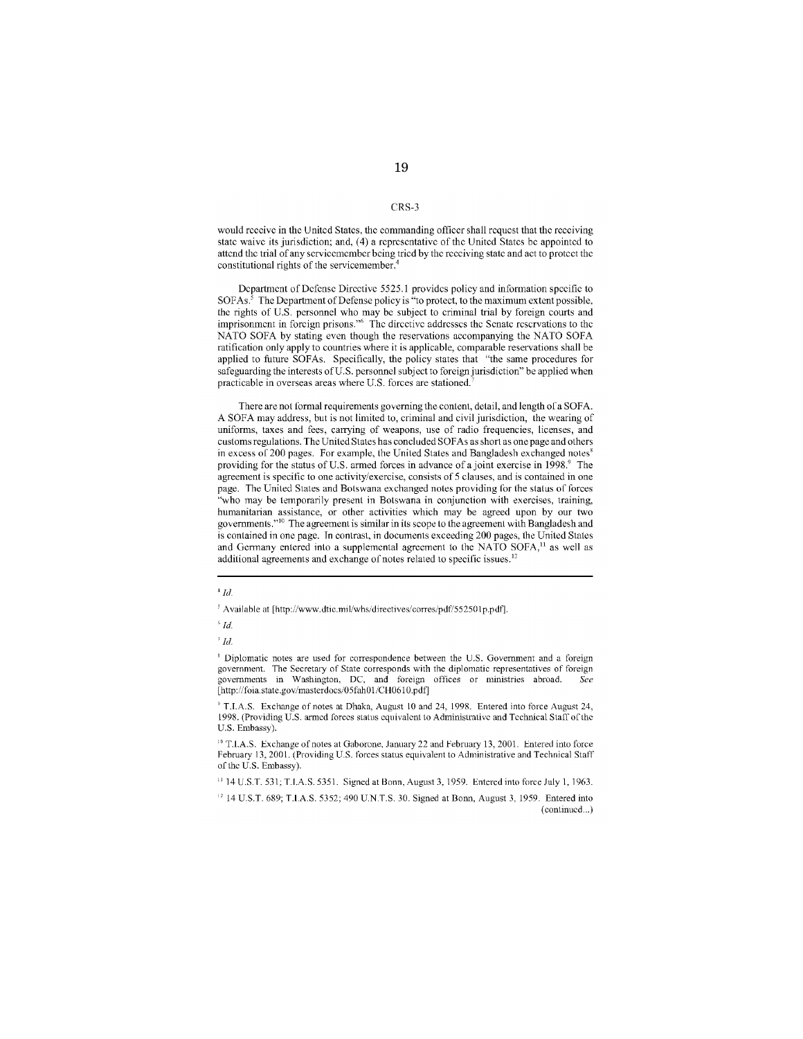would receive in the United States, the commanding officer shall request that the receiving state waive its jurisdiction; and, (4) a representative of the United States be appointed to attend the trial of any servicemember being tried by the receiving state and act to protect the constitutional rights of the servicemember.<sup>4</sup>

Department of Defense Directive 5525.1 provides policy and information specific to SOFAs.<sup>5</sup> The Department of Defense policy is "to protect, to the maximum extent possible, the rights of U.S. personnel who may be subject to criminal trial by foreign courts and imprisonment in foreign prisons."<sup>6</sup> The directive addresses the Senate reservations to the NATO SOFA by stating even though the reservations accompanying the NATO SOFA ratification only apply to countries where it is applicable, comparable reservations shall be applied to future SOFAs. Specifically, the policy states that "the same procedures for safeguarding the interests of U.S. personnel subject to foreign jurisdiction" be applied when practicable in overseas areas where U.S. forces are stationed.

There are not formal requirements governing the content, detail, and length of a SOFA. A SOFA may address, but is not limited to, criminal and civil jurisdiction, the wearing of uniforms, taxes and fees, carrying of weapons, use of radio frequencies, licenses, and customs regulations. The United States has concluded SOFAs as short as one page and others in excess of 200 pages. For example, the United States and Bangladesh exchanged notes<sup>8</sup> providing for the status of U.S. armed forces in advance of a joint exercise in 1998.<sup>9</sup> The agreement is specific to one activity/exercise, consists of 5 clauses, and is contained in one page. The United States and Botswana exchanged notes providing for the status of forces 'who may be temporarily present in Botswana in conjunction with exercises, training, humanitarian assistance, or other activities which may be agreed upon by our two governments."<sup>10</sup> The agreement is similar in its scope to the agreement with Bangladesh and is contained in one page. In contrast, in documents exceeding 200 pages, the United States and Germany entered into a supplemental agreement to the NATO SOFA,<sup>11</sup> as well as additional agreements and exchange of notes related to specific issues.<sup>12</sup>

<sup>8</sup> Diplomatic notes are used for correspondence between the U.S. Government and a foreign government. The Secretary of State corresponds with the diplomatic representatives of foreign governments in Washington, DC, and foreign offices or ministries abroad. [http://foia.state.gov/masterdocs/05fah01/CH0610.pdf]

<sup>9</sup> T.I.A.S. Exchange of notes at Dhaka, August 10 and 24, 1998. Entered into force August 24, 1998. (Providing U.S. armed forces status equivalent to Administrative and Technical Staff of the U.S. Embassy).

<sup>10</sup> T.I.A.S. Exchange of notes at Gaborone, January 22 and February 13, 2001. Entered into force February 13, 2001. (Providing U.S. forces status equivalent to Administrative and Technical Staff of the U.S. Embassy).

<sup>11</sup> 14 U.S.T. 531; T.I.A.S. 5351. Signed at Bonn, August 3, 1959. Entered into force July 1, 1963.

 $^{12}$  14 U.S.T. 689; T.I.A.S. 5352; 490 U.N.T.S. 30. Signed at Bonn, August 3, 1959. Entered into (continued...)

 $4$  Id.

 $5$  Available at [http://www.dtic.mil/whs/directives/corres/pdf/552501p.pdf].

 $6$  Id.

 $^7$  Id.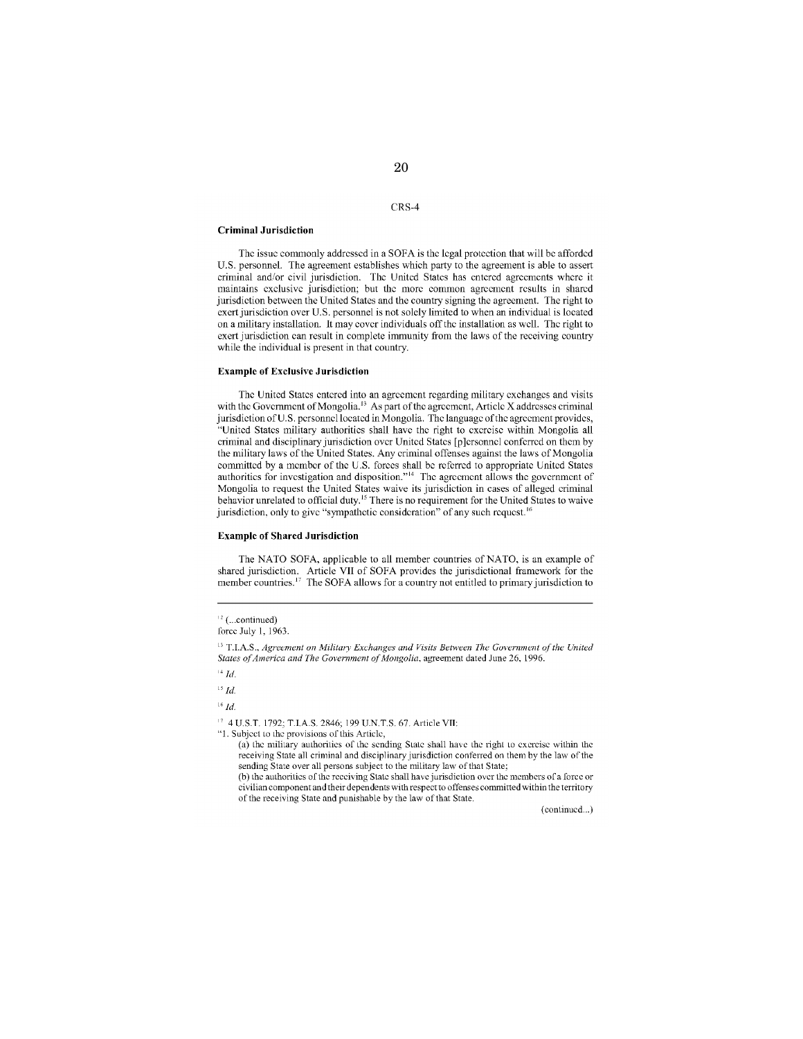#### **Criminal Jurisdiction**

The issue commonly addressed in a SOFA is the legal protection that will be afforded U.S. personnel. The agreement establishes which party to the agreement is able to assert eriminal and/or civil jurisdiction. The United States has entered agreements where it maintains exclusive jurisdiction; but the more common agreement results in shared jurisdiction between the United States and the country signing the agreement. The right to exert jurisdiction over U.S. personnel is not solely limited to when an individual is located on a military installation. It may cover individuals off the installation as well. The right to exert jurisdiction can result in complete immunity from the laws of the receiving country while the individual is present in that country.

#### **Example of Exclusive Jurisdiction**

The United States entered into an agreement regarding military exchanges and visits with the Government of Mongolia.<sup>13</sup> As part of the agreement, Article X addresses criminal jurisdiction of U.S. personnel located in Mongolia. The language of the agreement provides, 'United States military authorities shall have the right to exercise within Mongolia all criminal and disciplinary jurisdiction over United States [p]ersonnel conferred on them by the military laws of the United States. Any criminal offenses against the laws of Mongolia committed by a member of the U.S. forces shall be referred to appropriate United States authorities for investigation and disposition."<sup>14</sup> The agreement allows the government of Mongolia to request the United States waive its jurisdiction in cases of alleged criminal behavior unrelated to official duty.<sup>15</sup> There is no requirement for the United States to waive jurisdiction, only to give "sympathetic consideration" of any such request.<sup>16</sup>

#### **Example of Shared Jurisdiction**

The NATO SOFA, applicable to all member countries of NATO, is an example of shared jurisdiction. Article VII of SOFA provides the jurisdictional framework for the member countries.<sup>17</sup> The SOFA allows for a country not entitled to primary jurisdiction to

 $^{14}$  Id.

 $16$  Id.

(continued...)

 $CRS-4$ 

 $12$  (...continued)

force July 1, 1963.

<sup>&</sup>lt;sup>13</sup> T.I.A.S., Agreement on Military Exchanges and Visits Between The Government of the United States of America and The Government of Mongolia, agreement dated June 26, 1996.

 $15$   $Id.$ 

<sup>&</sup>lt;sup>17</sup> 4 U.S.T. 1792; T.I.A.S. 2846; 199 U.N.T.S. 67. Article VII:

<sup>&</sup>quot;1. Subject to the provisions of this Article,

<sup>(</sup>a) the military authorities of the sending State shall have the right to exercise within the receiving State all criminal and disciplinary jurisdiction conferred on them by the law of the sending State over all persons subject to the military law of that State;

<sup>(</sup>b) the authorities of the receiving State shall have jurisdiction over the members of a force or civilian component and their dependents with respect to offenses committed within the territory of the receiving State and punishable by the law of that State.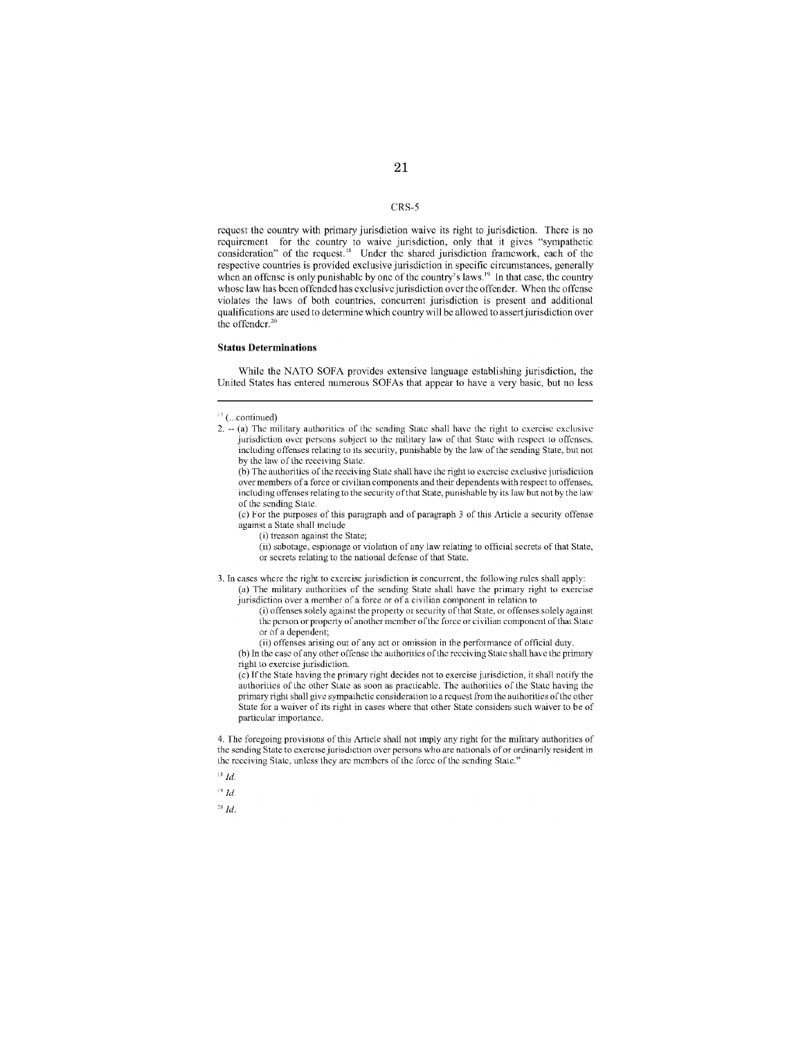request the country with primary jurisdiction waive its right to jurisdiction. There is no requirement for the country to waive jurisdiction, only that it gives "sympathetic consideration" of the request.<sup>18</sup> Under the shared jurisdiction framework, each of the respective countries is provided exclusive jurisdiction in specific circumstances, generally when an offense is only punishable by one of the country's laws.<sup>19</sup> In that case, the country whose law has been offended has exclusive jurisdiction over the offender. When the offense violates the laws of both countries, concurrent jurisdiction is present and additional qualifications are used to determine which country will be allowed to assert jurisdiction over the offender. $20$ 

#### **Status Determinations**

While the NATO SOFA provides extensive language establishing jurisdiction, the United States has entered numerous SOFAs that appear to have a very basic, but no less

- (i) offenses solely against the property or security of that State, or offenses solely against the person or property of another member of the force or civilian component of that State or of a dependent:
- (ii) offenses arising out of any act or omission in the performance of official duty.

(b) In the case of any other offense the authorities of the receiving State shall have the primary right to exercise jurisdiction.

(c) If the State having the primary right decides not to exercise jurisdiction, it shall notify the authorities of the other State as soon as practicable. The authorities of the State having the primary right shall give sympathetic consideration to a request from the authorities of the other State for a waiver of its right in cases where that other State considers such waiver to be of particular importance.

4. The foregoing provisions of this Article shall not imply any right for the military authorities of the sending State to exercise jurisdiction over persons who are nationals of or ordinarily resident in the receiving State, unless they are members of the force of the sending State."

 $18$  Id.

 $^{19}$  Id.

 $10^{10}$  *Id.* 

 $\frac{1}{2}$  (...continued)

<sup>2. -- (</sup>a) The military authorities of the sending State shall have the right to exercise exclusive jurisdiction over persons subject to the military law of that State with respect to offenses, including offenses relating to its security, punishable by the law of the sending State, but not by the law of the receiving State.

<sup>(</sup>b) The authorities of the receiving State shall have the right to exercise exclusive jurisdiction over members of a force or civilian components and their dependents with respect to offenses, including offenses relating to the security of that State, punishable by its law but not by the law of the sending State.

<sup>(</sup>c) For the purposes of this paragraph and of paragraph 3 of this Article a security offense against a State shall include

<sup>(</sup>i) treason against the State;

<sup>(</sup>ii) sabotage, espionage or violation of any law relating to official secrets of that State, or secrets relating to the national defense of that State.

<sup>3.</sup> In cases where the right to exercise jurisdiction is concurrent, the following rules shall apply:

<sup>(</sup>a) The military authorities of the sending State shall have the primary right to exercise jurisdiction over a member of a force or of a civilian component in relation to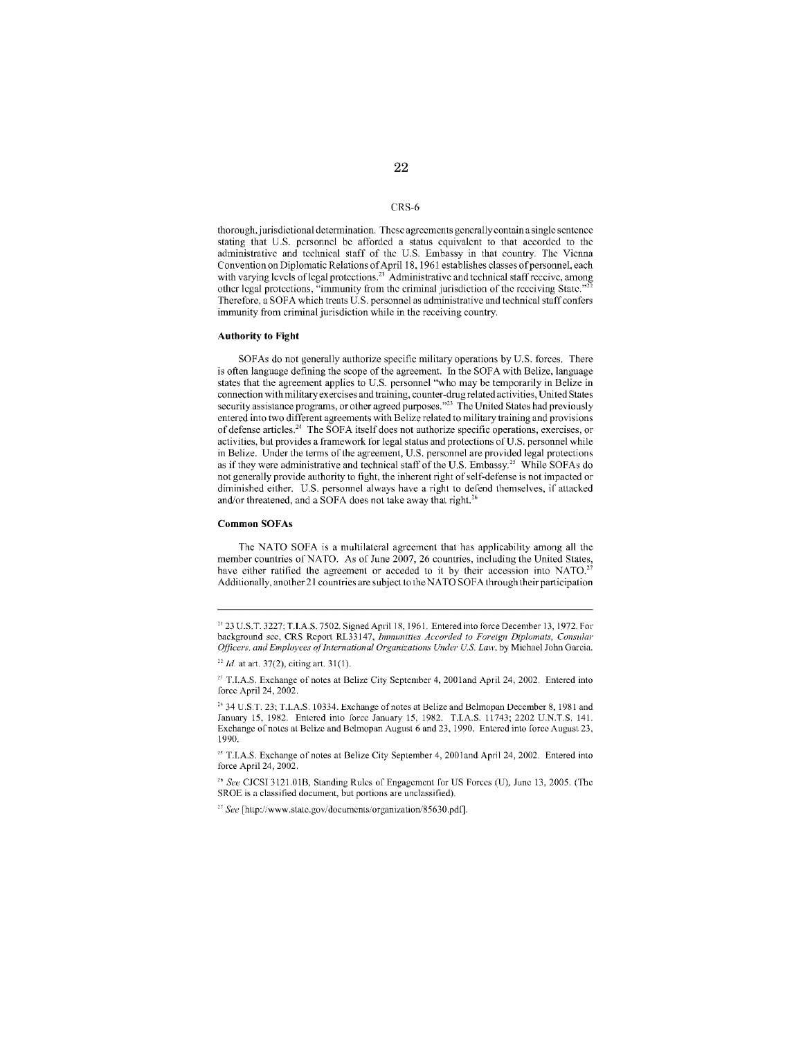thorough, jurisdictional determination. These agreements generally contain a single sentence stating that U.S. personnel be afforded a status equivalent to that accorded to the administrative and technical staff of the U.S. Embassy in that country. The Vienna Convention on Diplomatic Relations of April 18, 1961 establishes classes of personnel, each with varying levels of legal protections.<sup>21</sup> Administrative and technical staff receive, among other legal protections, "immunity from the criminal jurisdiction of the receiving State." Therefore, a SOFA which treats U.S. personnel as administrative and technical staff confers immunity from criminal jurisdiction while in the receiving country.

#### **Authority to Fight**

SOFAs do not generally authorize specific military operations by U.S. forces. There is often language defining the scope of the agreement. In the SOFA with Belize, language states that the agreement applies to U.S. personnel "who may be temporarily in Belize in connection with military exercises and training, counter-drug related activities, United States<br>security assistance programs, or other agreed purposes."<sup>23</sup> The United States had previously entered into two different agreements with Belize related to military training and provisions of defense articles.<sup>24</sup> The SOFA itself does not authorize specific operations, exercises, or activities, but provides a framework for legal status and protections of U.S. personnel while in Belize. Under the terms of the agreement, U.S. personnel are provided legal protections as if they were administrative and technical staff of the U.S. Embassy.<sup>25</sup> While SOFAs do not generally provide authority to fight, the inherent right of self-defense is not impacted or diminished either. U.S. personnel always have a right to defend themselves, if attacked and/or threatened, and a SOFA does not take away that right.<sup>26</sup>

#### **Common SOFAs**

The NATO SOFA is a multilateral agreement that has applicability among all the member countries of NATO. As of June 2007, 26 countries, including the United States, have either ratified the agreement or acceded to it by their accession into NATO.<sup>2</sup> Additionally, another 21 countries are subject to the NATO SOFA through their participation

<sup>&</sup>lt;sup>21</sup> 23 U.S.T. 3227; T.I.A.S. 7502. Signed April 18, 1961. Entered into force December 13, 1972. For background scc, CRS Report RL33147, Immunities Accorded to Foreign Diplomats, Consular Officers, and Employees of International Organizations Under U.S. Law, by Michael John Garcia.

<sup>&</sup>lt;sup>22</sup> *Id.* at art. 37(2), citing art. 31(1).

<sup>&</sup>lt;sup>23</sup> T.I.A.S. Exchange of notes at Belize City September 4, 2001and April 24, 2002. Entered into force April 24, 2002.

<sup>&</sup>lt;sup>24</sup> 34 U.S.T. 23; T.I.A.S. 10334. Exchange of notes at Belize and Belmopan December 8, 1981 and January 15, 1982. Entered into force January 15, 1982. T.I.A.S. 11743; 2202 U.N.T.S. 141. Exchange of notes at Belize and Belmopan August 6 and 23, 1990. Entered into force August 23, 1990.

<sup>&</sup>lt;sup>25</sup> T.I.A.S. Exchange of notes at Belize City September 4, 2001and April 24, 2002. Entered into force April 24, 2002.

<sup>&</sup>lt;sup>26</sup> See CJCSI 3121.01B, Standing Rules of Engagement for US Forces (U), June 13, 2005. (The SROE is a classified document, but portions are unclassified).

<sup>&</sup>lt;sup>27</sup> See [http://www.state.gov/documents/organization/85630.pdf].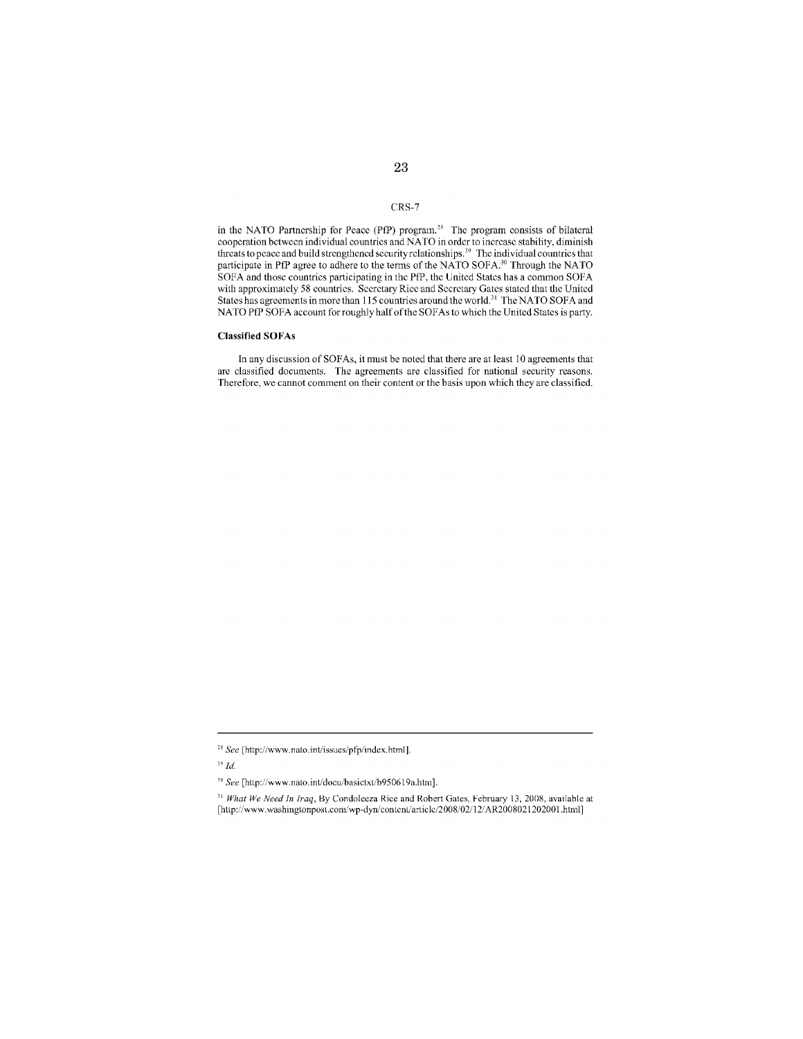in the NATO Partnership for Peace (PfP) program.<sup>28</sup> The program consists of bilateral cooperation between individual countries and NATO in order to increase stability, diminish threats to peace and build strengthened security relationships.<sup>29</sup> The individual countries that participate in PfP agree to adhere to the terms of the NATO SOFA.<sup>30</sup> Through the NATO SOFA and those countries participating in the PfP, the United States has a common SOFA with approximately 58 countries. Seeretary Rice and Secretary Gates stated that the United States has agreements in more than 115 countries around the world.<sup>31</sup> The NATO SOFA and NATO PfP SOFA account for roughly half of the SOFAs to which the United States is party.

#### **Classified SOFAs**

In any discussion of SOFAs, it must be noted that there are at least 10 agreements that are classified documents. The agreements are classified for national security reasons. Therefore, we cannot comment on their content or the basis upon which they are classified.

<sup>&</sup>lt;sup>28</sup> See [http://www.nato.int/issues/pfp/index.html].

 $19$  Id.

 $30$  See [http://www.nato.int/docu/basictxt/b950619a.htm].

<sup>&</sup>lt;sup>31</sup> What We Need In Iraq, By Condoleeza Rice and Robert Gates, February 13, 2008, available at [http://www.washingtonpost.com/wp-dyn/content/article/2008/02/12/AR2008021202001.html]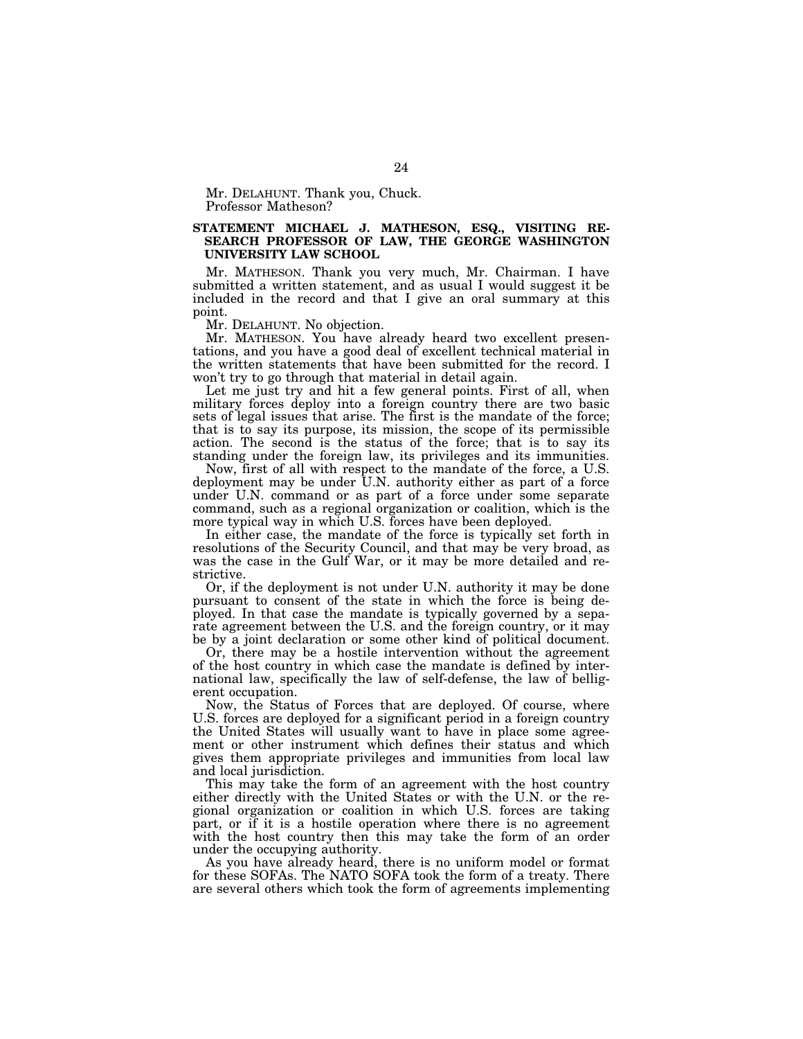Mr. DELAHUNT. Thank you, Chuck. Professor Matheson?

#### **STATEMENT MICHAEL J. MATHESON, ESQ., VISITING RE-SEARCH PROFESSOR OF LAW, THE GEORGE WASHINGTON UNIVERSITY LAW SCHOOL**

Mr. MATHESON. Thank you very much, Mr. Chairman. I have submitted a written statement, and as usual I would suggest it be included in the record and that I give an oral summary at this point.

Mr. DELAHUNT. No objection.

Mr. MATHESON. You have already heard two excellent presentations, and you have a good deal of excellent technical material in the written statements that have been submitted for the record. I won't try to go through that material in detail again.

Let me just try and hit a few general points. First of all, when military forces deploy into a foreign country there are two basic sets of legal issues that arise. The first is the mandate of the force; that is to say its purpose, its mission, the scope of its permissible action. The second is the status of the force; that is to say its standing under the foreign law, its privileges and its immunities.

Now, first of all with respect to the mandate of the force, a U.S. deployment may be under U.N. authority either as part of a force under U.N. command or as part of a force under some separate command, such as a regional organization or coalition, which is the more typical way in which U.S. forces have been deployed.

In either case, the mandate of the force is typically set forth in resolutions of the Security Council, and that may be very broad, as was the case in the Gulf War, or it may be more detailed and restrictive.

Or, if the deployment is not under U.N. authority it may be done pursuant to consent of the state in which the force is being deployed. In that case the mandate is typically governed by a separate agreement between the U.S. and the foreign country, or it may be by a joint declaration or some other kind of political document.

Or, there may be a hostile intervention without the agreement of the host country in which case the mandate is defined by international law, specifically the law of self-defense, the law of belligerent occupation.

Now, the Status of Forces that are deployed. Of course, where U.S. forces are deployed for a significant period in a foreign country the United States will usually want to have in place some agreement or other instrument which defines their status and which gives them appropriate privileges and immunities from local law and local jurisdiction.

This may take the form of an agreement with the host country either directly with the United States or with the U.N. or the regional organization or coalition in which U.S. forces are taking part, or if it is a hostile operation where there is no agreement with the host country then this may take the form of an order under the occupying authority.

As you have already heard, there is no uniform model or format for these SOFAs. The NATO SOFA took the form of a treaty. There are several others which took the form of agreements implementing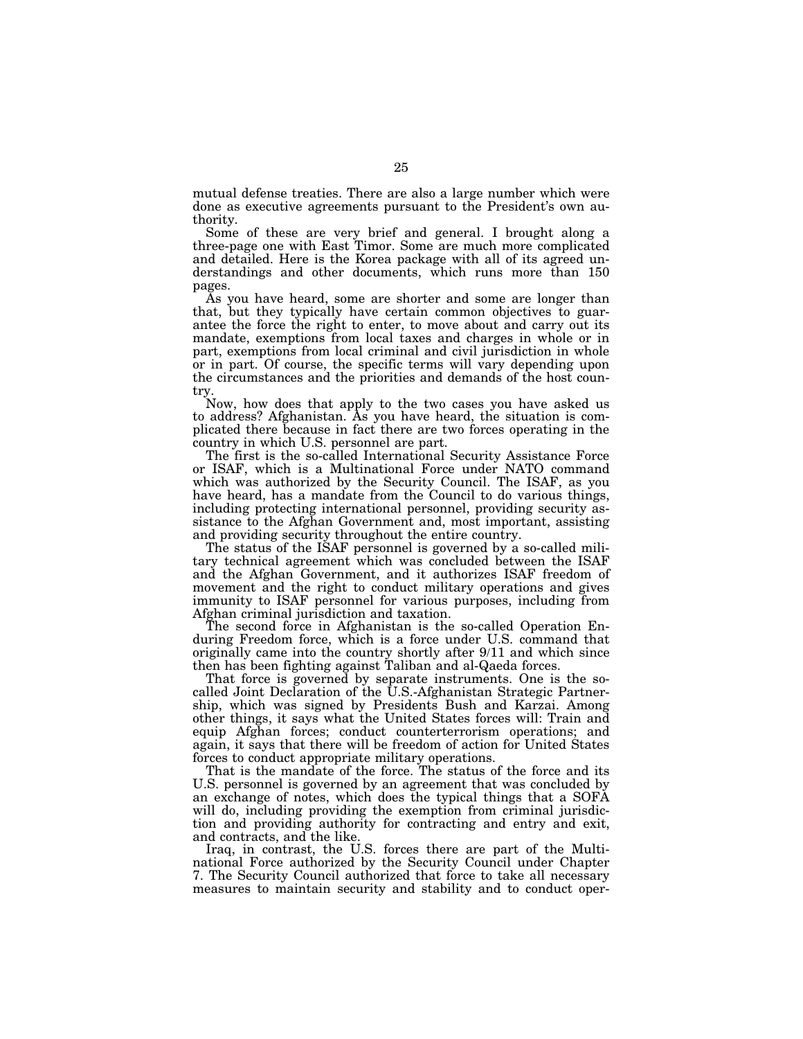mutual defense treaties. There are also a large number which were done as executive agreements pursuant to the President's own authority.

Some of these are very brief and general. I brought along a three-page one with East Timor. Some are much more complicated and detailed. Here is the Korea package with all of its agreed understandings and other documents, which runs more than 150 pages.

As you have heard, some are shorter and some are longer than that, but they typically have certain common objectives to guarantee the force the right to enter, to move about and carry out its mandate, exemptions from local taxes and charges in whole or in part, exemptions from local criminal and civil jurisdiction in whole or in part. Of course, the specific terms will vary depending upon the circumstances and the priorities and demands of the host country.

Now, how does that apply to the two cases you have asked us to address? Afghanistan. As you have heard, the situation is complicated there because in fact there are two forces operating in the country in which U.S. personnel are part.

The first is the so-called International Security Assistance Force or ISAF, which is a Multinational Force under NATO command which was authorized by the Security Council. The ISAF, as you have heard, has a mandate from the Council to do various things, including protecting international personnel, providing security assistance to the Afghan Government and, most important, assisting and providing security throughout the entire country.

The status of the ISAF personnel is governed by a so-called military technical agreement which was concluded between the ISAF and the Afghan Government, and it authorizes ISAF freedom of movement and the right to conduct military operations and gives immunity to ISAF personnel for various purposes, including from Afghan criminal jurisdiction and taxation.

The second force in Afghanistan is the so-called Operation Enduring Freedom force, which is a force under U.S. command that originally came into the country shortly after 9/11 and which since then has been fighting against Taliban and al-Qaeda forces.

That force is governed by separate instruments. One is the socalled Joint Declaration of the U.S.-Afghanistan Strategic Partnership, which was signed by Presidents Bush and Karzai. Among other things, it says what the United States forces will: Train and equip Afghan forces; conduct counterterrorism operations; and again, it says that there will be freedom of action for United States forces to conduct appropriate military operations.

That is the mandate of the force. The status of the force and its U.S. personnel is governed by an agreement that was concluded by an exchange of notes, which does the typical things that a SOFA will do, including providing the exemption from criminal jurisdiction and providing authority for contracting and entry and exit, and contracts, and the like.

Iraq, in contrast, the U.S. forces there are part of the Multinational Force authorized by the Security Council under Chapter 7. The Security Council authorized that force to take all necessary measures to maintain security and stability and to conduct oper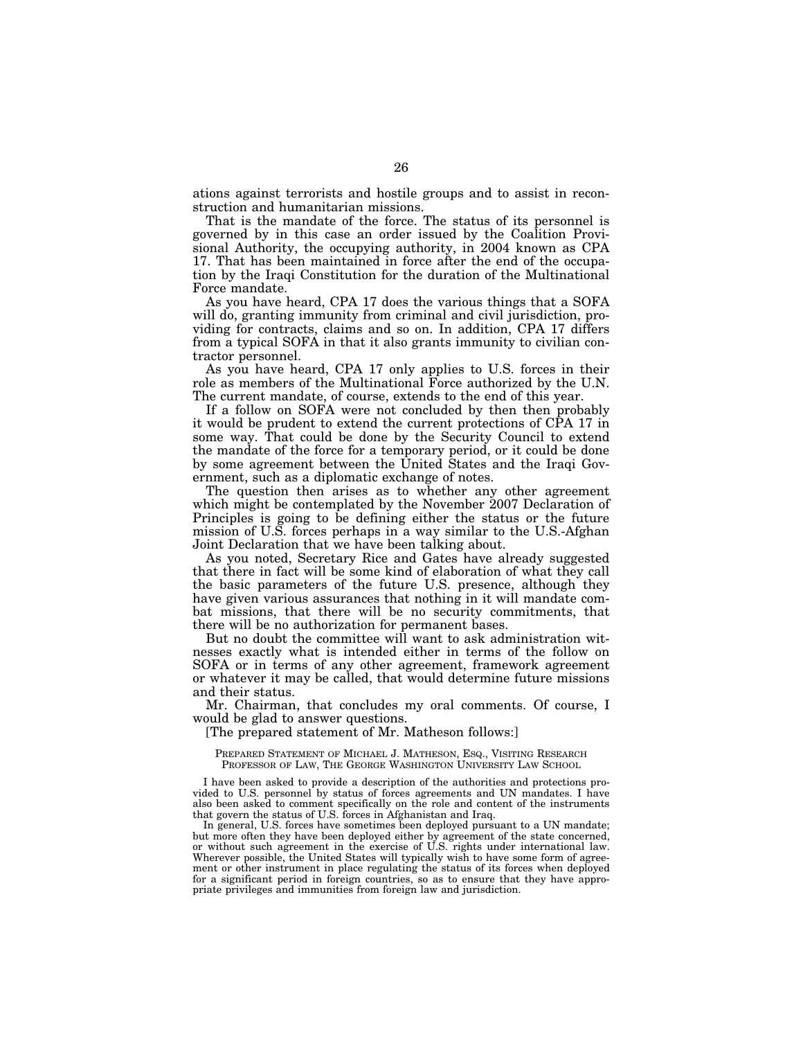ations against terrorists and hostile groups and to assist in reconstruction and humanitarian missions.

That is the mandate of the force. The status of its personnel is governed by in this case an order issued by the Coalition Provisional Authority, the occupying authority, in 2004 known as CPA 17. That has been maintained in force after the end of the occupation by the Iraqi Constitution for the duration of the Multinational Force mandate.

As you have heard, CPA 17 does the various things that a SOFA will do, granting immunity from criminal and civil jurisdiction, providing for contracts, claims and so on. In addition, CPA 17 differs from a typical SOFA in that it also grants immunity to civilian contractor personnel.

As you have heard, CPA 17 only applies to U.S. forces in their role as members of the Multinational Force authorized by the U.N. The current mandate, of course, extends to the end of this year.

If a follow on SOFA were not concluded by then then probably it would be prudent to extend the current protections of CPA 17 in some way. That could be done by the Security Council to extend the mandate of the force for a temporary period, or it could be done by some agreement between the United States and the Iraqi Government, such as a diplomatic exchange of notes.

The question then arises as to whether any other agreement which might be contemplated by the November 2007 Declaration of Principles is going to be defining either the status or the future mission of U.S. forces perhaps in a way similar to the U.S.-Afghan Joint Declaration that we have been talking about.

As you noted, Secretary Rice and Gates have already suggested that there in fact will be some kind of elaboration of what they call the basic parameters of the future U.S. presence, although they have given various assurances that nothing in it will mandate combat missions, that there will be no security commitments, that there will be no authorization for permanent bases.

But no doubt the committee will want to ask administration witnesses exactly what is intended either in terms of the follow on SOFA or in terms of any other agreement, framework agreement or whatever it may be called, that would determine future missions and their status.

Mr. Chairman, that concludes my oral comments. Of course, I would be glad to answer questions.

[The prepared statement of Mr. Matheson follows:]

PREPARED STATEMENT OF MICHAEL J. MATHESON, ESQ., VISITING RESEARCH PROFESSOR OF LAW, THE GEORGE WASHINGTON UNIVERSITY LAW SCHOOL

I have been asked to provide a description of the authorities and protections provided to U.S. personnel by status of forces agreements and UN mandates. I have also been asked to comment specifically on the role and content of the instruments that govern the status of U.S. forces in Afghanistan and Iraq.

In general, U.S. forces have sometimes been deployed pursuant to a UN mandate; but more often they have been deployed either by agreement of the state concerned, or without such agreement in the exercise of U.S. rights under international law. Wherever possible, the United States will typically wish to have some form of agreement or other instrument in place regulating the status of its forces when deployed for a significant period in foreign countries, so as to ensure that they have appropriate privileges and immunities from foreign law and jurisdiction.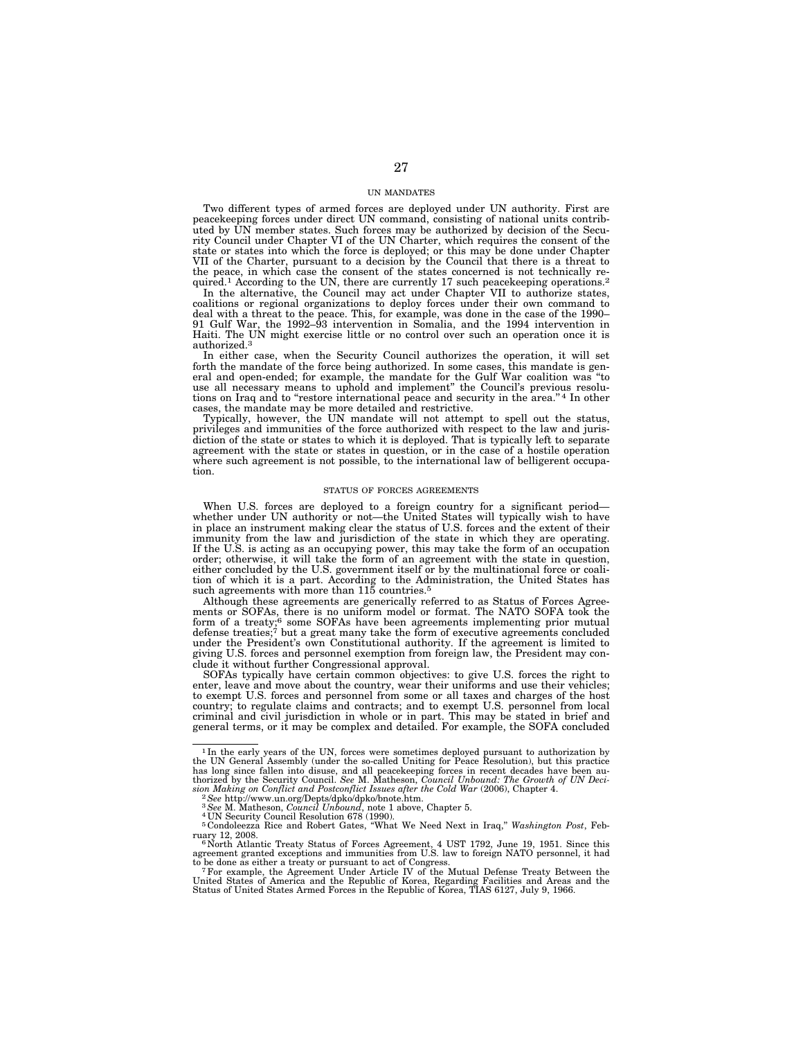#### UN MANDATES

Two different types of armed forces are deployed under UN authority. First are peacekeeping forces under direct UN command, consisting of national units contributed by UN member states. Such forces may be authorized by decision of the Security Council under Chapter VI of the UN Charter, which requires the consent of the state or states into which the force is deployed; or this may be done under Chapter VII of the Charter, pursuant to a decision by the Council that there is a threat to the peace, in which case the consent of the states concerned is not technically required.1 According to the UN, there are currently 17 such peacekeeping operations.2

In the alternative, the Council may act under Chapter VII to authorize states, coalitions or regional organizations to deploy forces under their own command to deal with a threat to the peace. This, for example, was done in the case of the 1990– 91 Gulf War, the 1992–93 intervention in Somalia, and the 1994 intervention in Haiti. The UN might exercise little or no control over such an operation once it is authorized.3

In either case, when the Security Council authorizes the operation, it will set forth the mandate of the force being authorized. In some cases, this mandate is general and open-ended; for example, the mandate for the Gulf War coalition was ''to use all necessary means to uphold and implement'' the Council's previous resolutions on Iraq and to "restore international peace and security in the area."<sup>4</sup> In other cases, the mandate may be more detailed and restrictive.

Typically, however, the UN mandate will not attempt to spell out the status, privileges and immunities of the force authorized with respect to the law and jurisdiction of the state or states to which it is deployed. That is typically left to separate agreement with the state or states in question, or in the case of a hostile operation where such agreement is not possible, to the international law of belligerent occupation.

#### STATUS OF FORCES AGREEMENTS

When U.S. forces are deployed to a foreign country for a significant period whether under UN authority or not—the United States will typically wish to have in place an instrument making clear the status of U.S. forces and the extent of their immunity from the law and jurisdiction of the state in which they are operating. If the U.S. is acting as an occupying power, this may take the form of an occupation order; otherwise, it will take the form of an agreement with the state in question, either concluded by the U.S. government itself or by the multinational force or coalition of which it is a part. According to the Administration, the United States has such agreements with more than 115 countries.<sup>5</sup>

Although these agreements are generically referred to as Status of Forces Agreements or SOFAs, there is no uniform model or format. The NATO SOFA took the form of a treaty;6 some SOFAs have been agreements implementing prior mutual defense treaties;<sup>7</sup> but a great many take the form of executive agreements concluded under the President's own Constitutional authority. If the agreement is limited to giving U.S. forces and personnel exemption from foreign law, the President may conclude it without further Congressional approval.

SOFAs typically have certain common objectives: to give U.S. forces the right to enter, leave and move about the country, wear their uniforms and use their vehicles; to exempt U.S. forces and personnel from some or all taxes and charges of the host country; to regulate claims and contracts; and to exempt U.S. personnel from local criminal and civil jurisdiction in whole or in part. This may be stated in brief and general terms, or it may be complex and detailed. For example, the SOFA concluded

<sup>&</sup>lt;sup>1</sup>In the early years of the UN, forces were sometimes deployed pursuant to authorization by the UN General Assembly (under the so-called Uniting for Peace Resolution), but this practice has long since fallen into disuse, and all peacekeeping forces in recent decades have been au-thorized by the Security Council. *See* M. Matheson, *Council Unbound: The Growth of UN Deci-*

<sup>&</sup>lt;sup>2</sup> See http://www.un.org/Depts/dpko/dpko/bnote.htm.<br><sup>3</sup> See http://www.un.org/Depts/dpko/dpko/bnote.htm.<br><sup>3</sup> See M. Matheson, *Council Unbound*, note 1 above, Chapter 5.<br><sup>4</sup> UN Security Council Resolution 678 (1990).

<sup>5</sup> Condoleezza Rice and Robert Gates, ''What We Need Next in Iraq,'' *Washington Post*, Feb-

ruary 12, 2008.<br><sup>6 N</sup>orth Atlantic Treaty Status of Forces Agreement, 4 UST 1792, June 19, 1951. Since this<br>agreement granted exceptions and immunities from U.S. law to foreign NATO personnel, it had

to be done as either a treaty or pursuant to act of Congress.<br><sup>7</sup> For example, the Agreement Under Article IV of the Mutual Defense Treaty Between the<br>United States of America and the Republic of Korea, Regarding Facilitie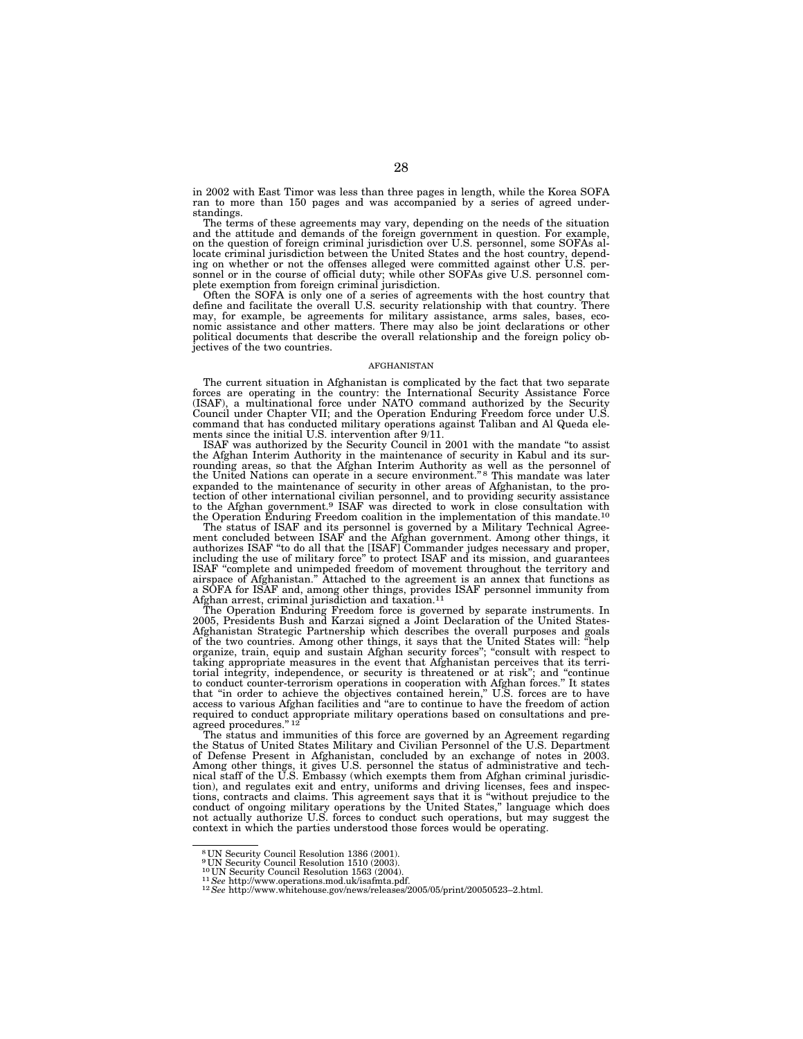in 2002 with East Timor was less than three pages in length, while the Korea SOFA ran to more than 150 pages and was accompanied by a series of agreed understandings.

The terms of these agreements may vary, depending on the needs of the situation and the attitude and demands of the foreign government in question. For example, on the question of foreign criminal jurisdiction over U.S. personnel, some SOFAs allocate criminal jurisdiction between the United States and the host country, depending on whether or not the offenses alleged were committed against other U.S. per-sonnel or in the course of official duty; while other SOFAs give U.S. personnel complete exemption from foreign criminal jurisdiction.

Often the SOFA is only one of a series of agreements with the host country that define and facilitate the overall U.S. security relationship with that country. There may, for example, be agreements for military assistance, arms sales, bases, economic assistance and other matters. There may also be joint declarations or other political documents that describe the overall relationship and the foreign policy objectives of the two countries.

#### AFGHANISTAN

The current situation in Afghanistan is complicated by the fact that two separate forces are operating in the country: the International Security Assistance Force (ISAF), a multinational force under NATO command authorized by the Security Council under Chapter VII; and the Operation Enduring Freedom force under U.S. command that has conducted military operations against Taliban and Al Queda elements since the initial U.S. intervention after 9/11.

ISAF was authorized by the Security Council in 2001 with the mandate ''to assist the Afghan Interim Authority in the maintenance of security in Kabul and its surrounding areas, so that the Afghan Interim Authority as well as the personnel of the United Nations can operate in a secure environment."<sup>8</sup> This mandate was later expanded to the maintenance of security in other areas of Afghanistan, to the protection of other international civilian personnel, and to providing security assistance to the Afghan government.<sup>9</sup> ISAF was directed to work in close consultation with the Operation Enduring Freedom coalition in the implementation of this mandate.<sup>10</sup>

The status of ISAF and its personnel is governed by a Military Technical Agree-ment concluded between ISAF and the Afghan government. Among other things, it authorizes ISAF ''to do all that the [ISAF] Commander judges necessary and proper, including the use of military force'' to protect ISAF and its mission, and guarantees ISAF ''complete and unimpeded freedom of movement throughout the territory and airspace of Afghanistan." Attached to the agreement is an annex that functions as<br>a SOFA for ISAF and, among other things, provides ISAF personnel immunity from<br>Afghan arrest, criminal jurisdiction and taxation.<sup>11</sup><br>The Op

Afghanistan Strategic Partnership which describes the overall purposes and goals of the two countries. Among other things, it says that the United States will: ''help organize, train, equip and sustain Afghan security forces''; ''consult with respect to taking appropriate measures in the event that Afghanistan perceives that its territorial integrity, independence, or security is threatened or at risk"; and "continue<br>to conduct counter-terrorism operations in cooperation with Afghan forces." It states<br>that "in order to achieve the objectives contained required to conduct appropriate military operations based on consultations and pre-agreed procedures.'' 12

The status and immunities of this force are governed by an Agreement regarding the Status of United States Military and Civilian Personnel of the U.S. Department of Defense Present in Afghanistan, concluded by an exchange of notes in 2003. Among other things, it gives U.S. personnel the status of administrative and technical staff of the U.S. Embassy (which exempts them from Afghan criminal jurisdiction), and regulates exit and entry, uniforms and driving li tions, contracts and claims. This agreement says that it is ''without prejudice to the conduct of ongoing military operations by the United States,'' language which does not actually authorize U.S. forces to conduct such operations, but may suggest the context in which the parties understood those forces would be operating.

<sup>8</sup> UN Security Council Resolution 1386 (2001). 9 UN Security Council Resolution 1510 (2003).

<sup>10</sup> UN Security Council Resolution 1563 (2004). 11*See* http://www.operations.mod.uk/isafmta.pdf. 12*See* http://www.whitehouse.gov/news/releases/2005/05/print/20050523–2.html.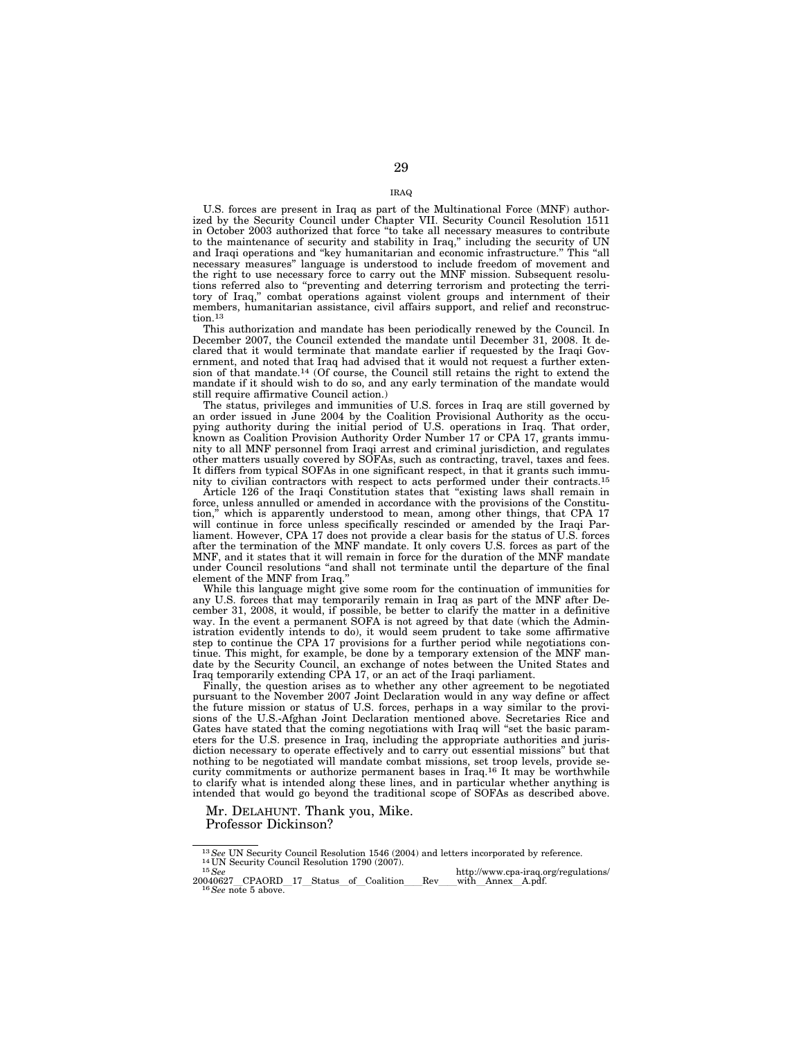U.S. forces are present in Iraq as part of the Multinational Force (MNF) authorized by the Security Council under Chapter VII. Security Council Resolution 1511 in October 2003 authorized that force ''to take all necessary measures to contribute to the maintenance of security and stability in Iraq,'' including the security of UN and Iraqi operations and ''key humanitarian and economic infrastructure.'' This ''all necessary measures'' language is understood to include freedom of movement and the right to use necessary force to carry out the MNF mission. Subsequent resolutions referred also to ''preventing and deterring terrorism and protecting the territory of Iraq,'' combat operations against violent groups and internment of their members, humanitarian assistance, civil affairs support, and relief and reconstruction.13

This authorization and mandate has been periodically renewed by the Council. In December 2007, the Council extended the mandate until December 31, 2008. It declared that it would terminate that mandate earlier if requested by the Iraqi Government, and noted that Iraq had advised that it would not request a further extension of that mandate.14 (Of course, the Council still retains the right to extend the mandate if it should wish to do so, and any early termination of the mandate would still require affirmative Council action.)

The status, privileges and immunities of U.S. forces in Iraq are still governed by an order issued in June 2004 by the Coalition Provisional Authority as the occupying authority during the initial period of U.S. operations in Iraq. That order, known as Coalition Provision Authority Order Number 17 or CPA 17, grants immunity to all MNF personnel from Iraqi arrest and criminal jurisdiction, and regulates other matters usually covered by SOFAs, such as contracting, travel, taxes and fees. It differs from typical SOFAs in one significant respect, in that it grants such immunity to civilian contractors with respect to acts performed under their contracts.15

Article 126 of the Iraqi Constitution states that "existing laws shall remain in force, unless annulled or amended in accordance with the provisions of the Constitution,'' which is apparently understood to mean, among other things, that CPA 17 will continue in force unless specifically rescinded or amended by the Iraqi Parliament. However, CPA 17 does not provide a clear basis for the status of U.S. forces after the termination of the MNF mandate. It only covers U.S. forces as part of the MNF, and it states that it will remain in force for the duration of the MNF mandate under Council resolutions ''and shall not terminate until the departure of the final element of the MNF from Iraq.''

While this language might give some room for the continuation of immunities for any U.S. forces that may temporarily remain in Iraq as part of the MNF after December 31, 2008, it would, if possible, be better to clarify the matter in a definitive way. In the event a permanent SOFA is not agreed by that date (which the Administration evidently intends to do), it would seem prudent to take some affirmative step to continue the CPA 17 provisions for a further period while negotiations continue. This might, for example, be done by a temporary extension of the MNF mandate by the Security Council, an exchange of notes between the United States and Iraq temporarily extending CPA 17, or an act of the Iraqi parliament.

Finally, the question arises as to whether any other agreement to be negotiated pursuant to the November 2007 Joint Declaration would in any way define or affect the future mission or status of U.S. forces, perhaps in a way similar to the provisions of the U.S.-Afghan Joint Declaration mentioned above. Secretaries Rice and Gates have stated that the coming negotiations with Iraq will ''set the basic parameters for the U.S. presence in Iraq, including the appropriate authorities and jurisdiction necessary to operate effectively and to carry out essential missions'' but that nothing to be negotiated will mandate combat missions, set troop levels, provide security commitments or authorize permanent bases in Iraq.<sup>16</sup> It may be worthwhile to clarify what is intended along these lines, and in particular whether anything is intended that would go beyond the traditional scope of SOFAs as described above.

Mr. DELAHUNT. Thank you, Mike. Professor Dickinson?

<sup>13</sup>*See* UN Security Council Resolution 1546 (2004) and letters incorporated by reference. 14 UN Security Council Resolution 1790 (2007). 15*See* http://www.cpa-iraq.org/regulations/ 20040627\_CPAORD\_17\_Status\_of\_Coalition\_<br><sup>16</sup>*See* note 5 above.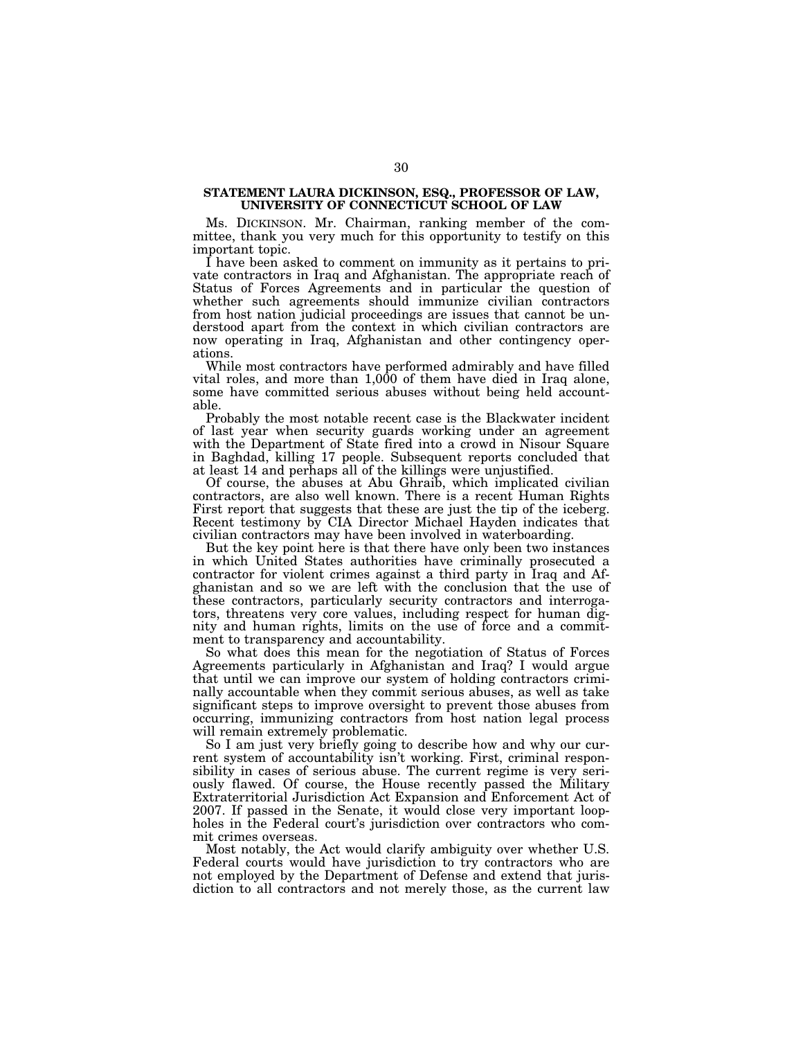#### **STATEMENT LAURA DICKINSON, ESQ., PROFESSOR OF LAW, UNIVERSITY OF CONNECTICUT SCHOOL OF LAW**

Ms. DICKINSON. Mr. Chairman, ranking member of the committee, thank you very much for this opportunity to testify on this important topic.

I have been asked to comment on immunity as it pertains to private contractors in Iraq and Afghanistan. The appropriate reach of Status of Forces Agreements and in particular the question of whether such agreements should immunize civilian contractors from host nation judicial proceedings are issues that cannot be understood apart from the context in which civilian contractors are now operating in Iraq, Afghanistan and other contingency operations.

While most contractors have performed admirably and have filled vital roles, and more than 1,000 of them have died in Iraq alone, some have committed serious abuses without being held accountable.

Probably the most notable recent case is the Blackwater incident of last year when security guards working under an agreement with the Department of State fired into a crowd in Nisour Square in Baghdad, killing 17 people. Subsequent reports concluded that at least 14 and perhaps all of the killings were unjustified.

Of course, the abuses at Abu Ghraib, which implicated civilian contractors, are also well known. There is a recent Human Rights First report that suggests that these are just the tip of the iceberg. Recent testimony by CIA Director Michael Hayden indicates that civilian contractors may have been involved in waterboarding.

But the key point here is that there have only been two instances in which United States authorities have criminally prosecuted a contractor for violent crimes against a third party in Iraq and Afghanistan and so we are left with the conclusion that the use of these contractors, particularly security contractors and interrogators, threatens very core values, including respect for human dignity and human rights, limits on the use of force and a commitment to transparency and accountability.

So what does this mean for the negotiation of Status of Forces Agreements particularly in Afghanistan and Iraq? I would argue that until we can improve our system of holding contractors criminally accountable when they commit serious abuses, as well as take significant steps to improve oversight to prevent those abuses from occurring, immunizing contractors from host nation legal process will remain extremely problematic.

So I am just very briefly going to describe how and why our current system of accountability isn't working. First, criminal responsibility in cases of serious abuse. The current regime is very seriously flawed. Of course, the House recently passed the Military Extraterritorial Jurisdiction Act Expansion and Enforcement Act of 2007. If passed in the Senate, it would close very important loopholes in the Federal court's jurisdiction over contractors who commit crimes overseas.

Most notably, the Act would clarify ambiguity over whether U.S. Federal courts would have jurisdiction to try contractors who are not employed by the Department of Defense and extend that jurisdiction to all contractors and not merely those, as the current law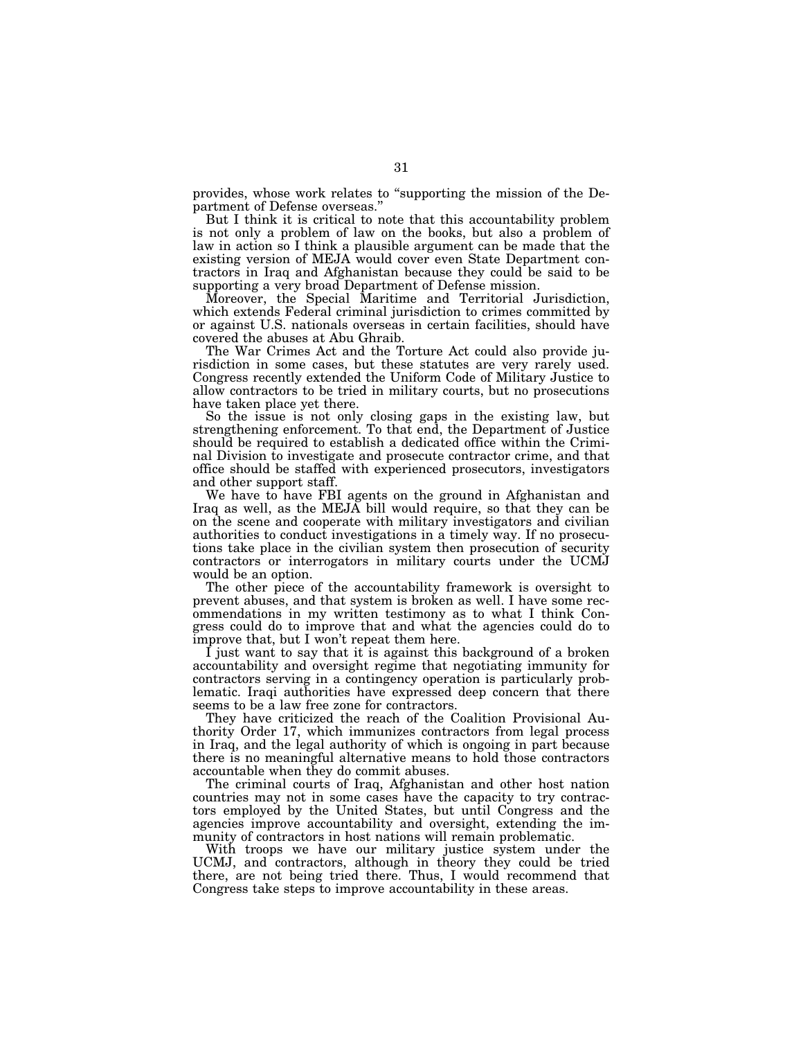provides, whose work relates to ''supporting the mission of the Department of Defense overseas.''

But I think it is critical to note that this accountability problem is not only a problem of law on the books, but also a problem of law in action so I think a plausible argument can be made that the existing version of MEJA would cover even State Department contractors in Iraq and Afghanistan because they could be said to be supporting a very broad Department of Defense mission.

Moreover, the Special Maritime and Territorial Jurisdiction, which extends Federal criminal jurisdiction to crimes committed by or against U.S. nationals overseas in certain facilities, should have covered the abuses at Abu Ghraib.

The War Crimes Act and the Torture Act could also provide jurisdiction in some cases, but these statutes are very rarely used. Congress recently extended the Uniform Code of Military Justice to allow contractors to be tried in military courts, but no prosecutions have taken place yet there.

So the issue is not only closing gaps in the existing law, but strengthening enforcement. To that end, the Department of Justice should be required to establish a dedicated office within the Criminal Division to investigate and prosecute contractor crime, and that office should be staffed with experienced prosecutors, investigators and other support staff.

We have to have FBI agents on the ground in Afghanistan and Iraq as well, as the MEJA bill would require, so that they can be on the scene and cooperate with military investigators and civilian authorities to conduct investigations in a timely way. If no prosecutions take place in the civilian system then prosecution of security contractors or interrogators in military courts under the UCMJ would be an option.

The other piece of the accountability framework is oversight to prevent abuses, and that system is broken as well. I have some recommendations in my written testimony as to what I think Congress could do to improve that and what the agencies could do to improve that, but I won't repeat them here.

I just want to say that it is against this background of a broken accountability and oversight regime that negotiating immunity for contractors serving in a contingency operation is particularly problematic. Iraqi authorities have expressed deep concern that there seems to be a law free zone for contractors.

They have criticized the reach of the Coalition Provisional Authority Order 17, which immunizes contractors from legal process in Iraq, and the legal authority of which is ongoing in part because there is no meaningful alternative means to hold those contractors accountable when they do commit abuses.

The criminal courts of Iraq, Afghanistan and other host nation countries may not in some cases have the capacity to try contractors employed by the United States, but until Congress and the agencies improve accountability and oversight, extending the immunity of contractors in host nations will remain problematic.

With troops we have our military justice system under the UCMJ, and contractors, although in theory they could be tried there, are not being tried there. Thus, I would recommend that Congress take steps to improve accountability in these areas.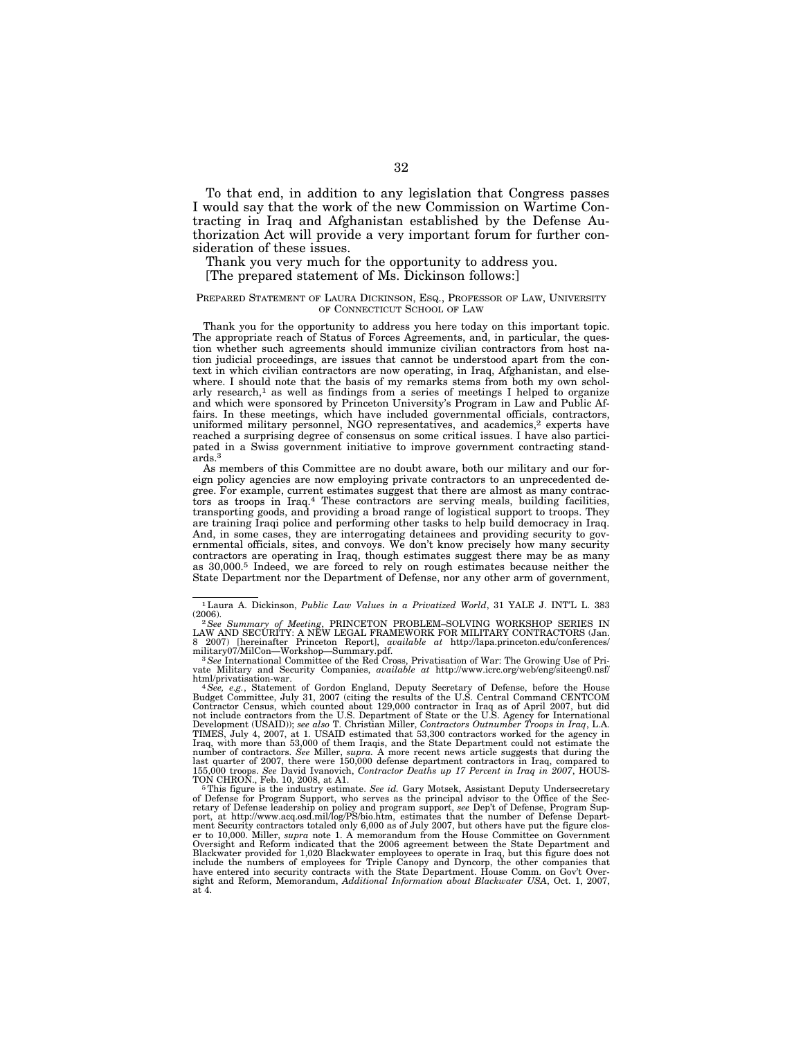To that end, in addition to any legislation that Congress passes I would say that the work of the new Commission on Wartime Contracting in Iraq and Afghanistan established by the Defense Authorization Act will provide a very important forum for further consideration of these issues.

Thank you very much for the opportunity to address you.

[The prepared statement of Ms. Dickinson follows:]

#### PREPARED STATEMENT OF LAURA DICKINSON, ESQ., PROFESSOR OF LAW, UNIVERSITY OF CONNECTICUT SCHOOL OF LAW

Thank you for the opportunity to address you here today on this important topic. The appropriate reach of Status of Forces Agreements, and, in particular, the question whether such agreements should immunize civilian contractors from host nation judicial proceedings, are issues that cannot be understood apart from the context in which civilian contractors are now operating, in Iraq, Afghanistan, and elsewhere. I should note that the basis of my remarks stems from both my own scholarly research,<sup>1</sup> as well as findings from a series of meetings I helped to organize and which were sponsored by Princeton University's Program in Law and Public Affairs. In these meetings, which have included governmental officials, contractors, uniformed military personnel, NGO representatives, and academics,<sup>2</sup> experts have reached a surprising degree of consensus on some critical issues. I have also participated in a Swiss government initiative to improve government contracting standards.3

As members of this Committee are no doubt aware, both our military and our foreign policy agencies are now employing private contractors to an unprecedented degree. For example, current estimates suggest that there are almost as many contractors as troops in Iraq.4 These contractors are serving meals, building facilities, transporting goods, and providing a broad range of logistical support to troops. They are training Iraqi police and performing other tasks to help build democracy in Iraq. And, in some cases, they are interrogating detainees and providing security to governmental officials, sites, and convoys. We don't know precisely how many security contractors are operating in Iraq, though estimates suggest there may be as many as 30,000.5 Indeed, we are forced to rely on rough estimates because neither the State Department nor the Department of Defense, nor any other arm of government,

(2006).<br><sup>2</sup> See Summary of Meeting, PRINCETON PROBLEM-SOLVING WORKSHOP SERIES IN<br>LAW AND SECURITY: A NEW LEGAL FRAMEWORK FOR MILITARY CONTRACTORS (Jan.<br>8 2007) [hereinafter Princeton Report], *available at* http://lapa.pr

<sup>3</sup>See International Committee of the Red Cross, Privatisation of War: The Growing Use of Private Military and Security Companies, *available at* http://www.icrc.org/web/eng/siteeng0.nsf/<br>html/privatisation-war.

html/privatisation-war.<br>
<sup>4</sup> See, e.g., Statement of Gordon England, Deputy Secretary of Defense, before the House<br>
<sup>4</sup> See, e.g., Statement of Gordon England, Deputy Secretary of Defense, before the House<br>
Budget Committe Iraq, with more than 53,000 of them Iraqis, and the State Department could not estimate the<br>number of contractors. See Miller, su*pra*. A more recent news article suggests that during the<br>last quarter of 2007, there were 1 155,000 troops. *See* David Ivanovich, *Contractor Deaths up 17 Percent in Iraq in 2007*, HOUS-<br>TON CHRON., Feb. 10, 2008, at A1.<br><sup>5</sup> This figure is the industry estimate. *See id*. Gary Motsek, Assistant Deputy Undersecre

of Defense for Program Support, who serves as the principal advisor to the Office of the Sec-<br>retary of Defense leadership on policy and program support, *see* Dep't of Defense, Program Sup-<br>port, at http://www.acq.osd.mil ment Security contractors totaled only 6,000 as of July 2007, but others have put the figure clos-<br>er to 10,000. Miller, *supra* note 1. A memorandum from the House Committee on Government<br>Oversight and Reform indicated th Blackwater provided for 1,020 Blackwater employees to operate in Iraq, but this figure does not<br>include the numbers of employees for Triple Canopy and Dyncorp, the other companies that<br>have entered into security contracts sight and Reform, Memorandum, *Additional Information about Blackwater USA*, Oct. 1, 2007, at 4.

<sup>1</sup>Laura A. Dickinson, *Public Law Values in a Privatized World*, 31 YALE J. INT'L L. 383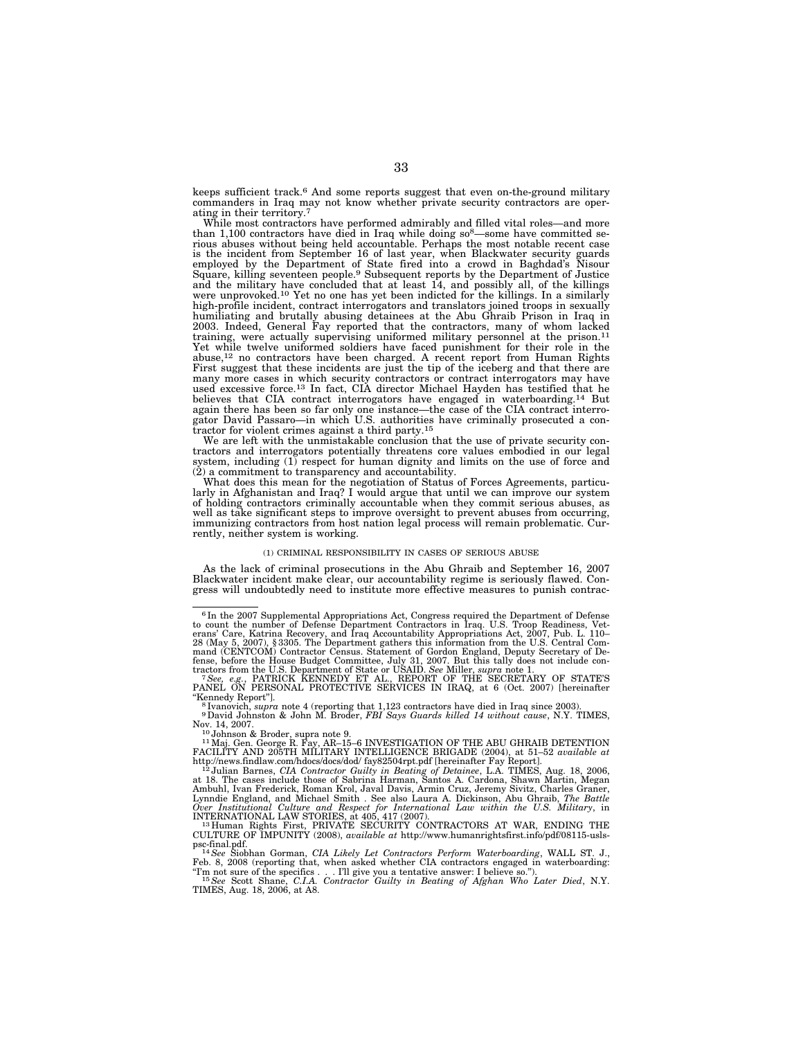keeps sufficient track.6 And some reports suggest that even on-the-ground military commanders in Iraq may not know whether private security contractors are operating in their territory.7

While most contractors have performed admirably and filled vital roles—and more than 1,100 contractors have died in Iraq while doing so<sup>8</sup>—some have committed serious abuses without being held accountable. Perhaps the most notable recent case is the incident from September 16 of last year, when Blackwater security guards<br>employed by the Department of State fired into a crowd in Baghdad's Nisour<br>Square, killing seventeen people.<sup>9</sup> Subsequent reports by the Depa and the military have concluded that at least 14, and possibly all, of the killings were unprovoked.<sup>10</sup> Yet no one has yet been indicted for the killings. In a similarly high-profile incident, contract interrogators and translators joined troops in sexually humiliating and brutally abusing detainees at the Abu Ghraib Prison in Iraq in 2003. Indeed, General Fay reported that the contractors, many of whom lacked training, were actually supervising uniformed military personnel at the prison.11 Yet while twelve uniformed soldiers have faced punishment for their role in the abuse,<sup>12</sup> no contractors have been charged. A recent report from Human Rights First suggest that these incidents are just the tip of the iceberg and that there are many more cases in which security contractors or contract interrogators may have used excessive force.<sup>13</sup> In fact, CIA director Michael Hayden has testified that he believes that CIA contract interrogators have engaged in waterboarding.<sup>14</sup> But again there has been so far only one instance—the case of the CIA contract interro-gator David Passaro—in which U.S. authorities have criminally prosecuted a con-

tractor for violent crimes against a third party.15 We are left with the unmistakable conclusion that the use of private security contractors and interrogators potentially threatens core values embodied in our legal system, including (1) respect for human dignity and limits on the use of force and (2) a commitment to transparency and accountability.

What does this mean for the negotiation of Status of Forces Agreements, particu-larly in Afghanistan and Iraq? I would argue that until we can improve our system of holding contractors criminally accountable when they commit serious abuses, as well as take significant steps to improve oversight to prevent abuses from occurring, immunizing contractors from host nation legal process will remain problematic. Currently, neither system is working.

#### (1) CRIMINAL RESPONSIBILITY IN CASES OF SERIOUS ABUSE

As the lack of criminal prosecutions in the Abu Ghraib and September 16, 2007 Blackwater incident make clear, our accountability regime is seriously flawed. Congress will undoubtedly need to institute more effective measures to punish contrac-

''Kennedy Report'']. 8 Ivanovich, *supra* note 4 (reporting that 1,123 contractors have died in Iraq since 2003). 9David Johnston & John M. Broder, *FBI Says Guards killed 14 without cause*, N.Y. TIMES,

Nov. 14, 2007.<br><sup>10</sup> Johnson & Broder, supra note 9.<br><sup>11</sup>Maj. Gen. George R. Fay, AR–15–6 INVESTIGATION OF THE ABU GHRAIB DETENTION<br>FACILITY AND 205TH MILITARY INTELLIGENCE BRIGADE (2004), at 51–52 *available at* 

 $6$  In the 2007 Supplemental Appropriations Act, Congress required the Department of Defense<br>to count the number of Defense Department Contractors in Iraq. U.S. Troop Readiness, Vet-<br>erans' Care, Katrina Recovery, and Ira 28 (May 5, 2007), § 3305. The Department gathers this information from the U.S. Central Command (CENTCOM) Contractor Census. Statement of Gordon England, Deputy Secretary of Denetens fense, before the House Budget Committ

http://news.findlaw.com/hdocs/docs/doc/ fay82504rpt.pdf [hereinafter Fay Report].<br><sup>12</sup> Julian Barnes, *CIA Contractor Guilty in Beating of Detainee*, L.A. TIMES, Aug. 18, 2006,<br>at 18. The cases include those of Sabrina Har Lynndie England, and Michael Smith . See also Laura A. Dickinson, Abu Ghraib, *The Battle Over Institutional Culture and Respect for International Law within the U.S. Military*, in

INTERNATIONAL LAW STORIES, at 405, 417 (2007).<br><sup>13</sup> Human Rights First, PRIVATE SECURITY CONTRACTORS AT WAR, ENDING THE<br>CULTURE OF IMPUNITY (2008), *available at* http://www.humanrightsfirst.info/pdf/08115-usls-

psc-final.pdf.<br><sup>14</sup>See Siobhan Gorman, *CIA Likely Let Contractors Perform Waterboarding*, WALL ST. J.,<br>Feb. 8, 2008 (reporting that, when asked whether CIA contractors engaged in waterboarding:<br><sup>15</sup>Eee Scott Shane, *C.I.A*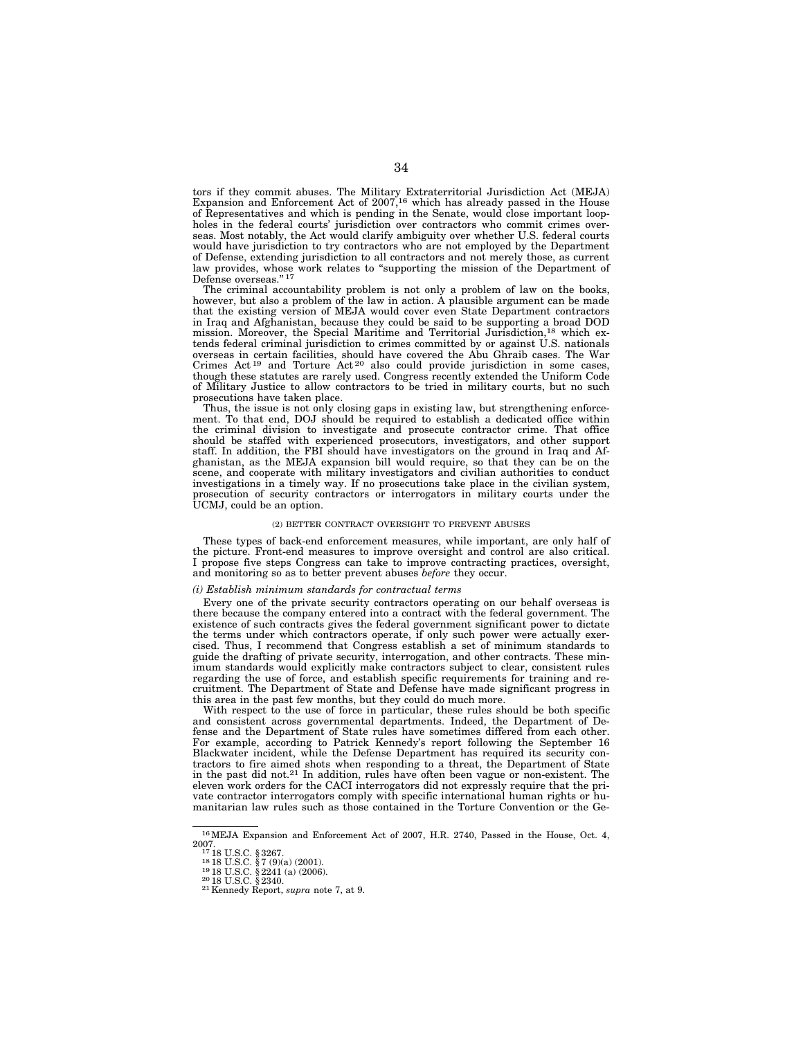tors if they commit abuses. The Military Extraterritorial Jurisdiction Act (MEJA) Expansion and Enforcement Act of 2007,16 which has already passed in the House of Representatives and which is pending in the Senate, would close important loopholes in the federal courts' jurisdiction over contractors who commit crimes overseas. Most notably, the Act would clarify ambiguity over whether U.S. federal courts would have jurisdiction to try contractors who are not employed by the Department of Defense, extending jurisdiction to all contractors and not merely those, as current law provides, whose work relates to "supporting the mission of the Department of Defense overseas."<sup>17</sup>

The criminal accountability problem is not only a problem of law on the books, however, but also a problem of the law in action. A plausible argument can be made that the existing version of MEJA would cover even State Department contractors in Iraq and Afghanistan, because they could be said to be supporting a broad DOD mission. Moreover, the Special Maritime and Territorial Jurisdiction,<sup>18</sup> which extends federal criminal jurisdiction to crimes committed by or against U.S. nationals overseas in certain facilities, should have covered the Abu Ghraib cases. The War Crimes Act<sup>19</sup> and Torture Act<sup>20</sup> also could provide jurisdiction in some cases, though these statutes are rarely used. Congress recently extended the Uniform Code of Military Justice to allow contractors to be tried in military courts, but no such prosecutions have taken place.

Thus, the issue is not only closing gaps in existing law, but strengthening enforcement. To that end, DOJ should be required to establish a dedicated office within the criminal division to investigate and prosecute contractor crime. That office should be staffed with experienced prosecutors, investigators, and other support staff. In addition, the FBI should have investigators on the ground in Iraq and Afghanistan, as the MEJA expansion bill would require, so that they can be on the scene, and cooperate with military investigators and civilian authorities to conduct investigations in a timely way. If no prosecutions take place in the civilian system, prosecution of security contractors or interrogators in military courts under the UCMJ, could be an option.

#### (2) BETTER CONTRACT OVERSIGHT TO PREVENT ABUSES

These types of back-end enforcement measures, while important, are only half of the picture. Front-end measures to improve oversight and control are also critical. I propose five steps Congress can take to improve contracting practices, oversight, and monitoring so as to better prevent abuses *before* they occur.

#### *(i) Establish minimum standards for contractual terms*

Every one of the private security contractors operating on our behalf overseas is there because the company entered into a contract with the federal government. The existence of such contracts gives the federal government significant power to dictate the terms under which contractors operate, if only such power were actually exercised. Thus, I recommend that Congress establish a set of minimum standards to guide the drafting of private security, interrogation, and other contracts. These minimum standards would explicitly make contractors subject to clear, consistent rules regarding the use of force, and establish specific requirements for training and recruitment. The Department of State and Defense have made significant progress in this area in the past few months, but they could do much more.

With respect to the use of force in particular, these rules should be both specific and consistent across governmental departments. Indeed, the Department of Defense and the Department of State rules have sometimes differed from each other. For example, according to Patrick Kennedy's report following the September 16 Blackwater incident, while the Defense Department has required its security contractors to fire aimed shots when responding to a threat, the Department of State in the past did not.21 In addition, rules have often been vague or non-existent. The eleven work orders for the CACI interrogators did not expressly require that the private contractor interrogators comply with specific international human rights or humanitarian law rules such as those contained in the Torture Convention or the Ge-

<sup>16</sup>MEJA Expansion and Enforcement Act of 2007, H.R. 2740, Passed in the House, Oct. 4, <sup>20</sup> 18 U.S.C. § 3267.<br>
<sup>18</sup> 18 U.S.C. § 7 (9)(a) (2001).<br>
<sup>19</sup> 18 U.S.C. § 2241 (a) (2006).<br>
<sup>20</sup> 18 U.S.C. § 2340.<br>
<sup>21</sup>Kennedy Report, *supra* note 7, at 9.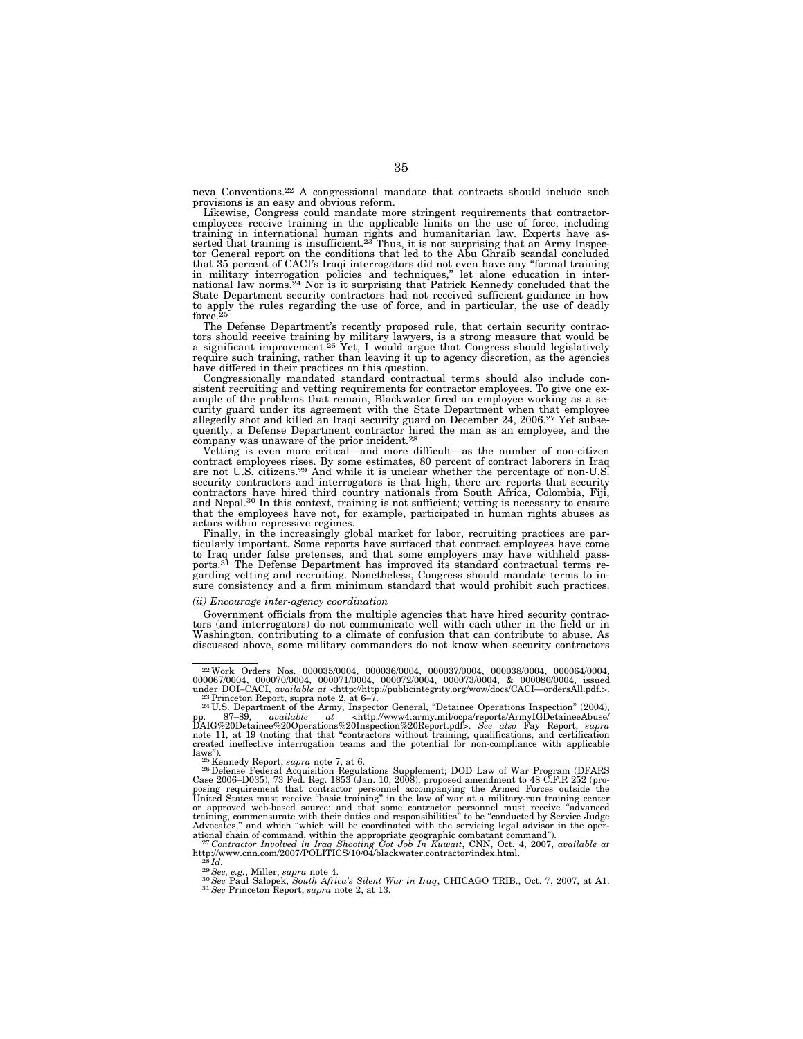neva Conventions.22 A congressional mandate that contracts should include such provisions is an easy and obvious reform.

Likewise, Congress could mandate more stringent requirements that contractoremployees receive training in the applicable limits on the use of force, including<br>training in international human rights and humanitarian law. Experts have as-<br>serted that training is insufficient.<sup>23</sup> Thus, it is not sur that 35 percent of CACI's Iraqi interrogators did not even have any "formal training<br>in military interrogation policies and techniques," let alone education in inter-<br>national law norms.<sup>24</sup> Nor is it surprising that Patri State Department security contractors had not received sufficient guidance in how to apply the rules regarding the use of force, and in particular, the use of deadly force.<sup>25</sup>

The Defense Department's recently proposed rule, that certain security contractors should receive training by military lawyers, is a strong measure that would be a significant improvement.<sup>26</sup> Yet, I would argue that Congr

have differed in their practices on this question. Congressionally mandated standard contractual terms should also include consistent recruiting and vetting requirements for contractor employees. To give one ex-ample of the problems that remain, Blackwater fired an employee working as a security guard under its agreement with the State Department when that employee allegedly shot and killed an Iraqi security guard on December 24, 2006.27 Yet subsequently, a Defense Department contractor hired the man as an employee, and the company was unaware of the prior incident.<sup>28</sup>

Vetting is even more critical—and more difficult—as the number of non-citizen contract employees rises. By some estimates, 80 percent of contract laborers in Iraq are not U.S. citizens.29 And while it is unclear whether the percentage of non-U.S. security contractors and interrogators is that high, there are reports that security contractors have hired third country nationals from South Africa, Colombia, Fiji, and Nepal.<sup>30</sup> In this context, training is not suffici that the employees have not, for example, participated in human rights abuses as actors within repressive regimes.

Finally, in the increasingly global market for labor, recruiting practices are particularly important. Some reports have surfaced that contract employees have come to Iraq under false pretenses, and that some employers may have withheld pass-<br>ports.<sup>31</sup> The Defense Department has improved its standard contractual terms regarding vetting and recruiting. Nonetheless, Congress should mandate terms to insure consistency and a firm minimum standard that would prohibit such practices.

#### *(ii) Encourage inter-agency coordination*

Government officials from the multiple agencies that have hired security contractors (and interrogators) do not communicate well with each other in the field or in Washington, contributing to a climate of confusion that can contribute to abuse. As discussed above, some military commanders do not know when security contractors

 $^{22}$  Work Orders Nos. 000035/0004, 000036/0004, 000037/0004, 000038/0004, 0000664/0004, 000067/0004, 000070/0004, 000071/0004, 000072/0004, 000073/0004, & 000080/0004, issued under DOI-CACI, *available at* <br/> $\langle$ -htt

DAIG%20Detainee%20Operations%20Inspection%20Report.pdf>. *See also* Fay Report, *supra*<br>note 11, at 19 (noting that that "contractors without training, qualifications, and certification<br>created ineffective interrogation te

laws").<br><sup>25</sup> Kennedy Report, *supra* note 7, at 6.<br><sup>26</sup> Defense Federal Acquisition Regulations Supplement; DOD Law of War Program (DFARS)<br>Case 2006–D035), 73 Fed. Reg. 1853 (Jan. 10, 2008), proposed amendment to 48 C.F.R United States must receive "basic training" in the law of war at a military-run training center<br>or approved web-based source; and that some contractor personnel must receive "advanced<br>training, commensurate with their duti Advocates," and which "which will be coordinated with the servicing legal advisor in the oper-<br>ational chain of command, within the appropriate geographic combatant command").<br><sup>27</sup>Contractor Involved in Iraq Shooting Got J

http://www.cnn.com/2007/POLITICS/10/04/blackwater.contractor/index.html.<br>
<sup>28</sup>Id.<br>
<sup>29</sup> See, e.g., Miller, *supra* note 4.<br>
<sup>39</sup> See Paul Salopek, *South Africa's Silent War in Iraq*, CHICAGO TRIB., Oct. 7, 2007, at A1.<br>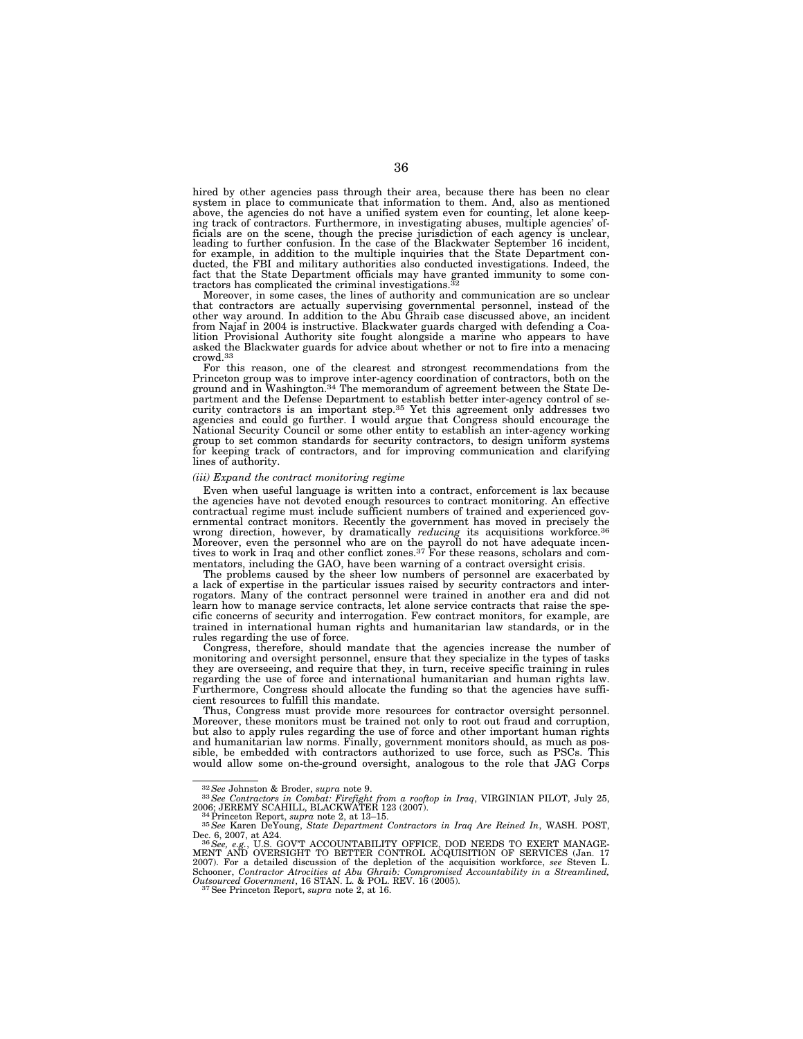hired by other agencies pass through their area, because there has been no clear system in place to communicate that information to them. And, also as mentioned above, the agencies do not have a unified system even for counting, let alone keep-ing track of contractors. Furthermore, in investigating abuses, multiple agencies' officials are on the scene, though the precise jurisdiction of each agency is unclear, leading to further confusion. In the case of the Blackwater September 16 incident, for example, in addition to the multiple inquiries that the State Department con-ducted, the FBI and military authorities also conducted investigations. Indeed, the fact that the State Department officials may have granted immunity to some contractors has complicated the criminal investigations.<sup>32</sup>

Moreover, in some cases, the lines of authority and communication are so unclear that contractors are actually supervising governmental personnel, instead of the other way around. In addition to the Abu Ghraib case discussed above, an incident from Najaf in 2004 is instructive. Blackwater guards charged with defending a Coalition Provisional Authority site fought alongside a marine who appears to have asked the Blackwater guards for advice about whether or not to fire into a menacing crowd.33

For this reason, one of the clearest and strongest recommendations from the Princeton group was to improve inter-agency coordination of contractors, both on the ground and in Washington.<sup>34</sup> The memorandum of agreement between the State De-<br>partment and the Defense Department to establish better inter-agency control of security contractors is an important step.35 Yet this agreement only addresses two agencies and could go further. I would argue that Congress should encourage the National Security Council or some other entity to establish an inter-agency working group to set common standards for security contractors, to design uniform systems for keeping track of contractors, and for improving communication and clarifying lines of authority.

#### *(iii) Expand the contract monitoring regime*

Even when useful language is written into a contract, enforcement is lax because the agencies have not devoted enough resources to contract monitoring. An effective contractual regime must include sufficient numbers of trained and experienced governmental contract monitors. Recently the government has moved in precisely the wrong direction, however, by dramatically *reducing* its acquisitions workforce.36 Moreover, even the personnel who are on the payroll do not have adequate incentives to work in Iraq and other conflict zones.<sup>37</sup> For these reasons, scholars and commentators, including the GAO, have been warning of a contract oversight crisis.

The problems caused by the sheer low numbers of personnel are exacerbated by a lack of expertise in the particular issues raised by security contractors and interrogators. Many of the contract personnel were trained in another era and did not learn how to manage service contracts, let alone service contracts that raise the specific concerns of security and interrogation. Few contract monitors, for example, are trained in international human rights and humanitarian law standards, or in the rules regarding the use of force.

Congress, therefore, should mandate that the agencies increase the number of monitoring and oversight personnel, ensure that they specialize in the types of tasks they are overseeing, and require that they, in turn, receive specific training in rules regarding the use of force and international humanitarian and human rights law. Furthermore, Congress should allocate the funding so that the agencies have sufficient resources to fulfill this mandate.

Thus, Congress must provide more resources for contractor oversight personnel. Moreover, these monitors must be trained not only to root out fraud and corruption, but also to apply rules regarding the use of force and other important human rights and humanitarian law norms. Finally, government monitors should, as much as possible, be embedded with contractors authorized to use force, such as PSCs. This would allow some on-the-ground oversight, analogous to the role that JAG Corps

 $^{32}\,$  See Johnston & Broder,  ${supra}$  note 9.  $^{33}\,$  See Contractors in Combat: Firefight from a rooftop in Iraq, VIRGINIAN PILOT, July 25, 2006; JEREMY SCAHILL, BLACKWATER 123 $(2007)$ . 2006; JEREMY SCAHILL, BLACKWATER 123 (2007). 34Princeton Report, *supra* note 2, at 13–15. 35*See* Karen DeYoung, *State Department Contractors in Iraq Are Reined In*, WASH. POST,

Dec. 6, 2007, at A24.<br>
<sup>36</sup>See, e.g., U.S. GOV'T ACCOUNTABILITY OFFICE, DOD NEEDS TO EXERT MANAGE-<br>
MENT AND OVERSIGHT TO BETTER CONTROL ACQUISITION OF SERVICES (Jan. 17<br>
2007). For a detailed discussion of the depletion o *Outsourced Government*, 16 STAN. L. & POL. REV. 16 (2005). 37See Princeton Report, *supra* note 2, at 16.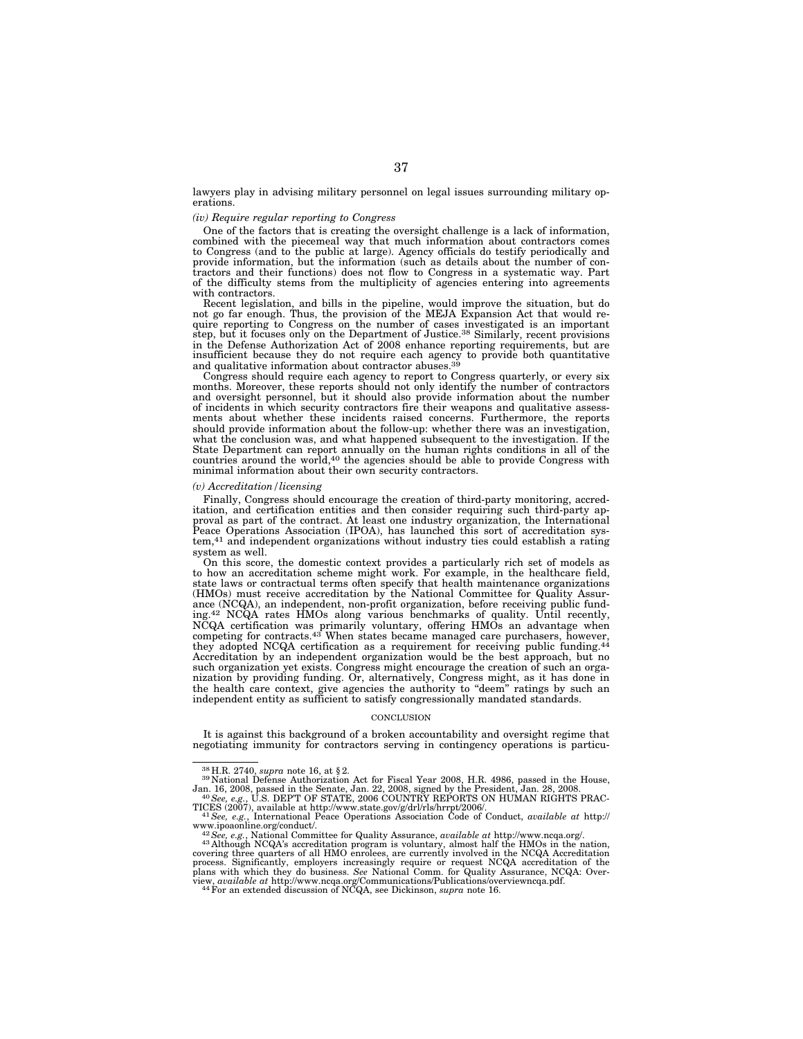lawyers play in advising military personnel on legal issues surrounding military operations.

#### *(iv) Require regular reporting to Congress*

One of the factors that is creating the oversight challenge is a lack of information, combined with the piecemeal way that much information about contractors comes to Congress (and to the public at large). Agency officials do testify periodically and provide information, but the information (such as details about the number of contractors and their functions) does not flow to Congress in a systematic way. Part of the difficulty stems from the multiplicity of agencies entering into agreements with contractors.

Recent legislation, and bills in the pipeline, would improve the situation, but do not go far enough. Thus, the provision of the MEJA Expansion Act that would require reporting to Congress on the number of cases investigated is an important step, but it focuses only on the Department of Justice.38 Similarly, recent provisions in the Defense Authorization Act of 2008 enhance reporting requirements, but are insufficient because they do not require each agency to provide both quantitative and qualitative information about contractor abuses.39

Congress should require each agency to report to Congress quarterly, or every six months. Moreover, these reports should not only identify the number of contractors and oversight personnel, but it should also provide information about the number of incidents in which security contractors fire their weapons and qualitative assessments about whether these incidents raised concerns. Furthermore, the reports should provide information about the follow-up: whether there was an investigation, what the conclusion was, and what happened subsequent to the investigation. If the State Department can report annually on the human rights conditions in all of the countries around the world,<sup>40</sup> the agencies should be able to provide Congress with minimal information about their own security contractors.

#### *(v) Accreditation/licensing*

Finally, Congress should encourage the creation of third-party monitoring, accreditation, and certification entities and then consider requiring such third-party approval as part of the contract. At least one industry organization, the International Peace Operations Association (IPOA), has launched this sort of accreditation system,41 and independent organizations without industry ties could establish a rating system as well.

On this score, the domestic context provides a particularly rich set of models as to how an accreditation scheme might work. For example, in the healthcare field, state laws or contractual terms often specify that health maintenance organizations (HMOs) must receive accreditation by the National Committee for Quality Assurance (NCQA), an independent, non-profit organization, before receiving public fund-ing.42 NCQA rates HMOs along various benchmarks of quality. Until recently, NCQA certification was primarily voluntary, offering HMOs an advantage when competing for contracts.43 When states became managed care purchasers, however, they adopted NCQA certification as a requirement for receiving public funding.44 Accreditation by an independent organization would be the best approach, but no such organization yet exists. Congress might encourage the creation of such an organization by providing funding. Or, alternatively, Congress might, as it has done in the health care context, give agencies the authority to ''deem'' ratings by such an independent entity as sufficient to satisfy congressionally mandated standards.

#### **CONCLUSION**

It is against this background of a broken accountability and oversight regime that negotiating immunity for contractors serving in contingency operations is particu-

<sup>&</sup>lt;sup>38</sup> H.R. 2740, *supra* note 16, at § 2.<br><sup>39</sup> National Defense Authorization Act for Fiscal Year 2008, H.R. 4986, passed in the House, Jan. 16, 2008, passed in the Senate, Jan. 22, 2008, signed by the President, Jan. 28, 2008. 40*See, e.g.*, U.S. DEP'T OF STATE, 2006 COUNTRY REPORTS ON HUMAN RIGHTS PRAC-

TICES (2007), available at http://www.state.gov/g/drl/rls/hrrpt/2006/.<br>TICES (2007), available at http://www.state.gov/g/drl/rls/hrrpt/2006/.<br><sup>41</sup>*See, e.g.*, International Peace Operations Association Code of Conduct, *av* 

www.ipoaonline.org/conduct/. 42*See, e.g.*, National Committee for Quality Assurance, *available at* http://www.ncqa.org/. 43 Although NCQA's accreditation program is voluntary, almost half the HMOs in the nation, covering three quarters of all HMO enrolees, are currently involved in the NCQA Accreditation<br>process. Significantly, employers increasingly require or request NCQA accreditation of the<br>plans with which they do business. S view, *available at* http://www.ncqa.org/Communications/Publications/overviewncqa.pdf. 44For an extended discussion of NCQA, see Dickinson, *supra* note 16.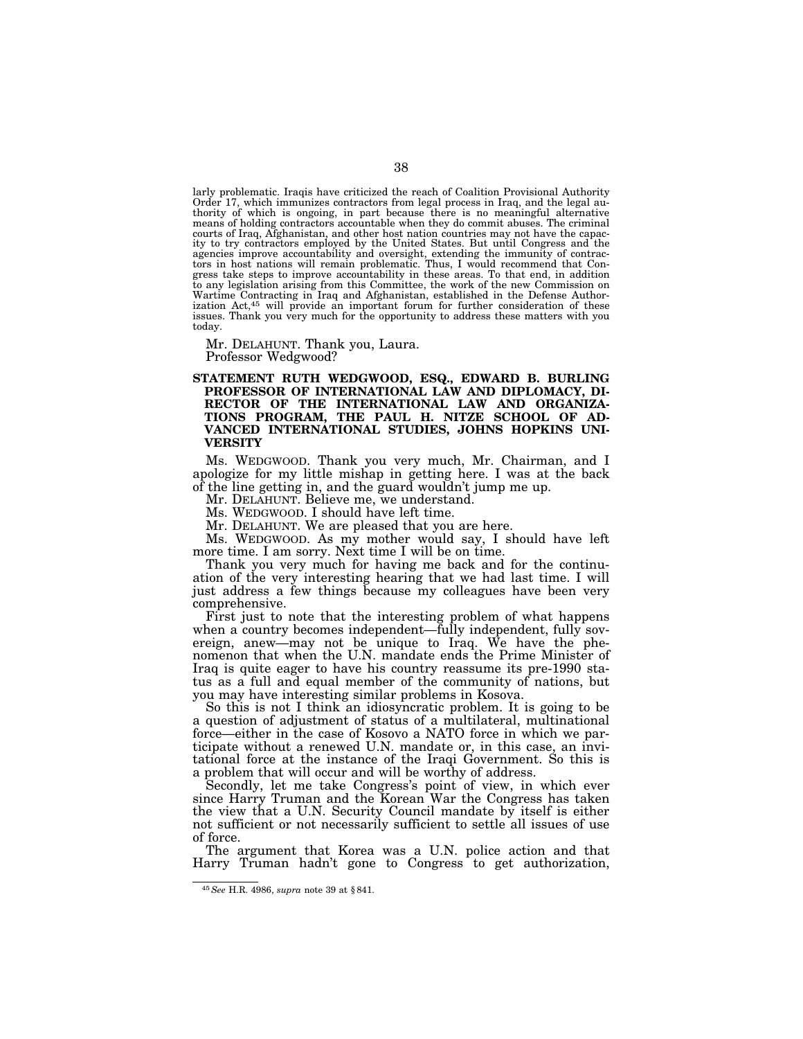larly problematic. Iraqis have criticized the reach of Coalition Provisional Authority Order 17, which immunizes contractors from legal process in Iraq, and the legal authority of which is ongoing, in part because there is no meaningful alternative means of holding contractors accountable when they do commit abuses. The criminal courts of Iraq, Afghanistan, and other host nation countries may not have the capacity to try contractors employed by the United States. But until Congress and the agencies improve accountability and oversight, extending the immunity of contrac-tors in host nations will remain problematic. Thus, I would recommend that Congress take steps to improve accountability in these areas. To that end, in addition to any legislation arising from this Committee, the work of the new Commission on Wartime Contracting in Iraq and Afghanistan, established in the Defense Authorization Act,45 will provide an important forum for further consideration of these issues. Thank you very much for the opportunity to address these matters with you today.

Mr. DELAHUNT. Thank you, Laura. Professor Wedgwood?

### **STATEMENT RUTH WEDGWOOD, ESQ., EDWARD B. BURLING PROFESSOR OF INTERNATIONAL LAW AND DIPLOMACY, DI-RECTOR OF THE INTERNATIONAL LAW AND ORGANIZA-TIONS PROGRAM, THE PAUL H. NITZE SCHOOL OF AD-VANCED INTERNATIONAL STUDIES, JOHNS HOPKINS UNI-VERSITY**

Ms. WEDGWOOD. Thank you very much, Mr. Chairman, and I apologize for my little mishap in getting here. I was at the back of the line getting in, and the guard wouldn't jump me up.

Mr. DELAHUNT. Believe me, we understand.

Ms. WEDGWOOD. I should have left time.

Mr. DELAHUNT. We are pleased that you are here.

Ms. WEDGWOOD. As my mother would say, I should have left more time. I am sorry. Next time I will be on time.

Thank you very much for having me back and for the continuation of the very interesting hearing that we had last time. I will just address a few things because my colleagues have been very comprehensive.

First just to note that the interesting problem of what happens when a country becomes independent—fully independent, fully sovereign, anew—may not be unique to Iraq. We have the phenomenon that when the U.N. mandate ends the Prime Minister of Iraq is quite eager to have his country reassume its pre-1990 status as a full and equal member of the community of nations, but you may have interesting similar problems in Kosova.

So this is not I think an idiosyncratic problem. It is going to be a question of adjustment of status of a multilateral, multinational force—either in the case of Kosovo a NATO force in which we participate without a renewed U.N. mandate or, in this case, an invitational force at the instance of the Iraqi Government. So this is a problem that will occur and will be worthy of address.

Secondly, let me take Congress's point of view, in which ever since Harry Truman and the Korean War the Congress has taken the view that a U.N. Security Council mandate by itself is either not sufficient or not necessarily sufficient to settle all issues of use of force.

The argument that Korea was a U.N. police action and that Harry Truman hadn't gone to Congress to get authorization,

<sup>45</sup>*See* H.R. 4986, *supra* note 39 at § 841.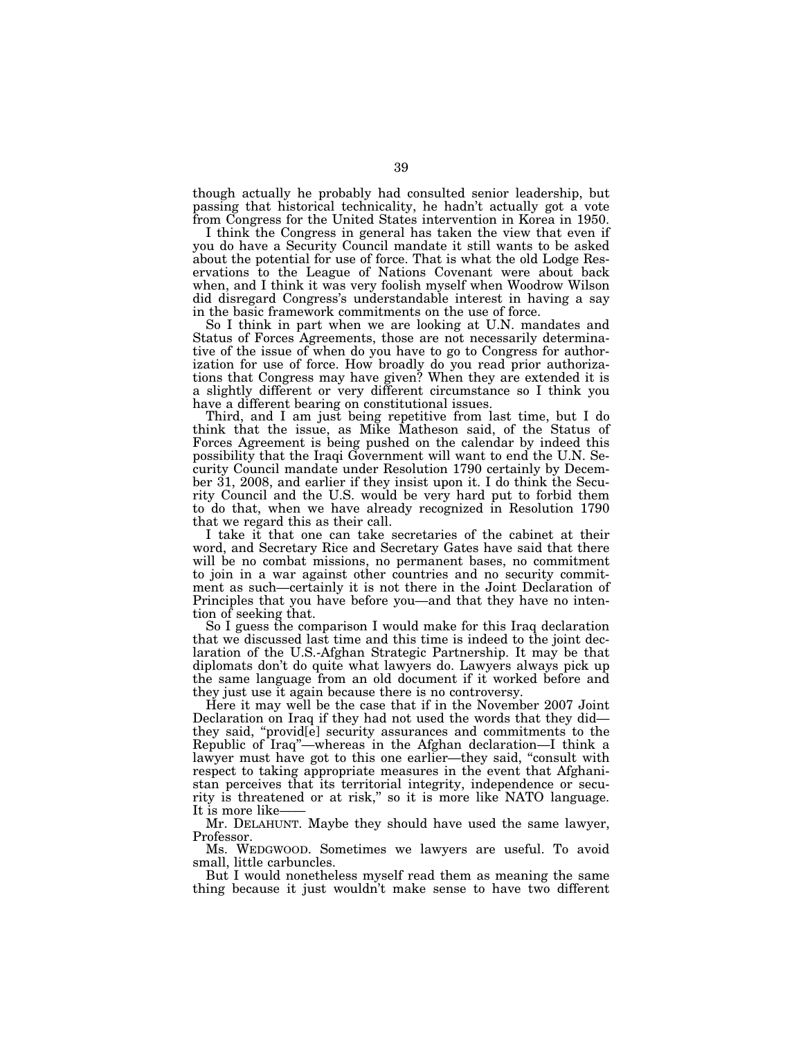though actually he probably had consulted senior leadership, but passing that historical technicality, he hadn't actually got a vote from Congress for the United States intervention in Korea in 1950.

I think the Congress in general has taken the view that even if you do have a Security Council mandate it still wants to be asked about the potential for use of force. That is what the old Lodge Reservations to the League of Nations Covenant were about back when, and I think it was very foolish myself when Woodrow Wilson did disregard Congress's understandable interest in having a say in the basic framework commitments on the use of force.

So I think in part when we are looking at U.N. mandates and Status of Forces Agreements, those are not necessarily determinative of the issue of when do you have to go to Congress for authorization for use of force. How broadly do you read prior authorizations that Congress may have given? When they are extended it is a slightly different or very different circumstance so I think you have a different bearing on constitutional issues.

Third, and I am just being repetitive from last time, but I do think that the issue, as Mike Matheson said, of the Status of Forces Agreement is being pushed on the calendar by indeed this possibility that the Iraqi Government will want to end the U.N. Security Council mandate under Resolution 1790 certainly by December 31, 2008, and earlier if they insist upon it. I do think the Security Council and the U.S. would be very hard put to forbid them to do that, when we have already recognized in Resolution 1790 that we regard this as their call.

I take it that one can take secretaries of the cabinet at their word, and Secretary Rice and Secretary Gates have said that there will be no combat missions, no permanent bases, no commitment to join in a war against other countries and no security commitment as such—certainly it is not there in the Joint Declaration of Principles that you have before you—and that they have no intention of seeking that.

So I guess the comparison I would make for this Iraq declaration that we discussed last time and this time is indeed to the joint declaration of the U.S.-Afghan Strategic Partnership. It may be that diplomats don't do quite what lawyers do. Lawyers always pick up the same language from an old document if it worked before and they just use it again because there is no controversy.

Here it may well be the case that if in the November 2007 Joint Declaration on Iraq if they had not used the words that they did they said, ''provid[e] security assurances and commitments to the Republic of Iraq''—whereas in the Afghan declaration—I think a lawyer must have got to this one earlier—they said, "consult with respect to taking appropriate measures in the event that Afghanistan perceives that its territorial integrity, independence or security is threatened or at risk," so it is more like NATO language. It is more like-

Mr. DELAHUNT. Maybe they should have used the same lawyer, Professor.

Ms. WEDGWOOD. Sometimes we lawyers are useful. To avoid small, little carbuncles.

But I would nonetheless myself read them as meaning the same thing because it just wouldn't make sense to have two different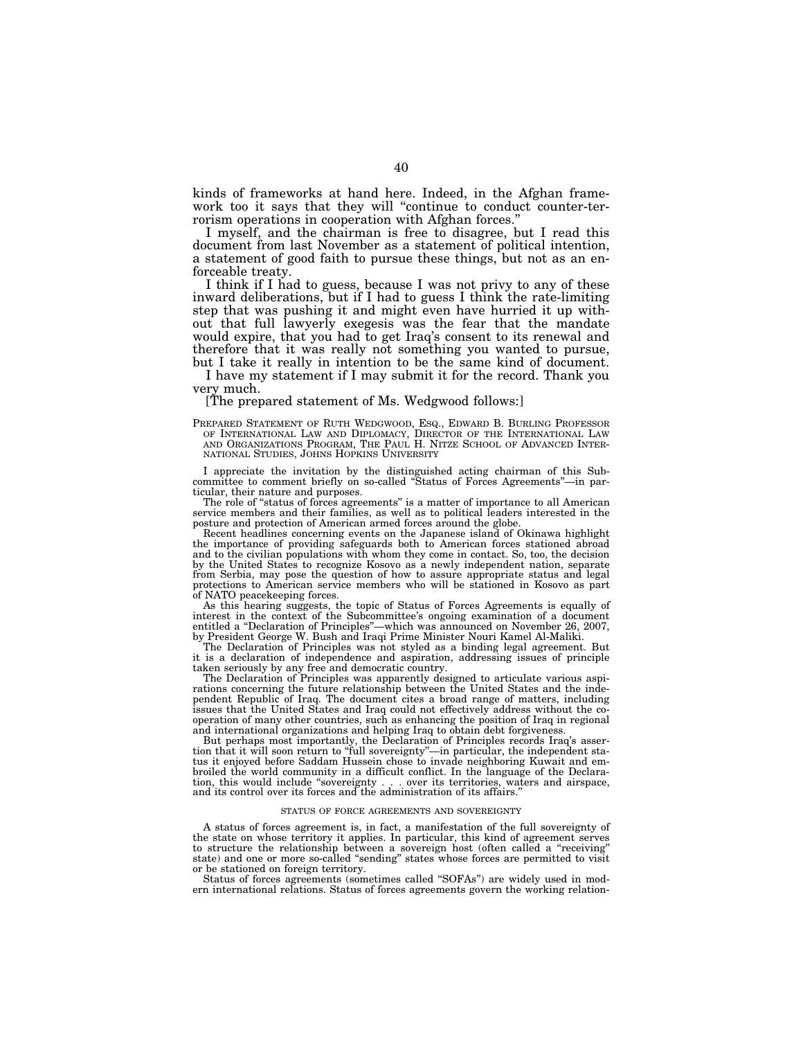kinds of frameworks at hand here. Indeed, in the Afghan framework too it says that they will ''continue to conduct counter-terrorism operations in cooperation with Afghan forces.''

I myself, and the chairman is free to disagree, but I read this document from last November as a statement of political intention, a statement of good faith to pursue these things, but not as an enforceable treaty.

I think if I had to guess, because I was not privy to any of these inward deliberations, but if I had to guess I think the rate-limiting step that was pushing it and might even have hurried it up without that full lawyerly exegesis was the fear that the mandate would expire, that you had to get Iraq's consent to its renewal and therefore that it was really not something you wanted to pursue, but I take it really in intention to be the same kind of document.

I have my statement if I may submit it for the record. Thank you very much.

[The prepared statement of Ms. Wedgwood follows:]

PREPARED STATEMENT OF RUTH WEDGWOOD, ESQ., EDWARD B. BURLING PROFESSOR OF INTERNATIONAL LAW AND DIPLOMACY, DIRECTOR OF THE INTERNATIONAL LAW AND ORGANIZATIONS PROGRAM, THE PAUL H. NITZE SCHOOL OF ADVANCED INTER- NATIONAL STUDIES, JOHNS HOPKINS UNIVERSITY

I appreciate the invitation by the distinguished acting chairman of this Sub-committee to comment briefly on so-called ''Status of Forces Agreements''—in particular, their nature and purposes.

The role of ''status of forces agreements'' is a matter of importance to all American service members and their families, as well as to political leaders interested in the posture and protection of American armed forces around the globe.

Recent headlines concerning events on the Japanese island of Okinawa highlight the importance of providing safeguards both to American forces stationed abroad and to the civilian populations with whom they come in contact. So, too, the decision by the United States to recognize Kosovo as a newly independent nation, separate from Serbia, may pose the question of how to assure appropriate status and legal protections to American service members who will be stationed in Kosovo as part of NATO peacekeeping forces.

As this hearing suggests, the topic of Status of Forces Agreements is equally of interest in the context of the Subcommittee's ongoing examination of a document entitled a ''Declaration of Principles''—which was announced on November 26, 2007, by President George W. Bush and Iraqi Prime Minister Nouri Kamel Al-Maliki.

The Declaration of Principles was not styled as a binding legal agreement. But it is a declaration of independence and aspiration, addressing issues of principle taken seriously by any free and democratic country.

The Declaration of Principles was apparently designed to articulate various aspirations concerning the future relationship between the United States and the independent Republic of Iraq. The document cites a broad range of matters, including issues that the United States and Iraq could not effectively address without the cooperation of many other countries, such as enhancing the position of Iraq in regional and international organizations and helping Iraq to obtain debt forgiveness.

But perhaps most importantly, the Declaration of Principles records Iraq's assertion that it will soon return to "full sovereignty"—in particular, the independent status it enjoyed before Saddam Hussein chose to invade neighboring Kuwait and embroiled the world community in a difficult conflict. In the language of the Declaration, this would include ''sovereignty . . . over its territories, waters and airspace, and its control over its forces and the administration of its affairs.''

#### STATUS OF FORCE AGREEMENTS AND SOVEREIGNTY

A status of forces agreement is, in fact, a manifestation of the full sovereignty of the state on whose territory it applies. In particular, this kind of agreement serves to structure the relationship between a sovereign host (often called a ''receiving'' state) and one or more so-called ''sending'' states whose forces are permitted to visit or be stationed on foreign territory.

Status of forces agreements (sometimes called "SOFAs") are widely used in modern international relations. Status of forces agreements govern the working relation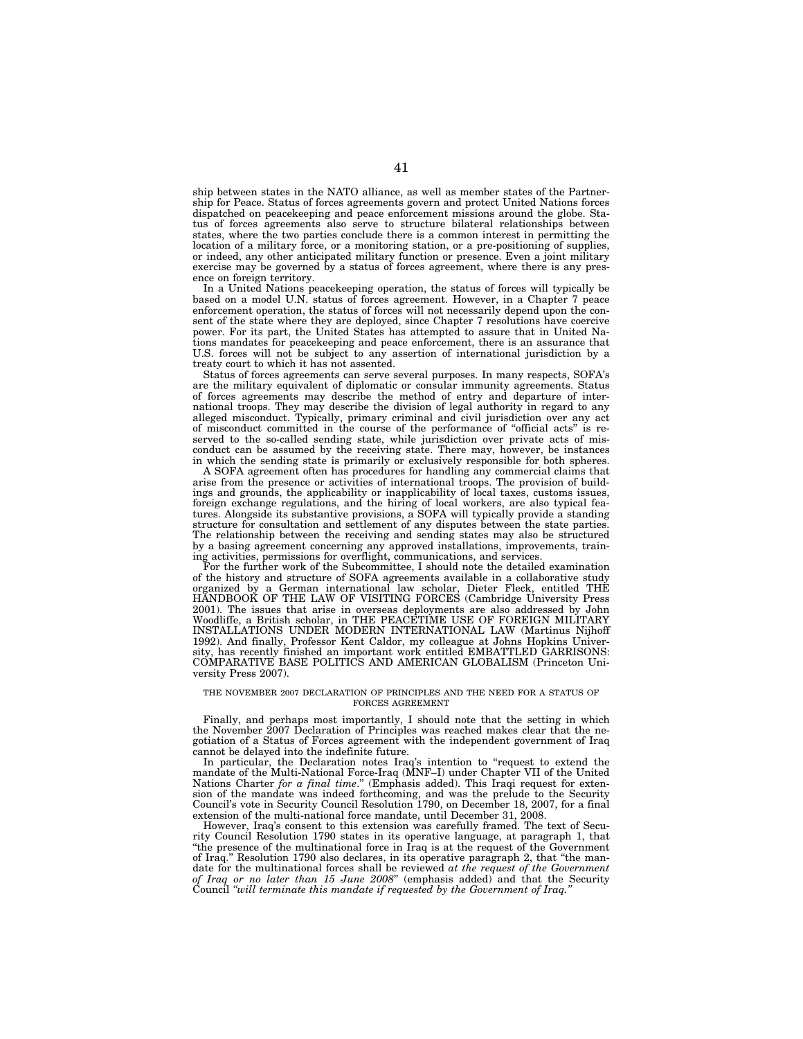ship between states in the NATO alliance, as well as member states of the Partnership for Peace. Status of forces agreements govern and protect United Nations forces dispatched on peacekeeping and peace enforcement missions around the globe. Status of forces agreements also serve to structure bilateral relationships between states, where the two parties conclude there is a common interest in permitting the location of a military force, or a monitoring station, or a pre-positioning of supplies, or indeed, any other anticipated military function or presence. Even a joint military exercise may be governed by a status of forces agreement, where there is any presence on foreign territory.

In a United Nations peacekeeping operation, the status of forces will typically be based on a model U.N. status of forces agreement. However, in a Chapter 7 peace enforcement operation, the status of forces will not necessarily depend upon the consent of the state where they are deployed, since Chapter 7 resolutions have coercive power. For its part, the United States has attempted to assure that in United Nations mandates for peacekeeping and peace enforcement, there is an assurance that U.S. forces will not be subject to any assertion of international jurisdiction by a treaty court to which it has not assented.

Status of forces agreements can serve several purposes. In many respects, SOFA's are the military equivalent of diplomatic or consular immunity agreements. Status of forces agreements may describe the method of entry and departure of international troops. They may describe the division of legal authority in regard to any alleged misconduct. Typically, primary criminal and civil jurisdiction over any act of misconduct committed in the course of the performance of ''official acts'' is reserved to the so-called sending state, while jurisdiction over private acts of misconduct can be assumed by the receiving state. There may, however, be instances in which the sending state is primarily or exclusively responsible for both spheres.

A SOFA agreement often has procedures for handling any commercial claims that arise from the presence or activities of international troops. The provision of buildings and grounds, the applicability or inapplicability of local taxes, customs issues, foreign exchange regulations, and the hiring of local workers, are also typical features. Alongside its substantive provisions, a SOFA will typically provide a standing structure for consultation and settlement of any disputes between the state parties. The relationship between the receiving and sending states may also be structured by a basing agreement concerning any approved installations, improvements, training activities, permissions for overflight, communications, and services.

For the further work of the Subcommittee, I should note the detailed examination of the history and structure of SOFA agreements available in a collaborative study organized by a German international law scholar, Dieter Fleck, entitled THE HANDBOOK OF THE LAW OF VISITING FORCES (Cambridge University Press 2001). The issues that arise in overseas deployments are also addressed by John Woodliffe, a British scholar, in THE PEACETIME USE OF FOREIGN MILITARY INSTALLATIONS UNDER MODERN INTERNATIONAL LAW (Martinus Nijhoff 1992). And finally, Professor Kent Caldor, my colleague at Johns Hopkins University, has recently finished an important work entitled EMBATTLED GARRISONS: COMPARATIVE BASE POLITICS AND AMERICAN GLOBALISM (Princeton University Press 2007).

#### THE NOVEMBER 2007 DECLARATION OF PRINCIPLES AND THE NEED FOR A STATUS OF FORCES AGREEMENT

Finally, and perhaps most importantly, I should note that the setting in which the November 2007 Declaration of Principles was reached makes clear that the negotiation of a Status of Forces agreement with the independent government of Iraq cannot be delayed into the indefinite future.

In particular, the Declaration notes Iraq's intention to "request to extend the mandate of the Multi-National Force-Iraq (MNF–I) under Chapter VII of the United Nations Charter *for a final time*.'' (Emphasis added). This Iraqi request for extension of the mandate was indeed forthcoming, and was the prelude to the Security Council's vote in Security Council Resolution 1790, on December 18, 2007, for a final extension of the multi-national force mandate, until December 31, 2008.

However, Iraq's consent to this extension was carefully framed. The text of Security Council Resolution 1790 states in its operative language, at paragraph 1, that ''the presence of the multinational force in Iraq is at the request of the Government of Iraq.'' Resolution 1790 also declares, in its operative paragraph 2, that ''the mandate for the multinational forces shall be reviewed *at the request of the Government of Iraq or no later than 15 June 2008*'' (emphasis added) and that the Security Council *''will terminate this mandate if requested by the Government of Iraq.''*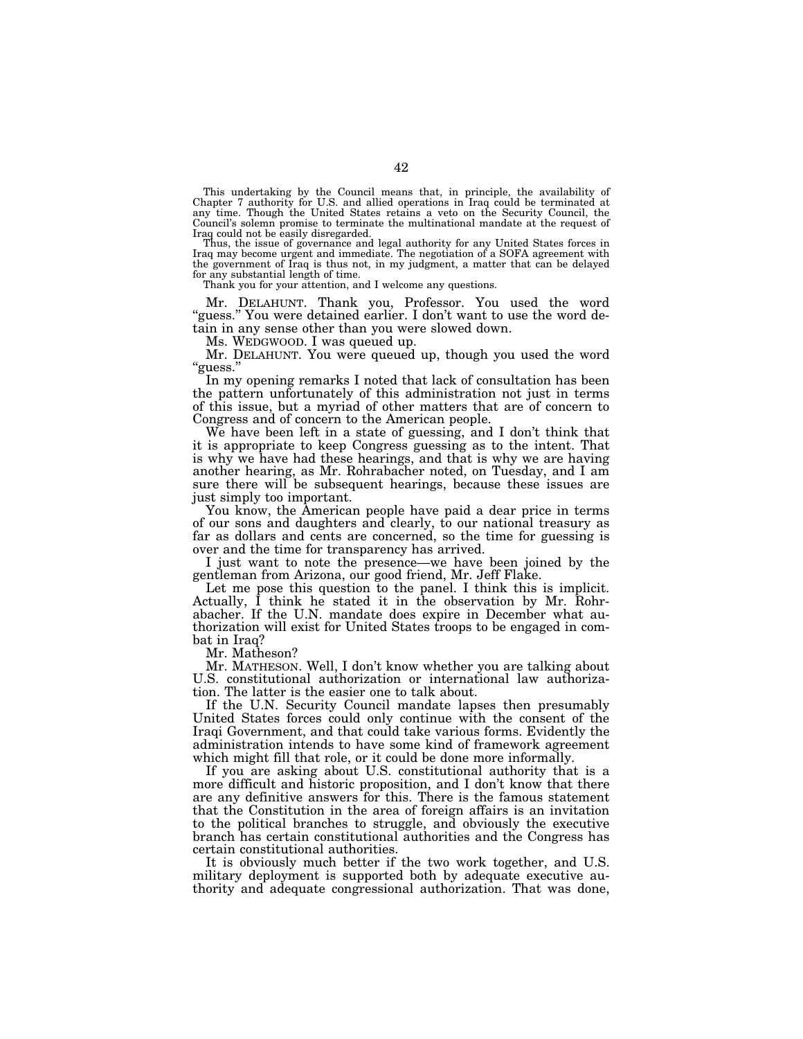This undertaking by the Council means that, in principle, the availability of Chapter 7 authority for U.S. and allied operations in Iraq could be terminated at any time. Though the United States retains a veto on the Secur Council's solemn promise to terminate the multinational mandate at the request of Iraq could not be easily disregarded.

Thus, the issue of governance and legal authority for any United States forces in Iraq may become urgent and immediate. The negotiation of a SOFA agreement with the government of Iraq is thus not, in my judgment, a matter that can be delayed for any substantial length of time.

Thank you for your attention, and I welcome any questions.

Mr. DELAHUNT. Thank you, Professor. You used the word "guess." You were detained earlier. I don't want to use the word detain in any sense other than you were slowed down.

Ms. WEDGWOOD. I was queued up.

Mr. DELAHUNT. You were queued up, though you used the word ''guess.''

In my opening remarks I noted that lack of consultation has been the pattern unfortunately of this administration not just in terms of this issue, but a myriad of other matters that are of concern to Congress and of concern to the American people.

We have been left in a state of guessing, and I don't think that it is appropriate to keep Congress guessing as to the intent. That is why we have had these hearings, and that is why we are having another hearing, as Mr. Rohrabacher noted, on Tuesday, and I am sure there will be subsequent hearings, because these issues are just simply too important.

You know, the American people have paid a dear price in terms of our sons and daughters and clearly, to our national treasury as far as dollars and cents are concerned, so the time for guessing is over and the time for transparency has arrived.

I just want to note the presence—we have been joined by the gentleman from Arizona, our good friend, Mr. Jeff Flake.

Let me pose this question to the panel. I think this is implicit. Actually, I think he stated it in the observation by Mr. Rohrabacher. If the U.N. mandate does expire in December what authorization will exist for United States troops to be engaged in combat in Iraq?

Mr. Matheson?

Mr. MATHESON. Well, I don't know whether you are talking about U.S. constitutional authorization or international law authorization. The latter is the easier one to talk about.

If the U.N. Security Council mandate lapses then presumably United States forces could only continue with the consent of the Iraqi Government, and that could take various forms. Evidently the administration intends to have some kind of framework agreement which might fill that role, or it could be done more informally.

If you are asking about U.S. constitutional authority that is a more difficult and historic proposition, and I don't know that there are any definitive answers for this. There is the famous statement that the Constitution in the area of foreign affairs is an invitation to the political branches to struggle, and obviously the executive branch has certain constitutional authorities and the Congress has certain constitutional authorities.

It is obviously much better if the two work together, and U.S. military deployment is supported both by adequate executive authority and adequate congressional authorization. That was done,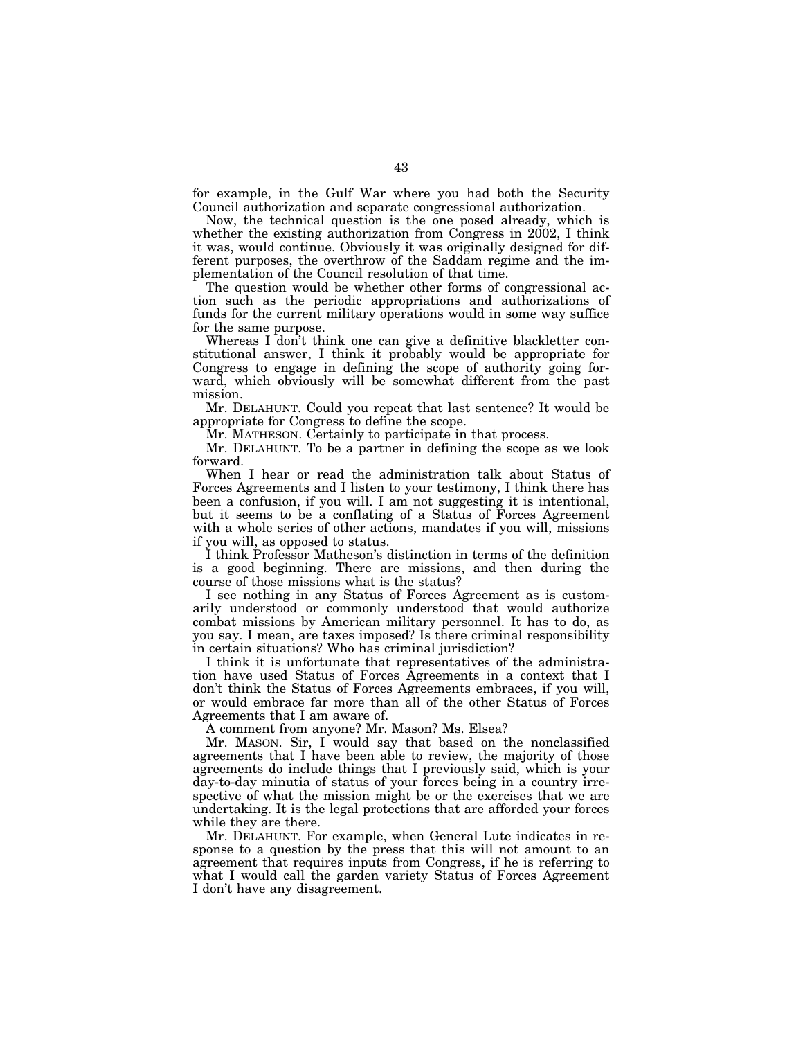for example, in the Gulf War where you had both the Security Council authorization and separate congressional authorization.

Now, the technical question is the one posed already, which is whether the existing authorization from Congress in 2002, I think it was, would continue. Obviously it was originally designed for different purposes, the overthrow of the Saddam regime and the implementation of the Council resolution of that time.

The question would be whether other forms of congressional action such as the periodic appropriations and authorizations of funds for the current military operations would in some way suffice for the same purpose.

Whereas I don't think one can give a definitive blackletter constitutional answer, I think it probably would be appropriate for Congress to engage in defining the scope of authority going forward, which obviously will be somewhat different from the past mission.

Mr. DELAHUNT. Could you repeat that last sentence? It would be appropriate for Congress to define the scope.

Mr. MATHESON. Certainly to participate in that process.

Mr. DELAHUNT. To be a partner in defining the scope as we look forward.

When I hear or read the administration talk about Status of Forces Agreements and I listen to your testimony, I think there has been a confusion, if you will. I am not suggesting it is intentional, but it seems to be a conflating of a Status of Forces Agreement with a whole series of other actions, mandates if you will, missions if you will, as opposed to status.

I think Professor Matheson's distinction in terms of the definition is a good beginning. There are missions, and then during the course of those missions what is the status?

I see nothing in any Status of Forces Agreement as is customarily understood or commonly understood that would authorize combat missions by American military personnel. It has to do, as you say. I mean, are taxes imposed? Is there criminal responsibility in certain situations? Who has criminal jurisdiction?

I think it is unfortunate that representatives of the administration have used Status of Forces Agreements in a context that I don't think the Status of Forces Agreements embraces, if you will, or would embrace far more than all of the other Status of Forces Agreements that I am aware of.

A comment from anyone? Mr. Mason? Ms. Elsea?

Mr. MASON. Sir, I would say that based on the nonclassified agreements that I have been able to review, the majority of those agreements do include things that I previously said, which is your day-to-day minutia of status of your forces being in a country irrespective of what the mission might be or the exercises that we are undertaking. It is the legal protections that are afforded your forces while they are there.

Mr. DELAHUNT. For example, when General Lute indicates in response to a question by the press that this will not amount to an agreement that requires inputs from Congress, if he is referring to what I would call the garden variety Status of Forces Agreement I don't have any disagreement.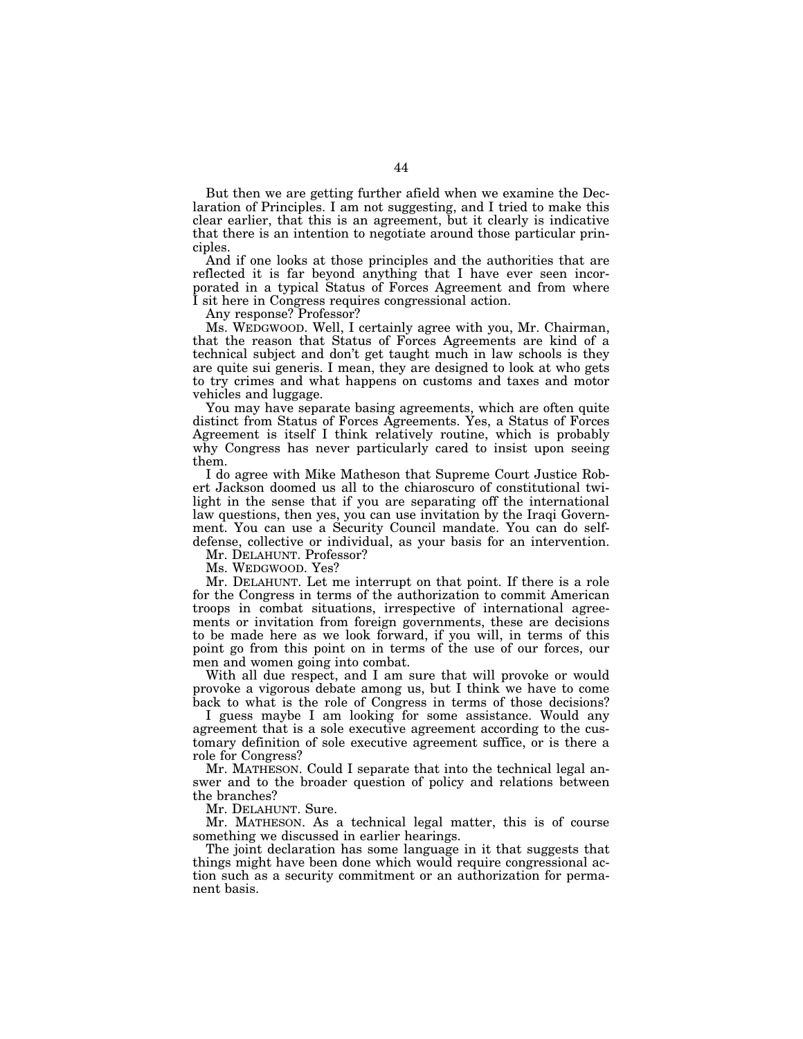But then we are getting further afield when we examine the Declaration of Principles. I am not suggesting, and I tried to make this clear earlier, that this is an agreement, but it clearly is indicative that there is an intention to negotiate around those particular principles.

And if one looks at those principles and the authorities that are reflected it is far beyond anything that I have ever seen incorporated in a typical Status of Forces Agreement and from where I sit here in Congress requires congressional action.

Any response? Professor?

Ms. WEDGWOOD. Well, I certainly agree with you, Mr. Chairman, that the reason that Status of Forces Agreements are kind of a technical subject and don't get taught much in law schools is they are quite sui generis. I mean, they are designed to look at who gets to try crimes and what happens on customs and taxes and motor vehicles and luggage.

You may have separate basing agreements, which are often quite distinct from Status of Forces Agreements. Yes, a Status of Forces Agreement is itself I think relatively routine, which is probably why Congress has never particularly cared to insist upon seeing them.

I do agree with Mike Matheson that Supreme Court Justice Robert Jackson doomed us all to the chiaroscuro of constitutional twilight in the sense that if you are separating off the international law questions, then yes, you can use invitation by the Iraqi Government. You can use a Security Council mandate. You can do selfdefense, collective or individual, as your basis for an intervention.

Mr. DELAHUNT. Professor?

Ms. WEDGWOOD. Yes?

Mr. DELAHUNT. Let me interrupt on that point. If there is a role for the Congress in terms of the authorization to commit American troops in combat situations, irrespective of international agreements or invitation from foreign governments, these are decisions to be made here as we look forward, if you will, in terms of this point go from this point on in terms of the use of our forces, our men and women going into combat.

With all due respect, and I am sure that will provoke or would provoke a vigorous debate among us, but I think we have to come back to what is the role of Congress in terms of those decisions?

I guess maybe I am looking for some assistance. Would any agreement that is a sole executive agreement according to the customary definition of sole executive agreement suffice, or is there a role for Congress?

Mr. MATHESON. Could I separate that into the technical legal answer and to the broader question of policy and relations between the branches?

Mr. DELAHUNT. Sure.

Mr. MATHESON. As a technical legal matter, this is of course something we discussed in earlier hearings.

The joint declaration has some language in it that suggests that things might have been done which would require congressional action such as a security commitment or an authorization for permanent basis.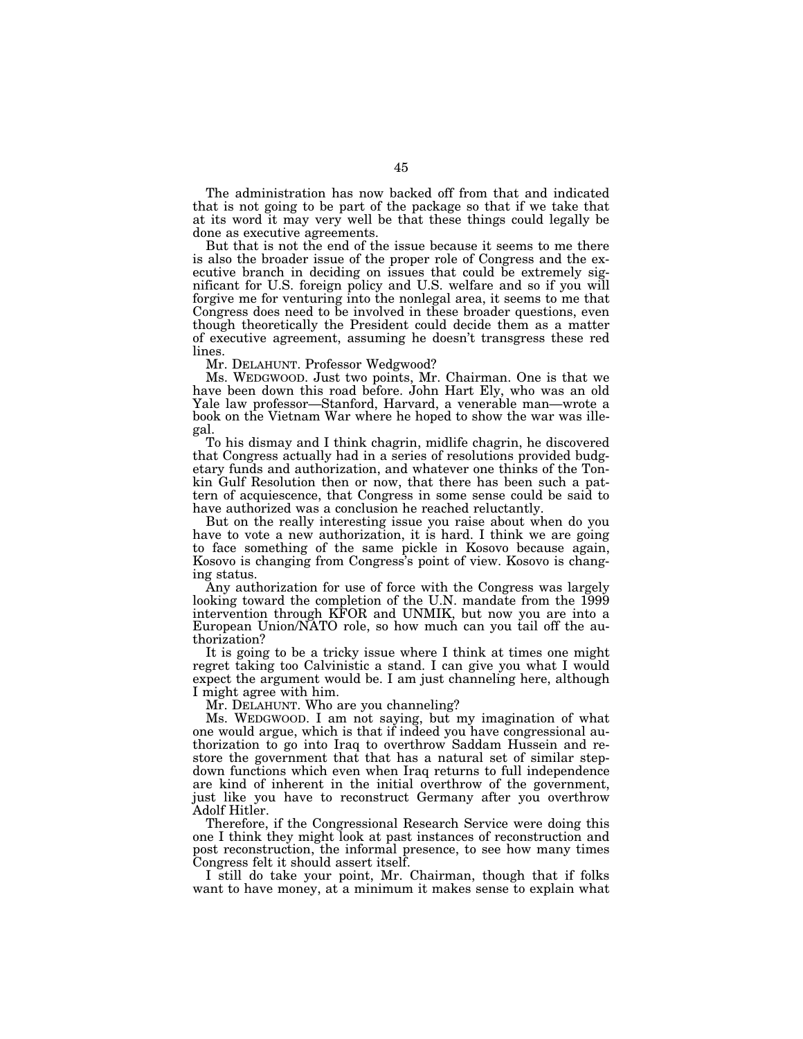The administration has now backed off from that and indicated that is not going to be part of the package so that if we take that at its word it may very well be that these things could legally be done as executive agreements.

But that is not the end of the issue because it seems to me there is also the broader issue of the proper role of Congress and the executive branch in deciding on issues that could be extremely significant for U.S. foreign policy and U.S. welfare and so if you will forgive me for venturing into the nonlegal area, it seems to me that Congress does need to be involved in these broader questions, even though theoretically the President could decide them as a matter of executive agreement, assuming he doesn't transgress these red lines.

Mr. DELAHUNT. Professor Wedgwood?

Ms. WEDGWOOD. Just two points, Mr. Chairman. One is that we have been down this road before. John Hart Ely, who was an old Yale law professor—Stanford, Harvard, a venerable man—wrote a book on the Vietnam War where he hoped to show the war was illegal.

To his dismay and I think chagrin, midlife chagrin, he discovered that Congress actually had in a series of resolutions provided budgetary funds and authorization, and whatever one thinks of the Tonkin Gulf Resolution then or now, that there has been such a pattern of acquiescence, that Congress in some sense could be said to have authorized was a conclusion he reached reluctantly.

But on the really interesting issue you raise about when do you have to vote a new authorization, it is hard. I think we are going to face something of the same pickle in Kosovo because again, Kosovo is changing from Congress's point of view. Kosovo is changing status.

Any authorization for use of force with the Congress was largely looking toward the completion of the U.N. mandate from the 1999 intervention through KFOR and UNMIK, but now you are into a European Union/NATO role, so how much can you tail off the authorization?

It is going to be a tricky issue where I think at times one might regret taking too Calvinistic a stand. I can give you what I would expect the argument would be. I am just channeling here, although I might agree with him.

Mr. DELAHUNT. Who are you channeling?

Ms. WEDGWOOD. I am not saying, but my imagination of what one would argue, which is that if indeed you have congressional authorization to go into Iraq to overthrow Saddam Hussein and restore the government that that has a natural set of similar stepdown functions which even when Iraq returns to full independence are kind of inherent in the initial overthrow of the government, just like you have to reconstruct Germany after you overthrow Adolf Hitler.

Therefore, if the Congressional Research Service were doing this one I think they might look at past instances of reconstruction and post reconstruction, the informal presence, to see how many times Congress felt it should assert itself.

I still do take your point, Mr. Chairman, though that if folks want to have money, at a minimum it makes sense to explain what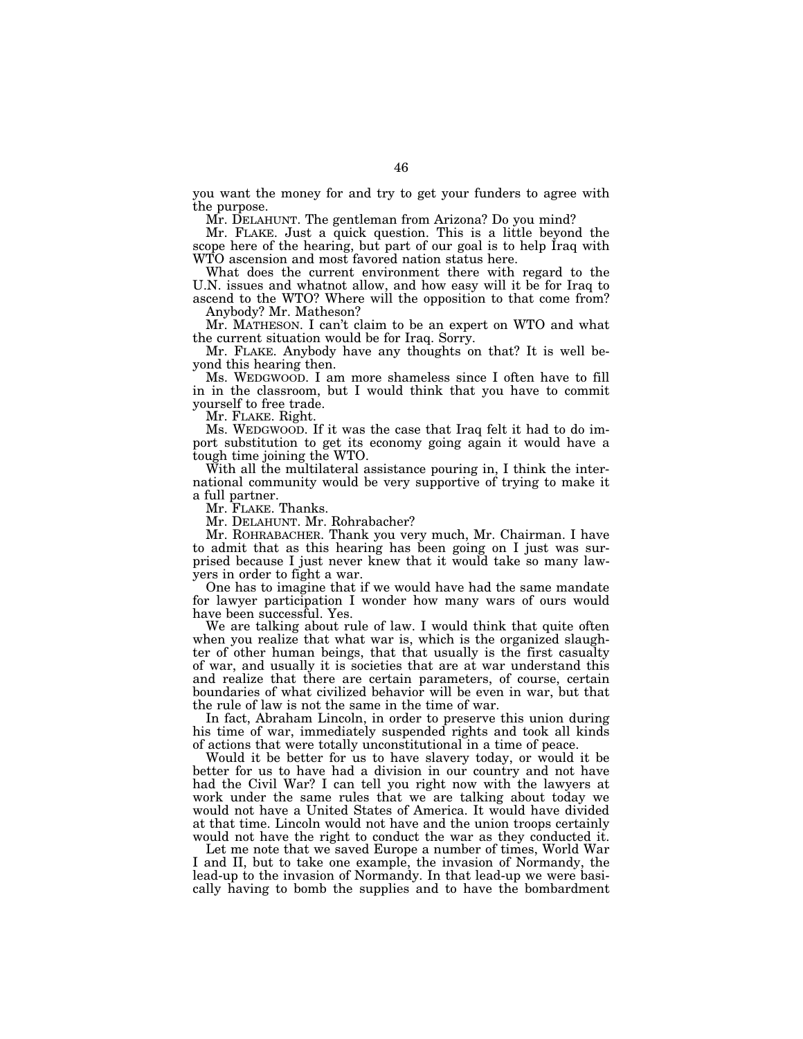you want the money for and try to get your funders to agree with the purpose.

Mr. DELAHUNT. The gentleman from Arizona? Do you mind?

Mr. FLAKE. Just a quick question. This is a little beyond the scope here of the hearing, but part of our goal is to help Iraq with WTO ascension and most favored nation status here.

What does the current environment there with regard to the U.N. issues and whatnot allow, and how easy will it be for Iraq to ascend to the WTO? Where will the opposition to that come from?

Anybody? Mr. Matheson?

Mr. MATHESON. I can't claim to be an expert on WTO and what the current situation would be for Iraq. Sorry.

Mr. FLAKE. Anybody have any thoughts on that? It is well beyond this hearing then.

Ms. WEDGWOOD. I am more shameless since I often have to fill in in the classroom, but I would think that you have to commit yourself to free trade.

Mr. FLAKE. Right.

Ms. WEDGWOOD. If it was the case that Iraq felt it had to do import substitution to get its economy going again it would have a tough time joining the WTO.

With all the multilateral assistance pouring in, I think the international community would be very supportive of trying to make it a full partner.

Mr. FLAKE. Thanks.

Mr. DELAHUNT. Mr. Rohrabacher?

Mr. ROHRABACHER. Thank you very much, Mr. Chairman. I have to admit that as this hearing has been going on I just was surprised because I just never knew that it would take so many lawyers in order to fight a war.

One has to imagine that if we would have had the same mandate for lawyer participation I wonder how many wars of ours would have been successful. Yes.

We are talking about rule of law. I would think that quite often when you realize that what war is, which is the organized slaughter of other human beings, that that usually is the first casualty of war, and usually it is societies that are at war understand this and realize that there are certain parameters, of course, certain boundaries of what civilized behavior will be even in war, but that the rule of law is not the same in the time of war.

In fact, Abraham Lincoln, in order to preserve this union during his time of war, immediately suspended rights and took all kinds of actions that were totally unconstitutional in a time of peace.

Would it be better for us to have slavery today, or would it be better for us to have had a division in our country and not have had the Civil War? I can tell you right now with the lawyers at work under the same rules that we are talking about today we would not have a United States of America. It would have divided at that time. Lincoln would not have and the union troops certainly would not have the right to conduct the war as they conducted it.

Let me note that we saved Europe a number of times, World War I and II, but to take one example, the invasion of Normandy, the lead-up to the invasion of Normandy. In that lead-up we were basically having to bomb the supplies and to have the bombardment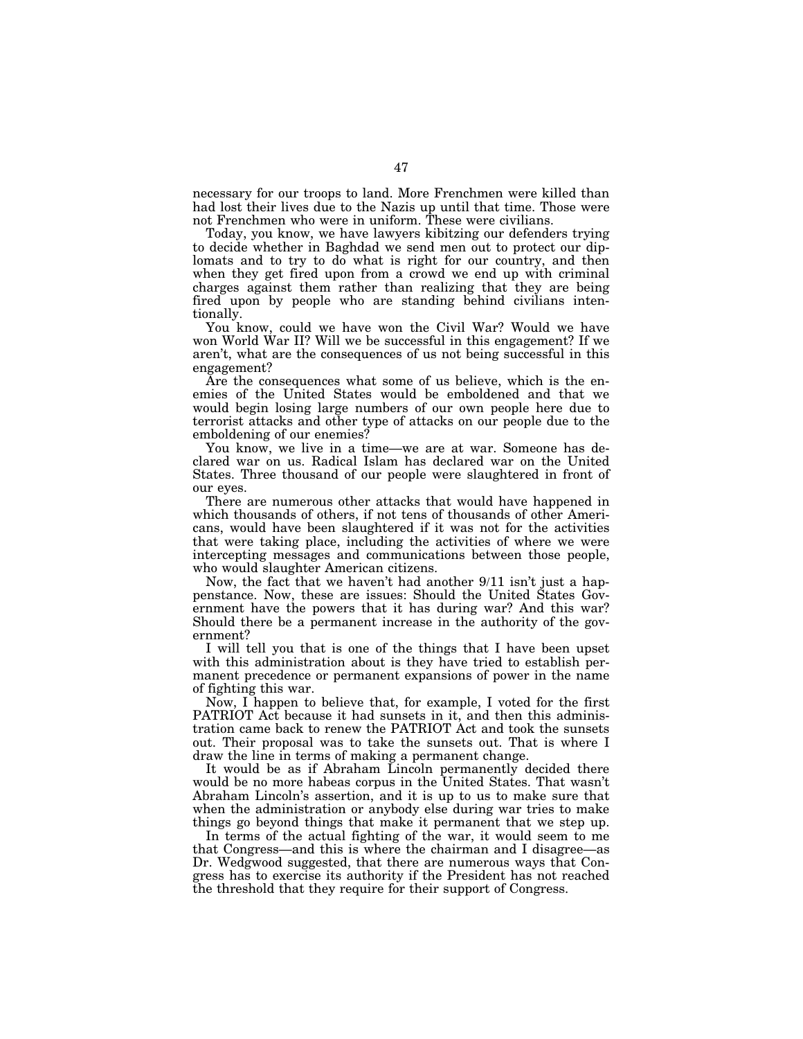necessary for our troops to land. More Frenchmen were killed than had lost their lives due to the Nazis up until that time. Those were not Frenchmen who were in uniform. These were civilians.

Today, you know, we have lawyers kibitzing our defenders trying to decide whether in Baghdad we send men out to protect our diplomats and to try to do what is right for our country, and then when they get fired upon from a crowd we end up with criminal charges against them rather than realizing that they are being fired upon by people who are standing behind civilians intentionally.

You know, could we have won the Civil War? Would we have won World War II? Will we be successful in this engagement? If we aren't, what are the consequences of us not being successful in this engagement?

Are the consequences what some of us believe, which is the enemies of the United States would be emboldened and that we would begin losing large numbers of our own people here due to terrorist attacks and other type of attacks on our people due to the emboldening of our enemies?

You know, we live in a time—we are at war. Someone has declared war on us. Radical Islam has declared war on the United States. Three thousand of our people were slaughtered in front of our eyes.

There are numerous other attacks that would have happened in which thousands of others, if not tens of thousands of other Americans, would have been slaughtered if it was not for the activities that were taking place, including the activities of where we were intercepting messages and communications between those people, who would slaughter American citizens.

Now, the fact that we haven't had another 9/11 isn't just a happenstance. Now, these are issues: Should the United States Government have the powers that it has during war? And this war? Should there be a permanent increase in the authority of the government?

I will tell you that is one of the things that I have been upset with this administration about is they have tried to establish permanent precedence or permanent expansions of power in the name of fighting this war.

Now, I happen to believe that, for example, I voted for the first PATRIOT Act because it had sunsets in it, and then this administration came back to renew the PATRIOT Act and took the sunsets out. Their proposal was to take the sunsets out. That is where I draw the line in terms of making a permanent change.

It would be as if Abraham Lincoln permanently decided there would be no more habeas corpus in the United States. That wasn't Abraham Lincoln's assertion, and it is up to us to make sure that when the administration or anybody else during war tries to make things go beyond things that make it permanent that we step up.

In terms of the actual fighting of the war, it would seem to me that Congress—and this is where the chairman and I disagree—as Dr. Wedgwood suggested, that there are numerous ways that Congress has to exercise its authority if the President has not reached the threshold that they require for their support of Congress.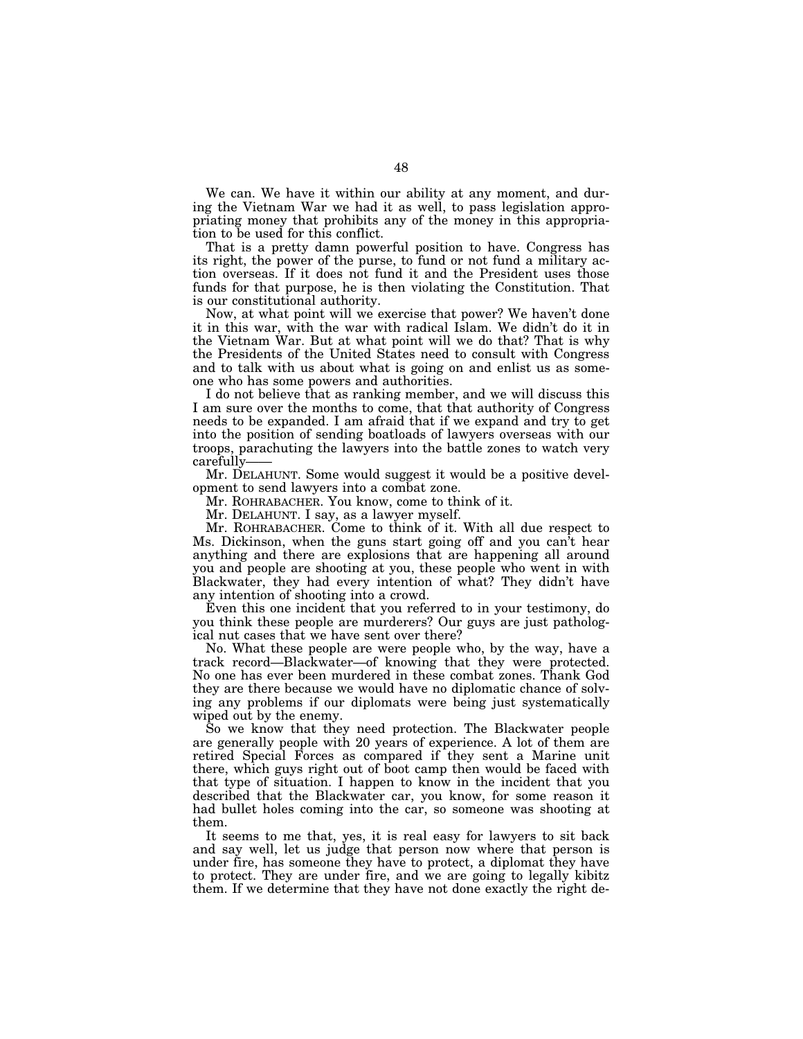We can. We have it within our ability at any moment, and during the Vietnam War we had it as well, to pass legislation appropriating money that prohibits any of the money in this appropriation to be used for this conflict.

That is a pretty damn powerful position to have. Congress has its right, the power of the purse, to fund or not fund a military action overseas. If it does not fund it and the President uses those funds for that purpose, he is then violating the Constitution. That is our constitutional authority.

Now, at what point will we exercise that power? We haven't done it in this war, with the war with radical Islam. We didn't do it in the Vietnam War. But at what point will we do that? That is why the Presidents of the United States need to consult with Congress and to talk with us about what is going on and enlist us as someone who has some powers and authorities.

I do not believe that as ranking member, and we will discuss this I am sure over the months to come, that that authority of Congress needs to be expanded. I am afraid that if we expand and try to get into the position of sending boatloads of lawyers overseas with our troops, parachuting the lawyers into the battle zones to watch very carefully——

Mr. DELAHUNT. Some would suggest it would be a positive development to send lawyers into a combat zone.

Mr. ROHRABACHER. You know, come to think of it.

Mr. DELAHUNT. I say, as a lawyer myself.

Mr. ROHRABACHER. Come to think of it. With all due respect to Ms. Dickinson, when the guns start going off and you can't hear anything and there are explosions that are happening all around you and people are shooting at you, these people who went in with Blackwater, they had every intention of what? They didn't have any intention of shooting into a crowd.

Even this one incident that you referred to in your testimony, do you think these people are murderers? Our guys are just pathological nut cases that we have sent over there?

No. What these people are were people who, by the way, have a track record—Blackwater—of knowing that they were protected. No one has ever been murdered in these combat zones. Thank God they are there because we would have no diplomatic chance of solving any problems if our diplomats were being just systematically wiped out by the enemy.

So we know that they need protection. The Blackwater people are generally people with 20 years of experience. A lot of them are retired Special Forces as compared if they sent a Marine unit there, which guys right out of boot camp then would be faced with that type of situation. I happen to know in the incident that you described that the Blackwater car, you know, for some reason it had bullet holes coming into the car, so someone was shooting at them.

It seems to me that, yes, it is real easy for lawyers to sit back and say well, let us judge that person now where that person is under fire, has someone they have to protect, a diplomat they have to protect. They are under fire, and we are going to legally kibitz them. If we determine that they have not done exactly the right de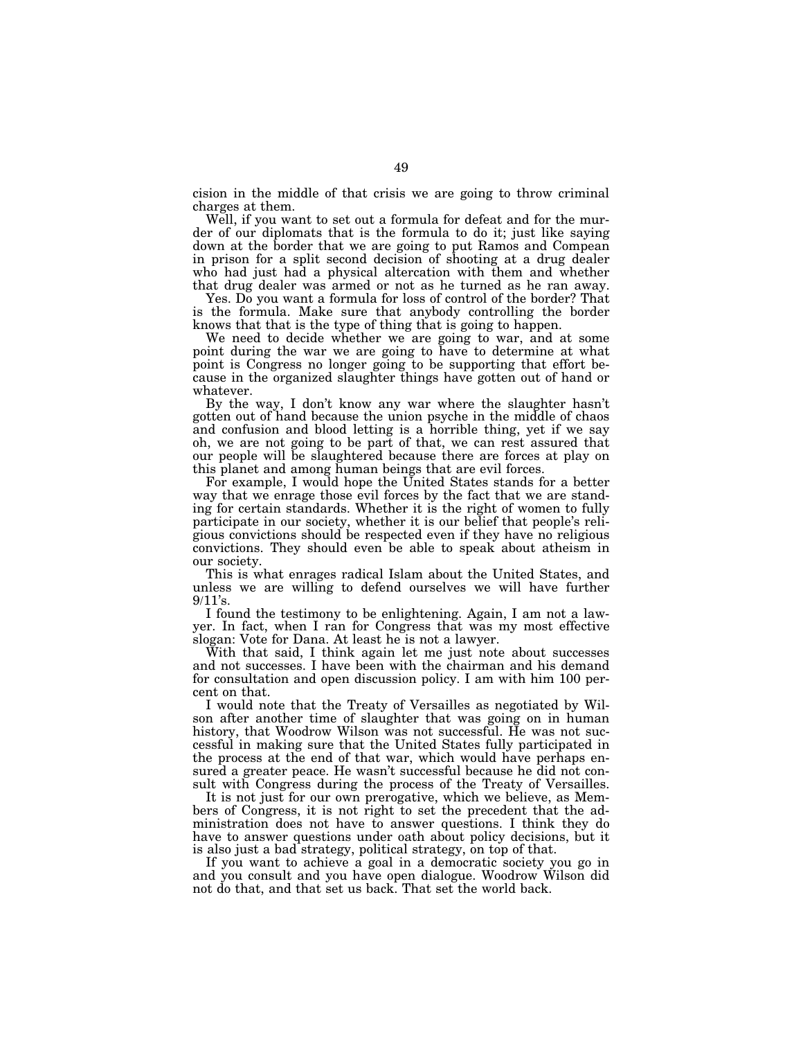cision in the middle of that crisis we are going to throw criminal charges at them.

Well, if you want to set out a formula for defeat and for the murder of our diplomats that is the formula to do it; just like saying down at the border that we are going to put Ramos and Compean in prison for a split second decision of shooting at a drug dealer who had just had a physical altercation with them and whether that drug dealer was armed or not as he turned as he ran away.

Yes. Do you want a formula for loss of control of the border? That is the formula. Make sure that anybody controlling the border knows that that is the type of thing that is going to happen.

We need to decide whether we are going to war, and at some point during the war we are going to have to determine at what point is Congress no longer going to be supporting that effort because in the organized slaughter things have gotten out of hand or whatever.

By the way, I don't know any war where the slaughter hasn't gotten out of hand because the union psyche in the middle of chaos and confusion and blood letting is a horrible thing, yet if we say oh, we are not going to be part of that, we can rest assured that our people will be slaughtered because there are forces at play on this planet and among human beings that are evil forces.

For example, I would hope the United States stands for a better way that we enrage those evil forces by the fact that we are standing for certain standards. Whether it is the right of women to fully participate in our society, whether it is our belief that people's religious convictions should be respected even if they have no religious convictions. They should even be able to speak about atheism in our society.

This is what enrages radical Islam about the United States, and unless we are willing to defend ourselves we will have further  $9/11$ 's.

I found the testimony to be enlightening. Again, I am not a lawyer. In fact, when I ran for Congress that was my most effective slogan: Vote for Dana. At least he is not a lawyer.

With that said, I think again let me just note about successes and not successes. I have been with the chairman and his demand for consultation and open discussion policy. I am with him 100 percent on that.

I would note that the Treaty of Versailles as negotiated by Wilson after another time of slaughter that was going on in human history, that Woodrow Wilson was not successful. He was not successful in making sure that the United States fully participated in the process at the end of that war, which would have perhaps ensured a greater peace. He wasn't successful because he did not consult with Congress during the process of the Treaty of Versailles.

It is not just for our own prerogative, which we believe, as Members of Congress, it is not right to set the precedent that the administration does not have to answer questions. I think they do have to answer questions under oath about policy decisions, but it is also just a bad strategy, political strategy, on top of that.

If you want to achieve a goal in a democratic society you go in and you consult and you have open dialogue. Woodrow Wilson did not do that, and that set us back. That set the world back.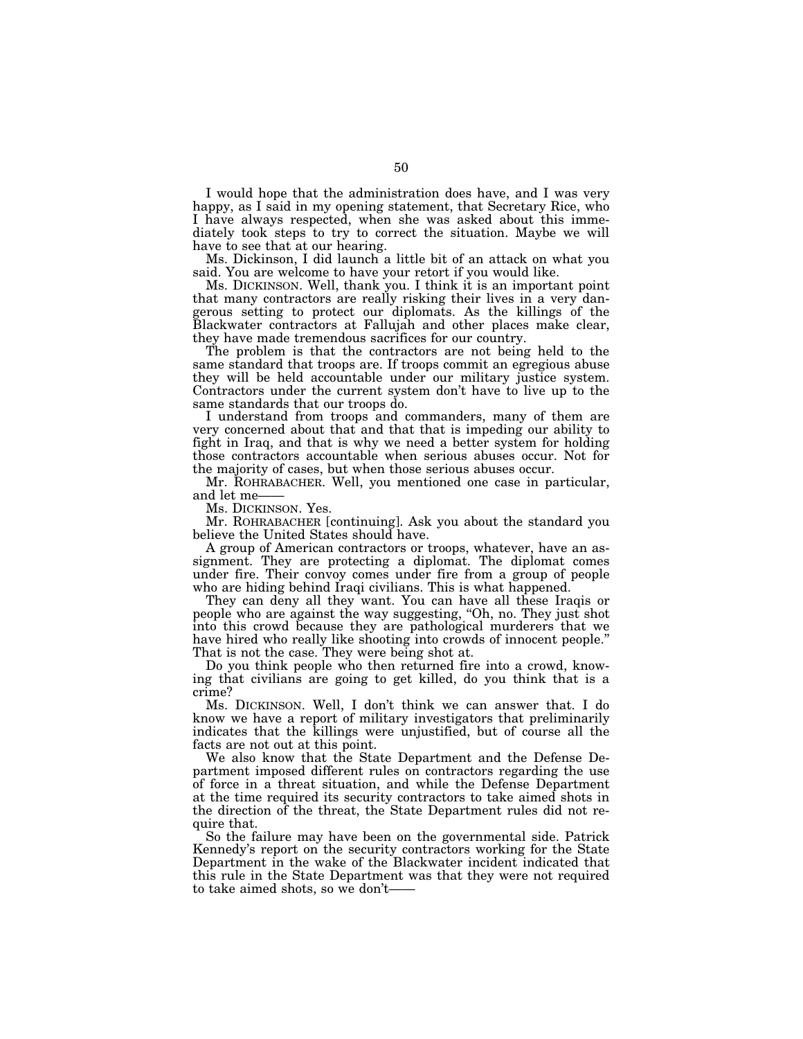I would hope that the administration does have, and I was very happy, as I said in my opening statement, that Secretary Rice, who I have always respected, when she was asked about this immediately took steps to try to correct the situation. Maybe we will have to see that at our hearing.

Ms. Dickinson, I did launch a little bit of an attack on what you said. You are welcome to have your retort if you would like.

Ms. DICKINSON. Well, thank you. I think it is an important point that many contractors are really risking their lives in a very dangerous setting to protect our diplomats. As the killings of the Blackwater contractors at Fallujah and other places make clear, they have made tremendous sacrifices for our country.

The problem is that the contractors are not being held to the same standard that troops are. If troops commit an egregious abuse they will be held accountable under our military justice system. Contractors under the current system don't have to live up to the same standards that our troops do.

I understand from troops and commanders, many of them are very concerned about that and that that is impeding our ability to fight in Iraq, and that is why we need a better system for holding those contractors accountable when serious abuses occur. Not for the majority of cases, but when those serious abuses occur.

Mr. ROHRABACHER. Well, you mentioned one case in particular, and let me-

Ms. DICKINSON. Yes.

Mr. ROHRABACHER [continuing]. Ask you about the standard you believe the United States should have.

A group of American contractors or troops, whatever, have an assignment. They are protecting a diplomat. The diplomat comes under fire. Their convoy comes under fire from a group of people who are hiding behind Iraqi civilians. This is what happened.

They can deny all they want. You can have all these Iraqis or people who are against the way suggesting, ''Oh, no. They just shot into this crowd because they are pathological murderers that we have hired who really like shooting into crowds of innocent people.'' That is not the case. They were being shot at.

Do you think people who then returned fire into a crowd, knowing that civilians are going to get killed, do you think that is a crime?

Ms. DICKINSON. Well, I don't think we can answer that. I do know we have a report of military investigators that preliminarily indicates that the killings were unjustified, but of course all the facts are not out at this point.

We also know that the State Department and the Defense Department imposed different rules on contractors regarding the use of force in a threat situation, and while the Defense Department at the time required its security contractors to take aimed shots in the direction of the threat, the State Department rules did not require that.

So the failure may have been on the governmental side. Patrick Kennedy's report on the security contractors working for the State Department in the wake of the Blackwater incident indicated that this rule in the State Department was that they were not required to take aimed shots, so we don't-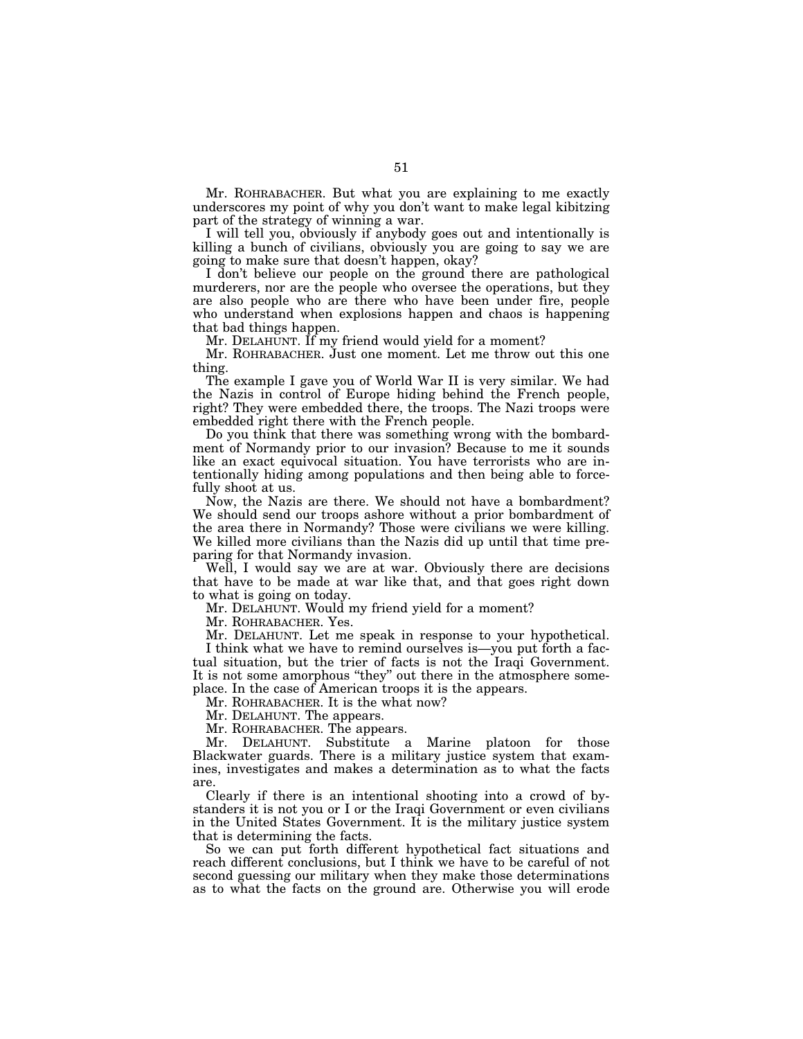Mr. ROHRABACHER. But what you are explaining to me exactly underscores my point of why you don't want to make legal kibitzing part of the strategy of winning a war.

I will tell you, obviously if anybody goes out and intentionally is killing a bunch of civilians, obviously you are going to say we are going to make sure that doesn't happen, okay?

I don't believe our people on the ground there are pathological murderers, nor are the people who oversee the operations, but they are also people who are there who have been under fire, people who understand when explosions happen and chaos is happening that bad things happen.

Mr. DELAHUNT. If my friend would yield for a moment?

Mr. ROHRABACHER. Just one moment. Let me throw out this one thing.

The example I gave you of World War II is very similar. We had the Nazis in control of Europe hiding behind the French people, right? They were embedded there, the troops. The Nazi troops were embedded right there with the French people.

Do you think that there was something wrong with the bombardment of Normandy prior to our invasion? Because to me it sounds like an exact equivocal situation. You have terrorists who are intentionally hiding among populations and then being able to forcefully shoot at us.

Now, the Nazis are there. We should not have a bombardment? We should send our troops ashore without a prior bombardment of the area there in Normandy? Those were civilians we were killing. We killed more civilians than the Nazis did up until that time preparing for that Normandy invasion.

Well, I would say we are at war. Obviously there are decisions that have to be made at war like that, and that goes right down to what is going on today.

Mr. DELAHUNT. Would my friend yield for a moment?

Mr. ROHRABACHER. Yes.

Mr. DELAHUNT. Let me speak in response to your hypothetical. I think what we have to remind ourselves is—you put forth a fac-

tual situation, but the trier of facts is not the Iraqi Government. It is not some amorphous "they" out there in the atmosphere someplace. In the case of American troops it is the appears.

Mr. ROHRABACHER. It is the what now?

Mr. DELAHUNT. The appears.

Mr. ROHRABACHER. The appears.

Mr. DELAHUNT. Substitute a Marine platoon for those Blackwater guards. There is a military justice system that examines, investigates and makes a determination as to what the facts are.

Clearly if there is an intentional shooting into a crowd of bystanders it is not you or I or the Iraqi Government or even civilians in the United States Government. It is the military justice system that is determining the facts.

So we can put forth different hypothetical fact situations and reach different conclusions, but I think we have to be careful of not second guessing our military when they make those determinations as to what the facts on the ground are. Otherwise you will erode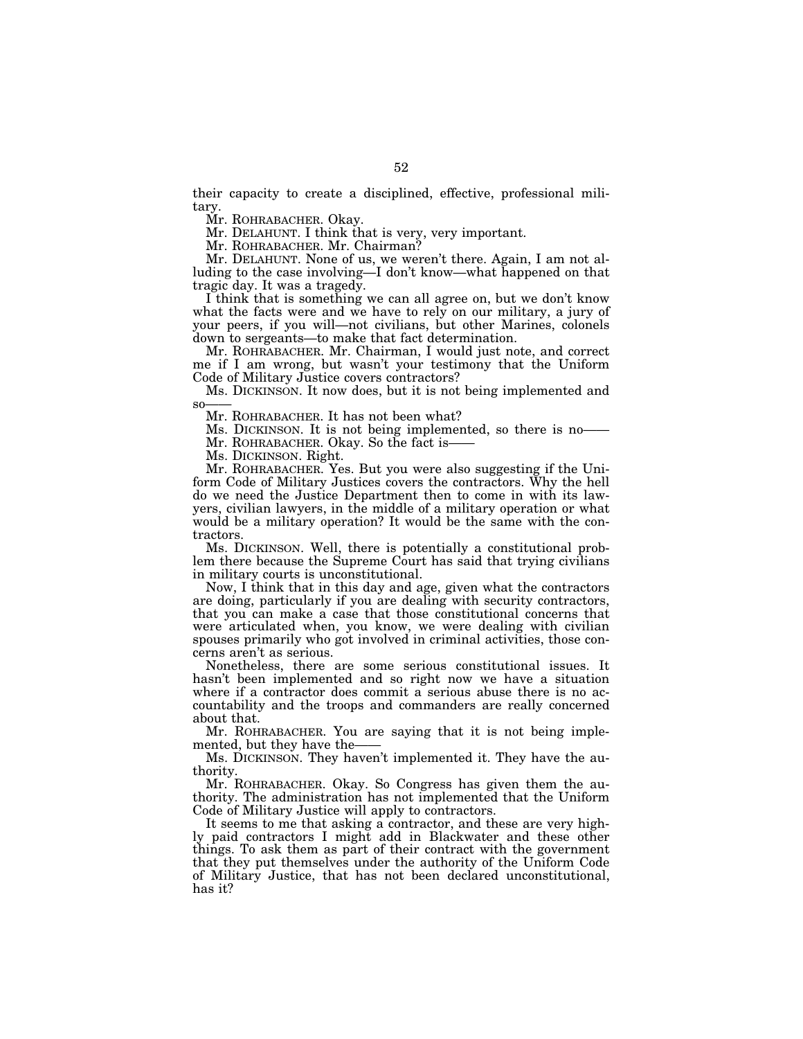their capacity to create a disciplined, effective, professional military.

Mr. ROHRABACHER. Okay.

Mr. DELAHUNT. I think that is very, very important.

Mr. ROHRABACHER. Mr. Chairman?

Mr. DELAHUNT. None of us, we weren't there. Again, I am not alluding to the case involving—I don't know—what happened on that tragic day. It was a tragedy.

I think that is something we can all agree on, but we don't know what the facts were and we have to rely on our military, a jury of your peers, if you will—not civilians, but other Marines, colonels down to sergeants—to make that fact determination.

Mr. ROHRABACHER. Mr. Chairman, I would just note, and correct me if I am wrong, but wasn't your testimony that the Uniform Code of Military Justice covers contractors?

Ms. DICKINSON. It now does, but it is not being implemented and  $SO$ 

Mr. ROHRABACHER. It has not been what?

Ms. DICKINSON. It is not being implemented, so there is no—

Mr. ROHRABACHER. Okay. So the fact is-

Ms. DICKINSON. Right.

Mr. ROHRABACHER. Yes. But you were also suggesting if the Uniform Code of Military Justices covers the contractors. Why the hell do we need the Justice Department then to come in with its lawyers, civilian lawyers, in the middle of a military operation or what would be a military operation? It would be the same with the contractors.

Ms. DICKINSON. Well, there is potentially a constitutional problem there because the Supreme Court has said that trying civilians in military courts is unconstitutional.

Now, I think that in this day and age, given what the contractors are doing, particularly if you are dealing with security contractors, that you can make a case that those constitutional concerns that were articulated when, you know, we were dealing with civilian spouses primarily who got involved in criminal activities, those concerns aren't as serious.

Nonetheless, there are some serious constitutional issues. It hasn't been implemented and so right now we have a situation where if a contractor does commit a serious abuse there is no accountability and the troops and commanders are really concerned about that.

Mr. ROHRABACHER. You are saying that it is not being implemented, but they have the-

Ms. DICKINSON. They haven't implemented it. They have the authority.

Mr. ROHRABACHER. Okay. So Congress has given them the authority. The administration has not implemented that the Uniform Code of Military Justice will apply to contractors.

It seems to me that asking a contractor, and these are very highly paid contractors I might add in Blackwater and these other things. To ask them as part of their contract with the government that they put themselves under the authority of the Uniform Code of Military Justice, that has not been declared unconstitutional, has it?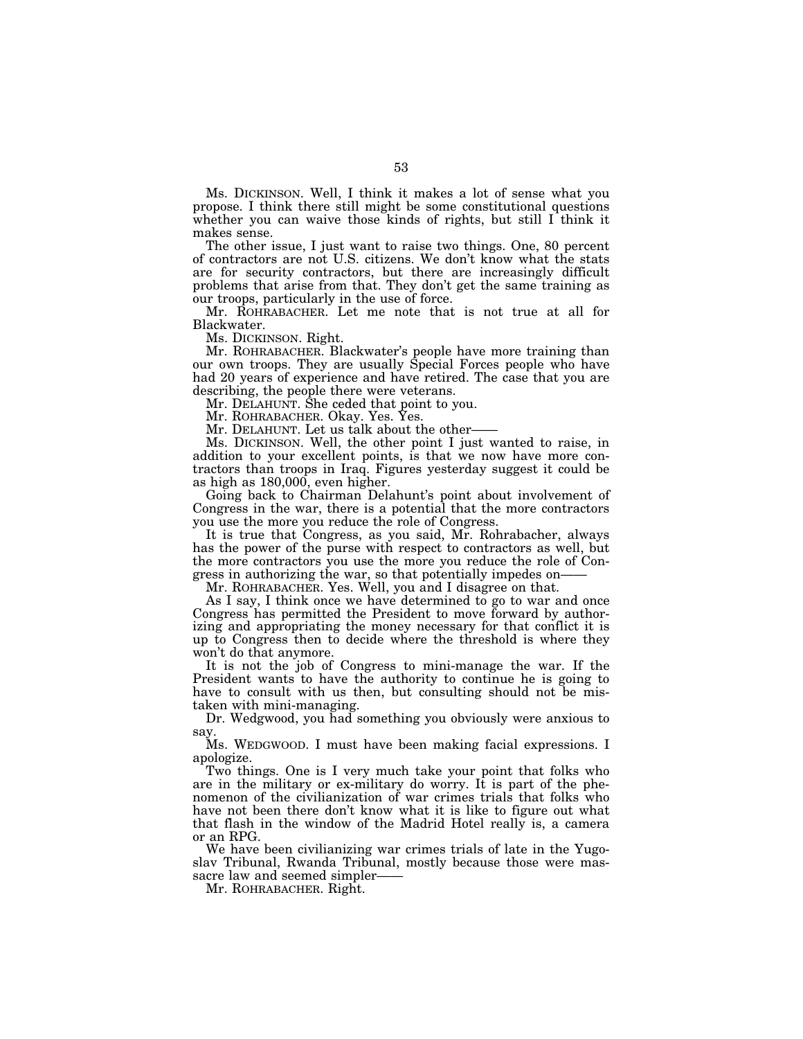Ms. DICKINSON. Well, I think it makes a lot of sense what you propose. I think there still might be some constitutional questions whether you can waive those kinds of rights, but still I think it makes sense.

The other issue, I just want to raise two things. One, 80 percent of contractors are not U.S. citizens. We don't know what the stats are for security contractors, but there are increasingly difficult problems that arise from that. They don't get the same training as our troops, particularly in the use of force.

Mr. ROHRABACHER. Let me note that is not true at all for Blackwater.

Ms. DICKINSON. Right.

Mr. ROHRABACHER. Blackwater's people have more training than our own troops. They are usually Special Forces people who have had 20 years of experience and have retired. The case that you are describing, the people there were veterans.

Mr. DELAHUNT. She ceded that point to you.

Mr. ROHRABACHER. Okay. Yes. Yes.

Mr. DELAHUNT. Let us talk about the other-

Ms. DICKINSON. Well, the other point I just wanted to raise, in addition to your excellent points, is that we now have more contractors than troops in Iraq. Figures yesterday suggest it could be as high as 180,000, even higher.

Going back to Chairman Delahunt's point about involvement of Congress in the war, there is a potential that the more contractors you use the more you reduce the role of Congress.

It is true that Congress, as you said, Mr. Rohrabacher, always has the power of the purse with respect to contractors as well, but the more contractors you use the more you reduce the role of Congress in authorizing the war, so that potentially impedes on——

Mr. ROHRABACHER. Yes. Well, you and I disagree on that.

As I say, I think once we have determined to go to war and once Congress has permitted the President to move forward by authorizing and appropriating the money necessary for that conflict it is up to Congress then to decide where the threshold is where they won't do that anymore.

It is not the job of Congress to mini-manage the war. If the President wants to have the authority to continue he is going to have to consult with us then, but consulting should not be mistaken with mini-managing.

Dr. Wedgwood, you had something you obviously were anxious to say.

Ms. WEDGWOOD. I must have been making facial expressions. I apologize.

Two things. One is I very much take your point that folks who are in the military or ex-military do worry. It is part of the phenomenon of the civilianization of war crimes trials that folks who have not been there don't know what it is like to figure out what that flash in the window of the Madrid Hotel really is, a camera or an RPG.

We have been civilianizing war crimes trials of late in the Yugoslav Tribunal, Rwanda Tribunal, mostly because those were massacre law and seemed simpler-

Mr. ROHRABACHER. Right.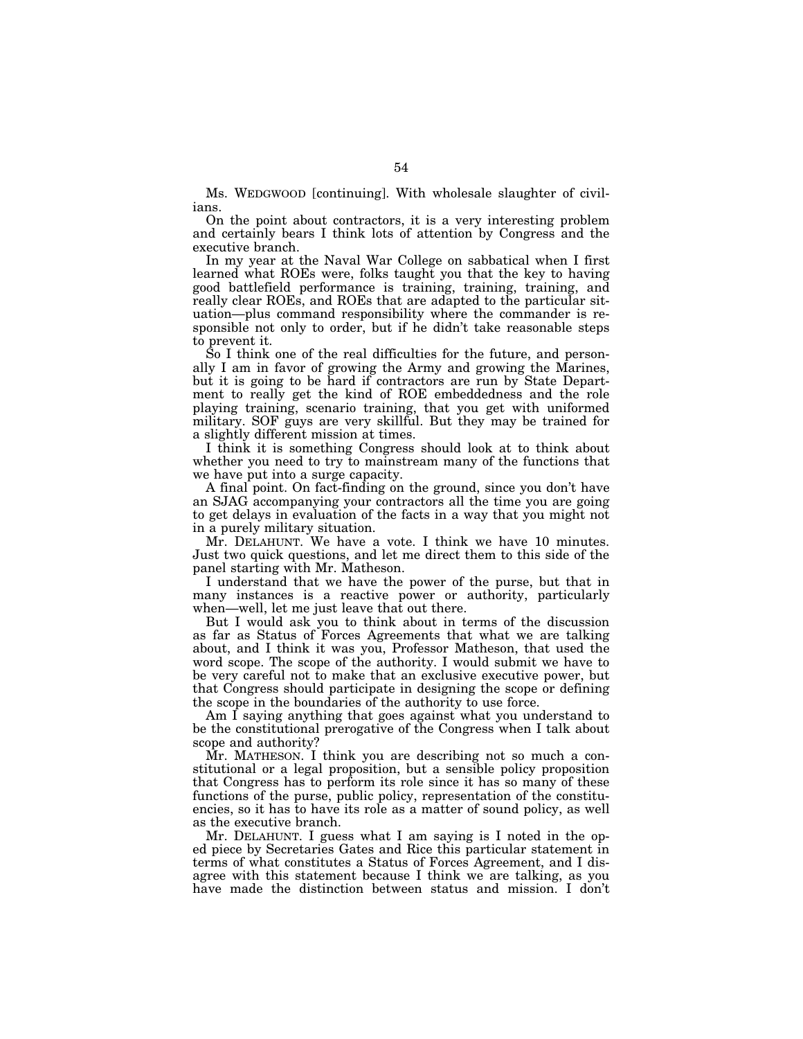Ms. WEDGWOOD [continuing]. With wholesale slaughter of civilians.

On the point about contractors, it is a very interesting problem and certainly bears I think lots of attention by Congress and the executive branch.

In my year at the Naval War College on sabbatical when I first learned what ROEs were, folks taught you that the key to having good battlefield performance is training, training, training, and really clear ROEs, and ROEs that are adapted to the particular situation—plus command responsibility where the commander is responsible not only to order, but if he didn't take reasonable steps to prevent it.

So I think one of the real difficulties for the future, and personally I am in favor of growing the Army and growing the Marines, but it is going to be hard if contractors are run by State Department to really get the kind of ROE embeddedness and the role playing training, scenario training, that you get with uniformed military. SOF guys are very skillful. But they may be trained for a slightly different mission at times.

I think it is something Congress should look at to think about whether you need to try to mainstream many of the functions that we have put into a surge capacity.

A final point. On fact-finding on the ground, since you don't have an SJAG accompanying your contractors all the time you are going to get delays in evaluation of the facts in a way that you might not in a purely military situation.

Mr. DELAHUNT. We have a vote. I think we have 10 minutes. Just two quick questions, and let me direct them to this side of the panel starting with Mr. Matheson.

I understand that we have the power of the purse, but that in many instances is a reactive power or authority, particularly when—well, let me just leave that out there.

But I would ask you to think about in terms of the discussion as far as Status of Forces Agreements that what we are talking about, and I think it was you, Professor Matheson, that used the word scope. The scope of the authority. I would submit we have to be very careful not to make that an exclusive executive power, but that Congress should participate in designing the scope or defining the scope in the boundaries of the authority to use force.

Am I saying anything that goes against what you understand to be the constitutional prerogative of the Congress when I talk about scope and authority?

Mr. MATHESON. I think you are describing not so much a constitutional or a legal proposition, but a sensible policy proposition that Congress has to perform its role since it has so many of these functions of the purse, public policy, representation of the constituencies, so it has to have its role as a matter of sound policy, as well as the executive branch.

Mr. DELAHUNT. I guess what I am saying is I noted in the oped piece by Secretaries Gates and Rice this particular statement in terms of what constitutes a Status of Forces Agreement, and I disagree with this statement because I think we are talking, as you have made the distinction between status and mission. I don't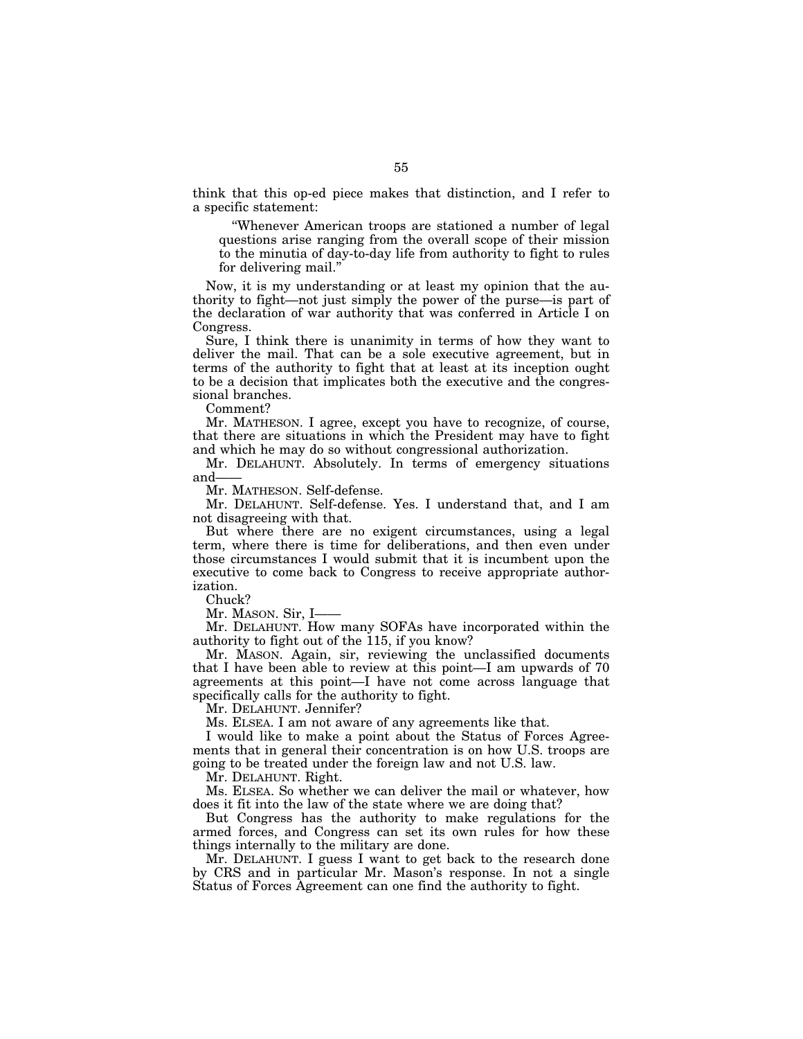think that this op-ed piece makes that distinction, and I refer to a specific statement:

''Whenever American troops are stationed a number of legal questions arise ranging from the overall scope of their mission to the minutia of day-to-day life from authority to fight to rules for delivering mail.''

Now, it is my understanding or at least my opinion that the authority to fight—not just simply the power of the purse—is part of the declaration of war authority that was conferred in Article I on Congress.

Sure, I think there is unanimity in terms of how they want to deliver the mail. That can be a sole executive agreement, but in terms of the authority to fight that at least at its inception ought to be a decision that implicates both the executive and the congressional branches.

Comment?

Mr. MATHESON. I agree, except you have to recognize, of course, that there are situations in which the President may have to fight and which he may do so without congressional authorization.

Mr. DELAHUNT. Absolutely. In terms of emergency situations and-

Mr. MATHESON. Self-defense.

Mr. DELAHUNT. Self-defense. Yes. I understand that, and I am not disagreeing with that.

But where there are no exigent circumstances, using a legal term, where there is time for deliberations, and then even under those circumstances I would submit that it is incumbent upon the executive to come back to Congress to receive appropriate authorization.

Chuck?

Mr. MASON. Sir, I-

Mr. DELAHUNT. How many SOFAs have incorporated within the authority to fight out of the 115, if you know?

Mr. MASON. Again, sir, reviewing the unclassified documents that I have been able to review at this point—I am upwards of 70 agreements at this point—I have not come across language that specifically calls for the authority to fight.

Mr. DELAHUNT. Jennifer?

Ms. ELSEA. I am not aware of any agreements like that.

I would like to make a point about the Status of Forces Agreements that in general their concentration is on how U.S. troops are going to be treated under the foreign law and not U.S. law.

Mr. DELAHUNT. Right.

Ms. ELSEA. So whether we can deliver the mail or whatever, how does it fit into the law of the state where we are doing that?

But Congress has the authority to make regulations for the armed forces, and Congress can set its own rules for how these things internally to the military are done.

Mr. DELAHUNT. I guess I want to get back to the research done by CRS and in particular Mr. Mason's response. In not a single Status of Forces Agreement can one find the authority to fight.